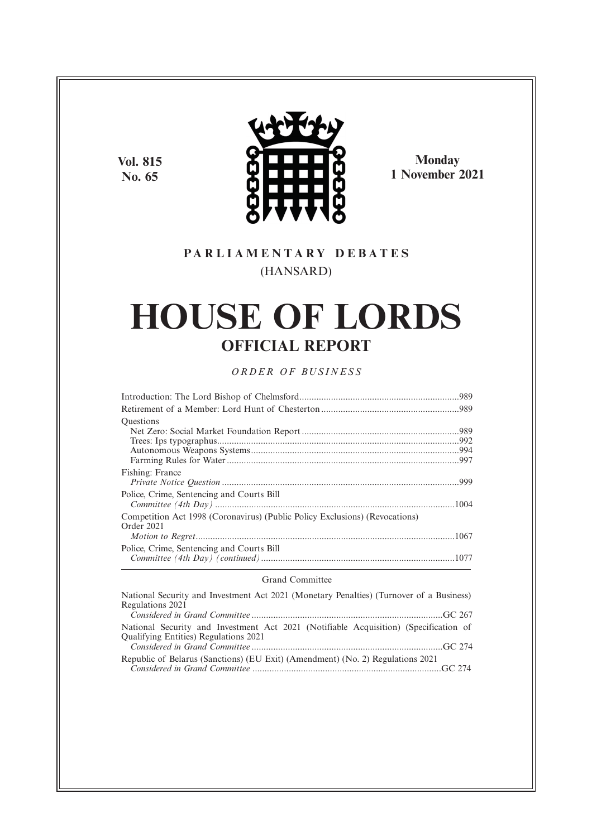**Vol. 815 No. 65**



**Monday 1 November 2021**

# **P A R L I A M E N T A R Y D E B A T E S** (HANSARD)

# **HOUSE OF LORDS OFFICIAL REPORT**

# *O R D E R O F BU S I N E S S*

| <b>Ouestions</b>                                                                          |  |
|-------------------------------------------------------------------------------------------|--|
|                                                                                           |  |
|                                                                                           |  |
|                                                                                           |  |
|                                                                                           |  |
| Fishing: France                                                                           |  |
|                                                                                           |  |
| Police, Crime, Sentencing and Courts Bill                                                 |  |
| Competition Act 1998 (Coronavirus) (Public Policy Exclusions) (Revocations)<br>Order 2021 |  |
|                                                                                           |  |
| Police, Crime, Sentencing and Courts Bill                                                 |  |
|                                                                                           |  |

### Grand Committee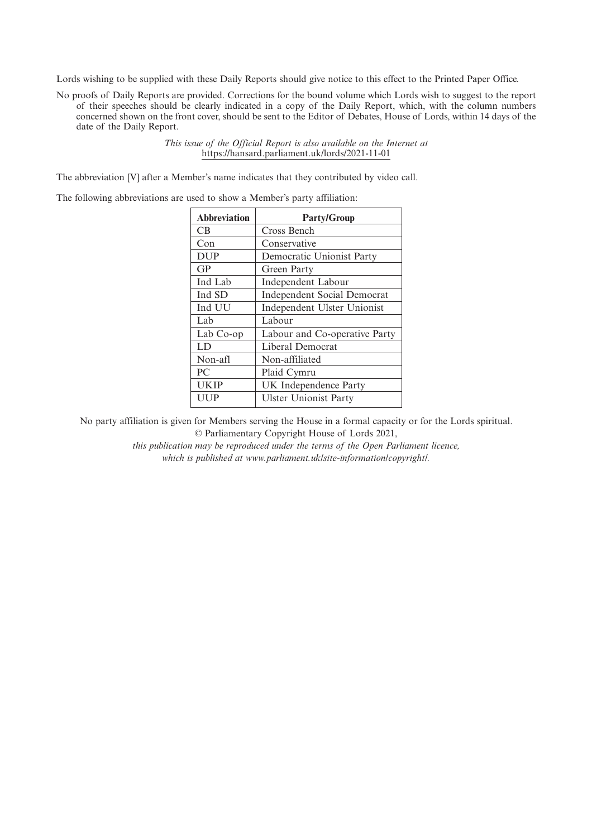Lords wishing to be supplied with these Daily Reports should give notice to this effect to the Printed Paper Office.

No proofs of Daily Reports are provided. Corrections for the bound volume which Lords wish to suggest to the report of their speeches should be clearly indicated in a copy of the Daily Report, which, with the column numbers concerned shown on the front cover, should be sent to the Editor of Debates, House of Lords, within 14 days of the date of the Daily Report.

> *This issue of the Official Report is also available on the Internet at* https://hansard.parliament.uk/lords/2021-11-01

The abbreviation [V] after a Member's name indicates that they contributed by video call.

The following abbreviations are used to show a Member's party affiliation:

| <b>Abbreviation</b> | <b>Party/Group</b>                 |
|---------------------|------------------------------------|
| <b>CB</b>           | Cross Bench                        |
| Con                 | Conservative                       |
| <b>DUP</b>          | Democratic Unionist Party          |
| GP                  | Green Party                        |
| Ind Lab             | Independent Labour                 |
| Ind SD              | <b>Independent Social Democrat</b> |
| Ind UU              | Independent Ulster Unionist        |
| Lab                 | Labour                             |
| Lab Co-op           | Labour and Co-operative Party      |
| LD                  | Liberal Democrat                   |
| Non-afl             | Non-affiliated                     |
| PC.                 | Plaid Cymru                        |
| <b>UKIP</b>         | UK Independence Party              |
| UUP                 | <b>Ulster Unionist Party</b>       |

No party affiliation is given for Members serving the House in a formal capacity or for the Lords spiritual. © Parliamentary Copyright House of Lords 2021,

> *this publication may be reproduced under the terms of the Open Parliament licence, which is published at www.parliament.uk/site-information/copyright/.*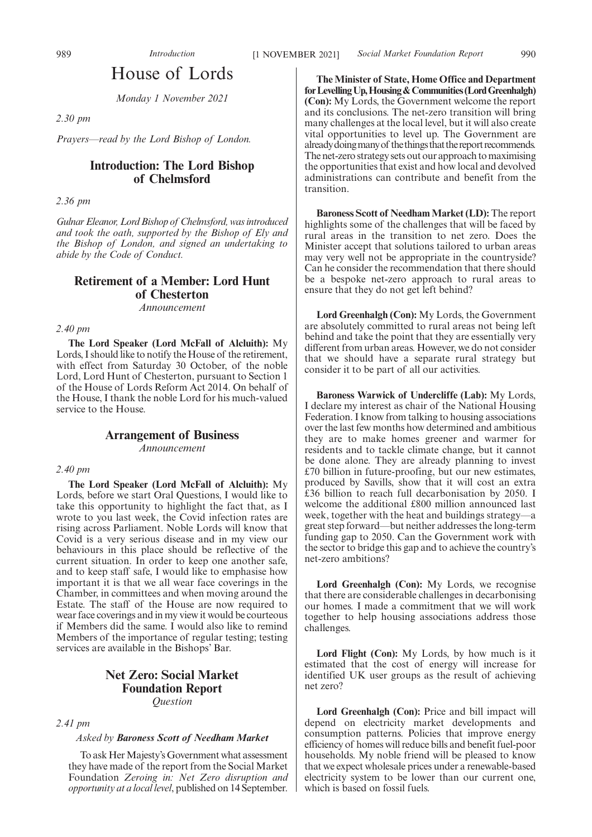*Monday 1 November 2021*

*2.30 pm*

*Prayers—read by the Lord Bishop of London.*

# **Introduction: The Lord Bishop of Chelmsford**

*2.36 pm*

*Gulnar Eleanor, Lord Bishop of Chelmsford, was introduced and took the oath, supported by the Bishop of Ely and the Bishop of London, and signed an undertaking to abide by the Code of Conduct.*

# **Retirement of a Member: Lord Hunt of Chesterton** *Announcement*

*2.40 pm*

**The Lord Speaker (Lord McFall of Alcluith):** My Lords, I should like to notify the House of the retirement, with effect from Saturday 30 October, of the noble Lord, Lord Hunt of Chesterton, pursuant to Section 1 of the House of Lords Reform Act 2014. On behalf of the House, I thank the noble Lord for his much-valued service to the House.

# **Arrangement of Business**

*Announcement*

#### *2.40 pm*

**The Lord Speaker (Lord McFall of Alcluith):** My Lords, before we start Oral Questions, I would like to take this opportunity to highlight the fact that, as I wrote to you last week, the Covid infection rates are rising across Parliament. Noble Lords will know that Covid is a very serious disease and in my view our behaviours in this place should be reflective of the current situation. In order to keep one another safe, and to keep staff safe, I would like to emphasise how important it is that we all wear face coverings in the Chamber, in committees and when moving around the Estate. The staff of the House are now required to wear face coverings and in my view it would be courteous if Members did the same. I would also like to remind Members of the importance of regular testing; testing services are available in the Bishops' Bar.

# **Net Zero: Social Market Foundation Report** *Question*

*2.41 pm*

#### *Asked by Baroness Scott of Needham Market*

To ask Her Majesty's Government what assessment they have made of the report from the Social Market Foundation *Zeroing in: Net Zero disruption and opportunity at a local level*, published on 14 September.

**The Minister of State, Home Office and Department forLevellingUp,Housing&Communities(LordGreenhalgh) (Con):** My Lords, the Government welcome the report and its conclusions. The net-zero transition will bring many challenges at the local level, but it will also create vital opportunities to level up. The Government are already doing many of the things that the report recommends. The net-zero strategy sets out our approach to maximising the opportunities that exist and how local and devolved administrations can contribute and benefit from the transition.

**Baroness Scott of Needham Market (LD):** The report highlights some of the challenges that will be faced by rural areas in the transition to net zero. Does the Minister accept that solutions tailored to urban areas may very well not be appropriate in the countryside? Can he consider the recommendation that there should be a bespoke net-zero approach to rural areas to ensure that they do not get left behind?

**Lord Greenhalgh (Con):** My Lords, the Government are absolutely committed to rural areas not being left behind and take the point that they are essentially very different from urban areas. However, we do not consider that we should have a separate rural strategy but consider it to be part of all our activities.

**Baroness Warwick of Undercliffe (Lab):** My Lords, I declare my interest as chair of the National Housing Federation. I know from talking to housing associations over the last few months how determined and ambitious they are to make homes greener and warmer for residents and to tackle climate change, but it cannot be done alone. They are already planning to invest £70 billion in future-proofing, but our new estimates, produced by Savills, show that it will cost an extra £36 billion to reach full decarbonisation by 2050. I welcome the additional £800 million announced last week, together with the heat and buildings strategy—a great step forward—but neither addresses the long-term funding gap to 2050. Can the Government work with the sector to bridge this gap and to achieve the country's net-zero ambitions?

**Lord Greenhalgh (Con):** My Lords, we recognise that there are considerable challenges in decarbonising our homes. I made a commitment that we will work together to help housing associations address those challenges.

**Lord Flight (Con):** My Lords, by how much is it estimated that the cost of energy will increase for identified UK user groups as the result of achieving net zero?

**Lord Greenhalgh (Con):** Price and bill impact will depend on electricity market developments and consumption patterns. Policies that improve energy efficiency of homes will reduce bills and benefit fuel-poor households. My noble friend will be pleased to know that we expect wholesale prices under a renewable-based electricity system to be lower than our current one, which is based on fossil fuels.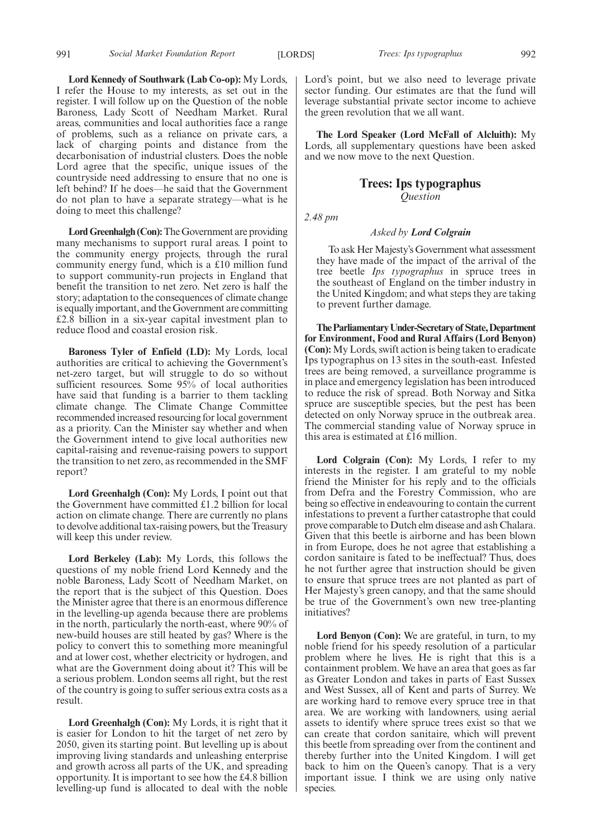991 *Social Market Foundation Report Trees: Ips typographus* [LORDS] 992

**Lord Kennedy of Southwark (Lab Co-op):** My Lords, I refer the House to my interests, as set out in the register. I will follow up on the Question of the noble Baroness, Lady Scott of Needham Market. Rural areas, communities and local authorities face a range of problems, such as a reliance on private cars, a lack of charging points and distance from the decarbonisation of industrial clusters. Does the noble Lord agree that the specific, unique issues of the countryside need addressing to ensure that no one is left behind? If he does—he said that the Government do not plan to have a separate strategy—what is he doing to meet this challenge?

**Lord Greenhalgh (Con):**The Government are providing many mechanisms to support rural areas. I point to the community energy projects, through the rural community energy fund, which is a £10 million fund to support community-run projects in England that benefit the transition to net zero. Net zero is half the story; adaptation to the consequences of climate change is equally important, and the Government are committing £2.8 billion in a six-year capital investment plan to reduce flood and coastal erosion risk.

**Baroness Tyler of Enfield (LD):** My Lords, local authorities are critical to achieving the Government's net-zero target, but will struggle to do so without sufficient resources. Some 95% of local authorities have said that funding is a barrier to them tackling climate change. The Climate Change Committee recommended increased resourcing for local government as a priority. Can the Minister say whether and when the Government intend to give local authorities new capital-raising and revenue-raising powers to support the transition to net zero, as recommended in the SMF report?

**Lord Greenhalgh (Con):** My Lords, I point out that the Government have committed £1.2 billion for local action on climate change. There are currently no plans to devolve additional tax-raising powers, but the Treasury will keep this under review.

**Lord Berkeley (Lab):** My Lords, this follows the questions of my noble friend Lord Kennedy and the noble Baroness, Lady Scott of Needham Market, on the report that is the subject of this Question. Does the Minister agree that there is an enormous difference in the levelling-up agenda because there are problems in the north, particularly the north-east, where 90% of new-build houses are still heated by gas? Where is the policy to convert this to something more meaningful and at lower cost, whether electricity or hydrogen, and what are the Government doing about it? This will be a serious problem. London seems all right, but the rest of the country is going to suffer serious extra costs as a result.

**Lord Greenhalgh (Con):** My Lords, it is right that it is easier for London to hit the target of net zero by 2050, given its starting point. But levelling up is about improving living standards and unleashing enterprise and growth across all parts of the UK, and spreading opportunity. It is important to see how the £4.8 billion levelling-up fund is allocated to deal with the noble Lord's point, but we also need to leverage private sector funding. Our estimates are that the fund will leverage substantial private sector income to achieve the green revolution that we all want.

**The Lord Speaker (Lord McFall of Alcluith):** My Lords, all supplementary questions have been asked and we now move to the next Question.

# **Trees: Ips typographus** *Question*

*2.48 pm*

### *Asked by Lord Colgrain*

To ask Her Majesty's Government what assessment they have made of the impact of the arrival of the tree beetle *Ips typographus* in spruce trees in the southeast of England on the timber industry in the United Kingdom; and what steps they are taking to prevent further damage.

**TheParliamentaryUnder-Secretaryof State,Department for Environment, Food and Rural Affairs (Lord Benyon) (Con):**My Lords, swift action is being taken to eradicate Ips typographus on 13 sites in the south-east*.* Infested trees are being removed, a surveillance programme is in place and emergency legislation has been introduced to reduce the risk of spread. Both Norway and Sitka spruce are susceptible species, but the pest has been detected on only Norway spruce in the outbreak area. The commercial standing value of Norway spruce in this area is estimated at £16 million.

Lord Colgrain (Con): My Lords, I refer to my interests in the register. I am grateful to my noble friend the Minister for his reply and to the officials from Defra and the Forestry Commission, who are being so effective in endeavouring to contain the current infestations to prevent a further catastrophe that could prove comparable to Dutch elm disease and ash Chalara. Given that this beetle is airborne and has been blown in from Europe, does he not agree that establishing a cordon sanitaire is fated to be ineffectual? Thus, does he not further agree that instruction should be given to ensure that spruce trees are not planted as part of Her Majesty's green canopy, and that the same should be true of the Government's own new tree-planting initiatives?

**Lord Benyon (Con):** We are grateful, in turn, to my noble friend for his speedy resolution of a particular problem where he lives. He is right that this is a containment problem. We have an area that goes as far as Greater London and takes in parts of East Sussex and West Sussex, all of Kent and parts of Surrey. We are working hard to remove every spruce tree in that area. We are working with landowners, using aerial assets to identify where spruce trees exist so that we can create that cordon sanitaire, which will prevent this beetle from spreading over from the continent and thereby further into the United Kingdom. I will get back to him on the Queen's canopy. That is a very important issue. I think we are using only native species.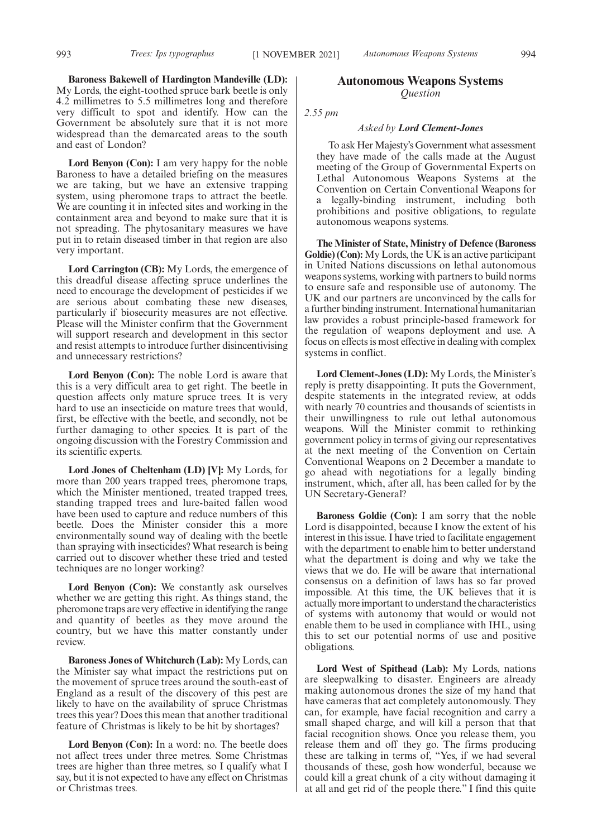**Baroness Bakewell of Hardington Mandeville (LD):** My Lords, the eight-toothed spruce bark beetle is only 4.2 millimetres to 5.5 millimetres long and therefore very difficult to spot and identify. How can the Government be absolutely sure that it is not more widespread than the demarcated areas to the south and east of London?

**Lord Benyon (Con):** I am very happy for the noble Baroness to have a detailed briefing on the measures we are taking, but we have an extensive trapping system, using pheromone traps to attract the beetle. We are counting it in infected sites and working in the containment area and beyond to make sure that it is not spreading. The phytosanitary measures we have put in to retain diseased timber in that region are also very important.

**Lord Carrington (CB):** My Lords, the emergence of this dreadful disease affecting spruce underlines the need to encourage the development of pesticides if we are serious about combating these new diseases, particularly if biosecurity measures are not effective. Please will the Minister confirm that the Government will support research and development in this sector and resist attempts to introduce further disincentivising and unnecessary restrictions?

**Lord Benyon (Con):** The noble Lord is aware that this is a very difficult area to get right. The beetle in question affects only mature spruce trees. It is very hard to use an insecticide on mature trees that would, first, be effective with the beetle, and secondly, not be further damaging to other species. It is part of the ongoing discussion with the Forestry Commission and its scientific experts.

**Lord Jones of Cheltenham (LD) [V]:** My Lords, for more than 200 years trapped trees, pheromone traps, which the Minister mentioned, treated trapped trees, standing trapped trees and lure-baited fallen wood have been used to capture and reduce numbers of this beetle. Does the Minister consider this a more environmentally sound way of dealing with the beetle than spraying with insecticides? What research is being carried out to discover whether these tried and tested techniques are no longer working?

**Lord Benyon (Con):** We constantly ask ourselves whether we are getting this right. As things stand, the pheromone traps are very effective in identifying the range and quantity of beetles as they move around the country, but we have this matter constantly under review.

**Baroness Jones of Whitchurch (Lab):** My Lords, can the Minister say what impact the restrictions put on the movement of spruce trees around the south-east of England as a result of the discovery of this pest are likely to have on the availability of spruce Christmas trees this year? Does this mean that another traditional feature of Christmas is likely to be hit by shortages?

**Lord Benyon (Con):** In a word: no. The beetle does not affect trees under three metres. Some Christmas trees are higher than three metres, so I qualify what I say, but it is not expected to have any effect on Christmas or Christmas trees.

# **Autonomous Weapons Systems** *Question*

*2.55 pm*

### *Asked by Lord Clement-Jones*

To ask Her Majesty's Government what assessment they have made of the calls made at the August meeting of the Group of Governmental Experts on Lethal Autonomous Weapons Systems at the Convention on Certain Conventional Weapons for a legally-binding instrument, including both prohibitions and positive obligations, to regulate autonomous weapons systems.

**The Minister of State, Ministry of Defence (Baroness Goldie) (Con):** My Lords, the UK is an active participant in United Nations discussions on lethal autonomous weapons systems, working with partners to build norms to ensure safe and responsible use of autonomy. The UK and our partners are unconvinced by the calls for a further binding instrument. International humanitarian law provides a robust principle-based framework for the regulation of weapons deployment and use. A focus on effects is most effective in dealing with complex systems in conflict.

**Lord Clement-Jones (LD):** My Lords, the Minister's reply is pretty disappointing. It puts the Government, despite statements in the integrated review, at odds with nearly 70 countries and thousands of scientists in their unwillingness to rule out lethal autonomous weapons. Will the Minister commit to rethinking government policy in terms of giving our representatives at the next meeting of the Convention on Certain Conventional Weapons on 2 December a mandate to go ahead with negotiations for a legally binding instrument, which, after all, has been called for by the UN Secretary-General?

**Baroness Goldie (Con):** I am sorry that the noble Lord is disappointed, because I know the extent of his interest in this issue. I have tried to facilitate engagement with the department to enable him to better understand what the department is doing and why we take the views that we do. He will be aware that international consensus on a definition of laws has so far proved impossible. At this time, the UK believes that it is actually more important to understand the characteristics of systems with autonomy that would or would not enable them to be used in compliance with IHL, using this to set our potential norms of use and positive obligations.

**Lord West of Spithead (Lab):** My Lords, nations are sleepwalking to disaster. Engineers are already making autonomous drones the size of my hand that have cameras that act completely autonomously. They can, for example, have facial recognition and carry a small shaped charge, and will kill a person that that facial recognition shows. Once you release them, you release them and off they go. The firms producing these are talking in terms of, "Yes, if we had several thousands of these, gosh how wonderful, because we could kill a great chunk of a city without damaging it at all and get rid of the people there." I find this quite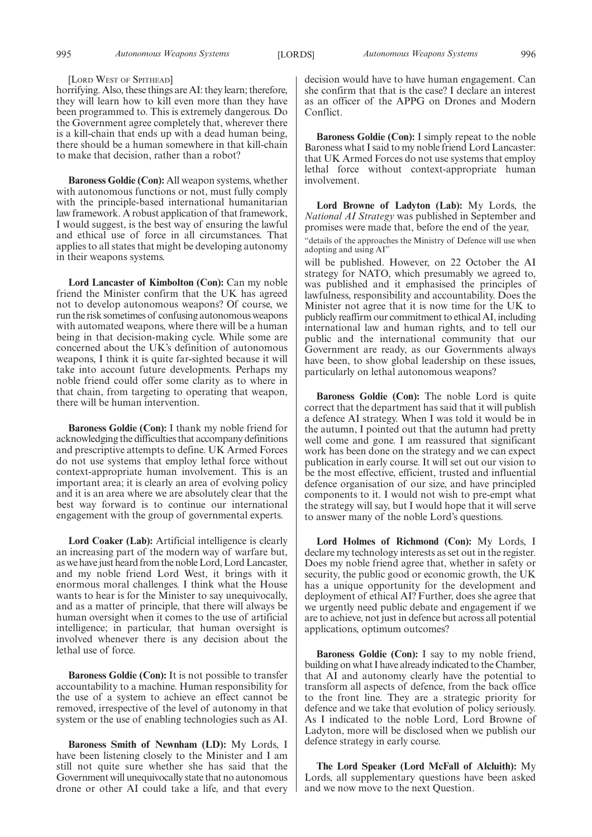995 *Autonomous Weapons Systems Autonomous Weapons Systems* [LORDS] 996

#### [LORD WEST OF SPITHEAD]

horrifying. Also, these things are AI: they learn; therefore, they will learn how to kill even more than they have been programmed to. This is extremely dangerous. Do the Government agree completely that, wherever there is a kill-chain that ends up with a dead human being, there should be a human somewhere in that kill-chain to make that decision, rather than a robot?

**Baroness Goldie (Con):** All weapon systems, whether with autonomous functions or not, must fully comply with the principle-based international humanitarian law framework. A robust application of that framework, I would suggest, is the best way of ensuring the lawful and ethical use of force in all circumstances. That applies to all states that might be developing autonomy in their weapons systems.

**Lord Lancaster of Kimbolton (Con):** Can my noble friend the Minister confirm that the UK has agreed not to develop autonomous weapons? Of course, we run the risk sometimes of confusing autonomous weapons with automated weapons, where there will be a human being in that decision-making cycle. While some are concerned about the UK's definition of autonomous weapons, I think it is quite far-sighted because it will take into account future developments. Perhaps my noble friend could offer some clarity as to where in that chain, from targeting to operating that weapon, there will be human intervention.

**Baroness Goldie (Con):** I thank my noble friend for acknowledging the difficulties that accompany definitions and prescriptive attempts to define. UK Armed Forces do not use systems that employ lethal force without context-appropriate human involvement. This is an important area; it is clearly an area of evolving policy and it is an area where we are absolutely clear that the best way forward is to continue our international engagement with the group of governmental experts.

Lord Coaker (Lab): Artificial intelligence is clearly an increasing part of the modern way of warfare but, as we have just heard from the noble Lord, Lord Lancaster, and my noble friend Lord West, it brings with it enormous moral challenges. I think what the House wants to hear is for the Minister to say unequivocally, and as a matter of principle, that there will always be human oversight when it comes to the use of artificial intelligence; in particular, that human oversight is involved whenever there is any decision about the lethal use of force.

**Baroness Goldie (Con):** It is not possible to transfer accountability to a machine. Human responsibility for the use of a system to achieve an effect cannot be removed, irrespective of the level of autonomy in that system or the use of enabling technologies such as AI.

**Baroness Smith of Newnham (LD):** My Lords, I have been listening closely to the Minister and I am still not quite sure whether she has said that the Government will unequivocally state that no autonomous drone or other AI could take a life, and that every

decision would have to have human engagement. Can she confirm that that is the case? I declare an interest as an officer of the APPG on Drones and Modern Conflict.

**Baroness Goldie (Con):** I simply repeat to the noble Baroness what I said to my noble friend Lord Lancaster: that UK Armed Forces do not use systems that employ lethal force without context-appropriate human involvement.

**Lord Browne of Ladyton (Lab):** My Lords, the *National AI Strategy* was published in September and promises were made that, before the end of the year, "details of the approaches the Ministry of Defence will use when

adopting and using AI"

will be published. However, on 22 October the AI strategy for NATO, which presumably we agreed to, was published and it emphasised the principles of lawfulness, responsibility and accountability. Does the Minister not agree that it is now time for the UK to publicly reaffirm our commitment to ethical AI, including international law and human rights, and to tell our public and the international community that our Government are ready, as our Governments always have been, to show global leadership on these issues, particularly on lethal autonomous weapons?

**Baroness Goldie (Con):** The noble Lord is quite correct that the department has said that it will publish a defence AI strategy. When I was told it would be in the autumn, I pointed out that the autumn had pretty well come and gone. I am reassured that significant work has been done on the strategy and we can expect publication in early course. It will set out our vision to be the most effective, efficient, trusted and influential defence organisation of our size, and have principled components to it. I would not wish to pre-empt what the strategy will say, but I would hope that it will serve to answer many of the noble Lord's questions.

**Lord Holmes of Richmond (Con):** My Lords, I declare my technology interests as set out in the register. Does my noble friend agree that, whether in safety or security, the public good or economic growth, the UK has a unique opportunity for the development and deployment of ethical AI? Further, does she agree that we urgently need public debate and engagement if we are to achieve, not just in defence but across all potential applications, optimum outcomes?

**Baroness Goldie (Con):** I say to my noble friend, building on what I have already indicated to the Chamber, that AI and autonomy clearly have the potential to transform all aspects of defence, from the back office to the front line. They are a strategic priority for defence and we take that evolution of policy seriously. As I indicated to the noble Lord, Lord Browne of Ladyton, more will be disclosed when we publish our defence strategy in early course.

**The Lord Speaker (Lord McFall of Alcluith):** My Lords, all supplementary questions have been asked and we now move to the next Question.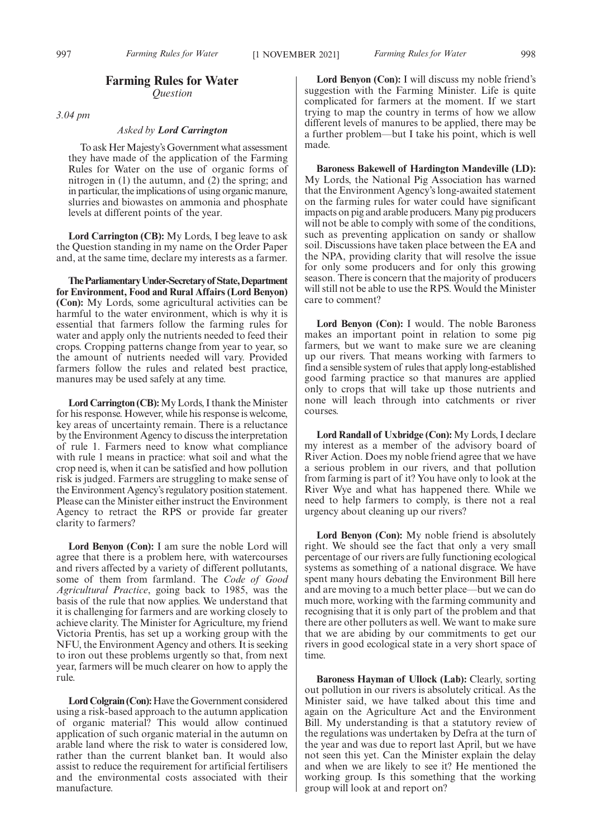# **Farming Rules for Water** *Question*

*3.04 pm*

# *Asked by Lord Carrington*

To ask Her Majesty's Government what assessment they have made of the application of the Farming Rules for Water on the use of organic forms of nitrogen in (1) the autumn, and (2) the spring; and in particular, the implications of using organic manure, slurries and biowastes on ammonia and phosphate levels at different points of the year.

**Lord Carrington (CB):** My Lords, I beg leave to ask the Question standing in my name on the Order Paper and, at the same time, declare my interests as a farmer.

**TheParliamentaryUnder-Secretaryof State,Department for Environment, Food and Rural Affairs (Lord Benyon) (Con):** My Lords, some agricultural activities can be harmful to the water environment, which is why it is essential that farmers follow the farming rules for water and apply only the nutrients needed to feed their crops. Cropping patterns change from year to year, so the amount of nutrients needed will vary. Provided farmers follow the rules and related best practice, manures may be used safely at any time.

**Lord Carrington (CB):**My Lords, I thank the Minister for his response. However, while his response is welcome, key areas of uncertainty remain. There is a reluctance by the Environment Agency to discuss the interpretation of rule 1. Farmers need to know what compliance with rule 1 means in practice: what soil and what the crop need is, when it can be satisfied and how pollution risk is judged. Farmers are struggling to make sense of the Environment Agency's regulatory position statement. Please can the Minister either instruct the Environment Agency to retract the RPS or provide far greater clarity to farmers?

**Lord Benyon (Con):** I am sure the noble Lord will agree that there is a problem here, with watercourses and rivers affected by a variety of different pollutants, some of them from farmland. The *Code of Good Agricultural Practice*, going back to 1985, was the basis of the rule that now applies. We understand that it is challenging for farmers and are working closely to achieve clarity. The Minister for Agriculture, my friend Victoria Prentis, has set up a working group with the NFU, the Environment Agency and others. It is seeking to iron out these problems urgently so that, from next year, farmers will be much clearer on how to apply the rule.

**Lord Colgrain (Con):** Have the Government considered using a risk-based approach to the autumn application of organic material? This would allow continued application of such organic material in the autumn on arable land where the risk to water is considered low, rather than the current blanket ban. It would also assist to reduce the requirement for artificial fertilisers and the environmental costs associated with their manufacture.

**Lord Benyon (Con):** I will discuss my noble friend's suggestion with the Farming Minister. Life is quite complicated for farmers at the moment. If we start trying to map the country in terms of how we allow different levels of manures to be applied, there may be a further problem—but I take his point, which is well made.

**Baroness Bakewell of Hardington Mandeville (LD):** My Lords, the National Pig Association has warned that the Environment Agency's long-awaited statement on the farming rules for water could have significant impacts on pig and arable producers. Many pig producers will not be able to comply with some of the conditions, such as preventing application on sandy or shallow soil. Discussions have taken place between the EA and the NPA, providing clarity that will resolve the issue for only some producers and for only this growing season. There is concern that the majority of producers will still not be able to use the RPS. Would the Minister care to comment?

**Lord Benyon (Con):** I would. The noble Baroness makes an important point in relation to some pig farmers, but we want to make sure we are cleaning up our rivers. That means working with farmers to find a sensible system of rules that apply long-established good farming practice so that manures are applied only to crops that will take up those nutrients and none will leach through into catchments or river courses.

**Lord Randall of Uxbridge (Con):** My Lords, I declare my interest as a member of the advisory board of River Action. Does my noble friend agree that we have a serious problem in our rivers, and that pollution from farming is part of it? You have only to look at the River Wye and what has happened there. While we need to help farmers to comply, is there not a real urgency about cleaning up our rivers?

**Lord Benyon (Con):** My noble friend is absolutely right. We should see the fact that only a very small percentage of our rivers are fully functioning ecological systems as something of a national disgrace. We have spent many hours debating the Environment Bill here and are moving to a much better place—but we can do much more, working with the farming community and recognising that it is only part of the problem and that there are other polluters as well. We want to make sure that we are abiding by our commitments to get our rivers in good ecological state in a very short space of time.

**Baroness Hayman of Ullock (Lab):** Clearly, sorting out pollution in our rivers is absolutely critical. As the Minister said, we have talked about this time and again on the Agriculture Act and the Environment Bill. My understanding is that a statutory review of the regulations was undertaken by Defra at the turn of the year and was due to report last April, but we have not seen this yet. Can the Minister explain the delay and when we are likely to see it? He mentioned the working group. Is this something that the working group will look at and report on?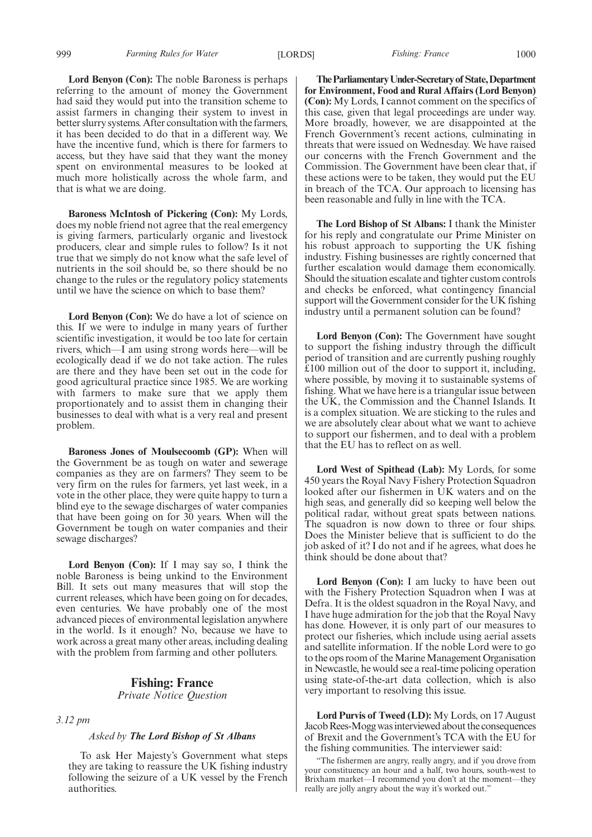**Lord Benyon (Con):** The noble Baroness is perhaps referring to the amount of money the Government had said they would put into the transition scheme to assist farmers in changing their system to invest in better slurry systems. After consultation with the farmers, it has been decided to do that in a different way. We have the incentive fund, which is there for farmers to access, but they have said that they want the money spent on environmental measures to be looked at much more holistically across the whole farm, and that is what we are doing.

**Baroness McIntosh of Pickering (Con):** My Lords, does my noble friend not agree that the real emergency is giving farmers, particularly organic and livestock producers, clear and simple rules to follow? Is it not true that we simply do not know what the safe level of nutrients in the soil should be, so there should be no change to the rules or the regulatory policy statements until we have the science on which to base them?

**Lord Benyon (Con):** We do have a lot of science on this. If we were to indulge in many years of further scientific investigation, it would be too late for certain rivers, which—I am using strong words here—will be ecologically dead if we do not take action. The rules are there and they have been set out in the code for good agricultural practice since 1985. We are working with farmers to make sure that we apply them proportionately and to assist them in changing their businesses to deal with what is a very real and present problem.

**Baroness Jones of Moulsecoomb (GP):** When will the Government be as tough on water and sewerage companies as they are on farmers? They seem to be very firm on the rules for farmers, yet last week, in a vote in the other place, they were quite happy to turn a blind eye to the sewage discharges of water companies that have been going on for 30 years. When will the Government be tough on water companies and their sewage discharges?

**Lord Benyon (Con):** If I may say so, I think the noble Baroness is being unkind to the Environment Bill. It sets out many measures that will stop the current releases, which have been going on for decades, even centuries. We have probably one of the most advanced pieces of environmental legislation anywhere in the world. Is it enough? No, because we have to work across a great many other areas, including dealing with the problem from farming and other polluters.

# **Fishing: France** *Private Notice Question*

#### *3.12 pm*

#### *Asked by The Lord Bishop of St Albans*

To ask Her Majesty's Government what steps they are taking to reassure the UK fishing industry following the seizure of a UK vessel by the French authorities.

**TheParliamentaryUnder-Secretaryof State,Department for Environment, Food and Rural Affairs (Lord Benyon) (Con):** My Lords, I cannot comment on the specifics of this case, given that legal proceedings are under way. More broadly, however, we are disappointed at the French Government's recent actions, culminating in threats that were issued on Wednesday. We have raised our concerns with the French Government and the Commission. The Government have been clear that, if these actions were to be taken, they would put the EU in breach of the TCA. Our approach to licensing has been reasonable and fully in line with the TCA.

**The Lord Bishop of St Albans:** I thank the Minister for his reply and congratulate our Prime Minister on his robust approach to supporting the UK fishing industry. Fishing businesses are rightly concerned that further escalation would damage them economically. Should the situation escalate and tighter custom controls and checks be enforced, what contingency financial support will the Government consider for the UK fishing industry until a permanent solution can be found?

**Lord Benyon (Con):** The Government have sought to support the fishing industry through the difficult period of transition and are currently pushing roughly £100 million out of the door to support it, including, where possible, by moving it to sustainable systems of fishing. What we have here is a triangular issue between the UK, the Commission and the Channel Islands. It is a complex situation. We are sticking to the rules and we are absolutely clear about what we want to achieve to support our fishermen, and to deal with a problem that the EU has to reflect on as well.

**Lord West of Spithead (Lab):** My Lords, for some 450 years the Royal Navy Fishery Protection Squadron looked after our fishermen in UK waters and on the high seas, and generally did so keeping well below the political radar, without great spats between nations. The squadron is now down to three or four ships. Does the Minister believe that is sufficient to do the job asked of it? I do not and if he agrees, what does he think should be done about that?

Lord Benyon (Con): I am lucky to have been out with the Fishery Protection Squadron when I was at Defra. It is the oldest squadron in the Royal Navy, and I have huge admiration for the job that the Royal Navy has done. However, it is only part of our measures to protect our fisheries, which include using aerial assets and satellite information. If the noble Lord were to go to the ops room of the Marine Management Organisation in Newcastle, he would see a real-time policing operation using state-of-the-art data collection, which is also very important to resolving this issue.

**Lord Purvis of Tweed (LD):** My Lords, on 17 August Jacob Rees-Mogg was interviewed about the consequences of Brexit and the Government's TCA with the EU for the fishing communities. The interviewer said:

"The fishermen are angry, really angry, and if you drove from your constituency an hour and a half, two hours, south-west to Brixham market—I recommend you don't at the moment—they really are jolly angry about the way it's worked out."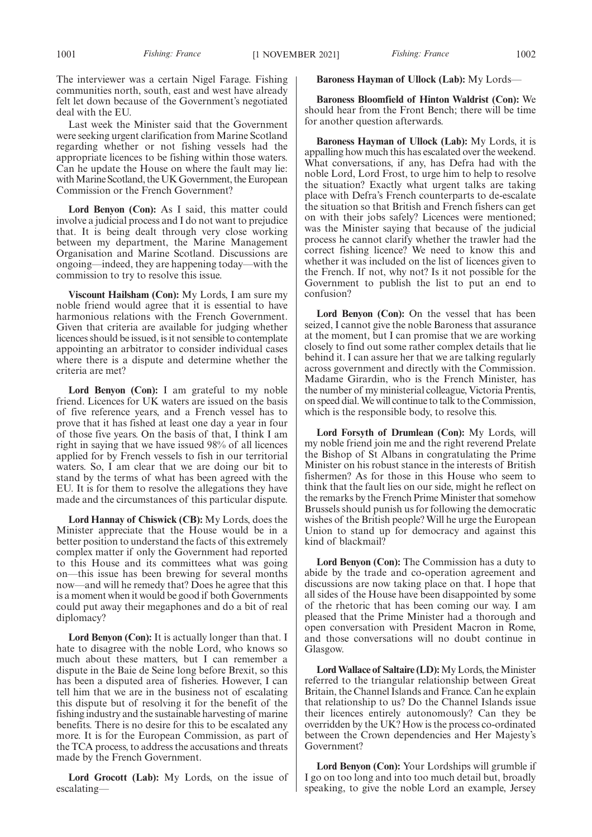The interviewer was a certain Nigel Farage. Fishing communities north, south, east and west have already felt let down because of the Government's negotiated deal with the EU.

Last week the Minister said that the Government were seeking urgent clarification from Marine Scotland regarding whether or not fishing vessels had the appropriate licences to be fishing within those waters. Can he update the House on where the fault may lie: with Marine Scotland, the UK Government, the European Commission or the French Government?

Lord Benyon (Con): As I said, this matter could involve a judicial process and I do not want to prejudice that. It is being dealt through very close working between my department, the Marine Management Organisation and Marine Scotland. Discussions are ongoing—indeed, they are happening today—with the commission to try to resolve this issue.

**Viscount Hailsham (Con):** My Lords, I am sure my noble friend would agree that it is essential to have harmonious relations with the French Government. Given that criteria are available for judging whether licences should be issued, is it not sensible to contemplate appointing an arbitrator to consider individual cases where there is a dispute and determine whether the criteria are met?

**Lord Benyon (Con):** I am grateful to my noble friend. Licences for UK waters are issued on the basis of five reference years, and a French vessel has to prove that it has fished at least one day a year in four of those five years. On the basis of that, I think I am right in saying that we have issued 98% of all licences applied for by French vessels to fish in our territorial waters. So, I am clear that we are doing our bit to stand by the terms of what has been agreed with the EU. It is for them to resolve the allegations they have made and the circumstances of this particular dispute.

**Lord Hannay of Chiswick (CB):** My Lords, does the Minister appreciate that the House would be in a better position to understand the facts of this extremely complex matter if only the Government had reported to this House and its committees what was going on—this issue has been brewing for several months now—and will he remedy that? Does he agree that this is a moment when it would be good if both Governments could put away their megaphones and do a bit of real diplomacy?

**Lord Benyon (Con):** It is actually longer than that. I hate to disagree with the noble Lord, who knows so much about these matters, but I can remember a dispute in the Baie de Seine long before Brexit, so this has been a disputed area of fisheries. However, I can tell him that we are in the business not of escalating this dispute but of resolving it for the benefit of the fishing industry and the sustainable harvesting of marine benefits. There is no desire for this to be escalated any more. It is for the European Commission, as part of the TCA process, to address the accusations and threats made by the French Government.

**Lord Grocott (Lab):** My Lords, on the issue of escalating—

### **Baroness Hayman of Ullock (Lab):** My Lords—

**Baroness Bloomfield of Hinton Waldrist (Con):** We should hear from the Front Bench; there will be time for another question afterwards.

**Baroness Hayman of Ullock (Lab):** My Lords, it is appalling how much this has escalated over the weekend. What conversations, if any, has Defra had with the noble Lord, Lord Frost, to urge him to help to resolve the situation? Exactly what urgent talks are taking place with Defra's French counterparts to de-escalate the situation so that British and French fishers can get on with their jobs safely? Licences were mentioned; was the Minister saying that because of the judicial process he cannot clarify whether the trawler had the correct fishing licence? We need to know this and whether it was included on the list of licences given to the French. If not, why not? Is it not possible for the Government to publish the list to put an end to confusion?

**Lord Benyon (Con):** On the vessel that has been seized, I cannot give the noble Baroness that assurance at the moment, but I can promise that we are working closely to find out some rather complex details that lie behind it. I can assure her that we are talking regularly across government and directly with the Commission. Madame Girardin, who is the French Minister, has the number of my ministerial colleague, Victoria Prentis, on speed dial. We will continue to talk to the Commission, which is the responsible body, to resolve this.

**Lord Forsyth of Drumlean (Con):** My Lords, will my noble friend join me and the right reverend Prelate the Bishop of St Albans in congratulating the Prime Minister on his robust stance in the interests of British fishermen? As for those in this House who seem to think that the fault lies on our side, might he reflect on the remarks by the French Prime Minister that somehow Brussels should punish us for following the democratic wishes of the British people? Will he urge the European Union to stand up for democracy and against this kind of blackmail?

**Lord Benyon (Con):** The Commission has a duty to abide by the trade and co-operation agreement and discussions are now taking place on that. I hope that all sides of the House have been disappointed by some of the rhetoric that has been coming our way. I am pleased that the Prime Minister had a thorough and open conversation with President Macron in Rome, and those conversations will no doubt continue in Glasgow.

**Lord Wallace of Saltaire (LD):**My Lords, the Minister referred to the triangular relationship between Great Britain, the Channel Islands and France. Can he explain that relationship to us? Do the Channel Islands issue their licences entirely autonomously? Can they be overridden by the UK? How is the process co-ordinated between the Crown dependencies and Her Majesty's Government?

**Lord Benyon (Con):** Your Lordships will grumble if I go on too long and into too much detail but, broadly speaking, to give the noble Lord an example, Jersey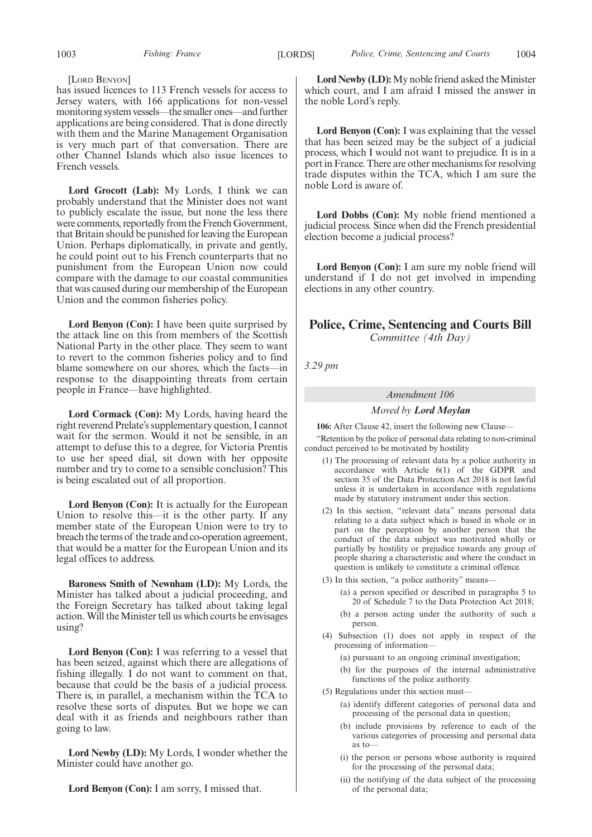#### [LORD BENYON]

has issued licences to 113 French vessels for access to Jersey waters, with 166 applications for non-vessel monitoring system vessels—the smaller ones—and further applications are being considered. That is done directly with them and the Marine Management Organisation is very much part of that conversation. There are other Channel Islands which also issue licences to French vessels.

**Lord Grocott (Lab):** My Lords, I think we can probably understand that the Minister does not want to publicly escalate the issue, but none the less there were comments, reportedly from the French Government, that Britain should be punished for leaving the European Union. Perhaps diplomatically, in private and gently, he could point out to his French counterparts that no punishment from the European Union now could compare with the damage to our coastal communities that was caused during our membership of the European Union and the common fisheries policy.

**Lord Benyon (Con):** I have been quite surprised by the attack line on this from members of the Scottish National Party in the other place. They seem to want to revert to the common fisheries policy and to find blame somewhere on our shores, which the facts—in response to the disappointing threats from certain people in France—have highlighted.

**Lord Cormack (Con):** My Lords, having heard the right reverend Prelate's supplementary question, I cannot wait for the sermon. Would it not be sensible, in an attempt to defuse this to a degree, for Victoria Prentis to use her speed dial, sit down with her opposite number and try to come to a sensible conclusion? This is being escalated out of all proportion.

**Lord Benyon (Con):** It is actually for the European Union to resolve this—it is the other party. If any member state of the European Union were to try to breach the terms of the trade and co-operation agreement, that would be a matter for the European Union and its legal offices to address.

**Baroness Smith of Newnham (LD):** My Lords, the Minister has talked about a judicial proceeding, and the Foreign Secretary has talked about taking legal action. Will the Minister tell us which courts he envisages using?

**Lord Benyon (Con):** I was referring to a vessel that has been seized, against which there are allegations of fishing illegally. I do not want to comment on that, because that could be the basis of a judicial process. There is, in parallel, a mechanism within the TCA to resolve these sorts of disputes. But we hope we can deal with it as friends and neighbours rather than going to law.

**Lord Newby (LD):** My Lords, I wonder whether the Minister could have another go.

**Lord Benyon (Con):** I am sorry, I missed that.

Lord Newby (LD): My noble friend asked the Minister which court, and I am afraid I missed the answer in the noble Lord's reply.

**Lord Benyon (Con):** I was explaining that the vessel that has been seized may be the subject of a judicial process, which I would not want to prejudice. It is in a port in France. There are other mechanisms for resolving trade disputes within the TCA, which I am sure the noble Lord is aware of.

**Lord Dobbs (Con):** My noble friend mentioned a judicial process. Since when did the French presidential election become a judicial process?

**Lord Benyon (Con):** I am sure my noble friend will understand if I do not get involved in impending elections in any other country.

# **Police, Crime, Sentencing and Courts Bill** *Committee (4th Day)*

*3.29 pm*

#### *Amendment 106*

# *Moved by Lord Moylan*

**106:** After Clause 42, insert the following new Clause—

"Retention by the police of personal data relating to non-criminal conduct perceived to be motivated by hostility

- (1) The processing of relevant data by a police authority in accordance with Article 6(1) of the GDPR and section 35 of the Data Protection Act 2018 is not lawful unless it is undertaken in accordance with regulations made by statutory instrument under this section.
- (2) In this section, "relevant data" means personal data relating to a data subject which is based in whole or in part on the perception by another person that the conduct of the data subject was motivated wholly or partially by hostility or prejudice towards any group of people sharing a characteristic and where the conduct in question is unlikely to constitute a criminal offence.
- (3) In this section, "a police authority" means—
	- (a) a person specified or described in paragraphs 5 to 20 of Schedule 7 to the Data Protection Act 2018;
	- (b) a person acting under the authority of such a person.
- (4) Subsection (1) does not apply in respect of the processing of information—
	- (a) pursuant to an ongoing criminal investigation;
	- (b) for the purposes of the internal administrative functions of the police authority.
- (5) Regulations under this section must—
	- (a) identify different categories of personal data and processing of the personal data in question;
	- (b) include provisions by reference to each of the various categories of processing and personal data as to—
	- (i) the person or persons whose authority is required for the processing of the personal data;
	- (ii) the notifying of the data subject of the processing of the personal data;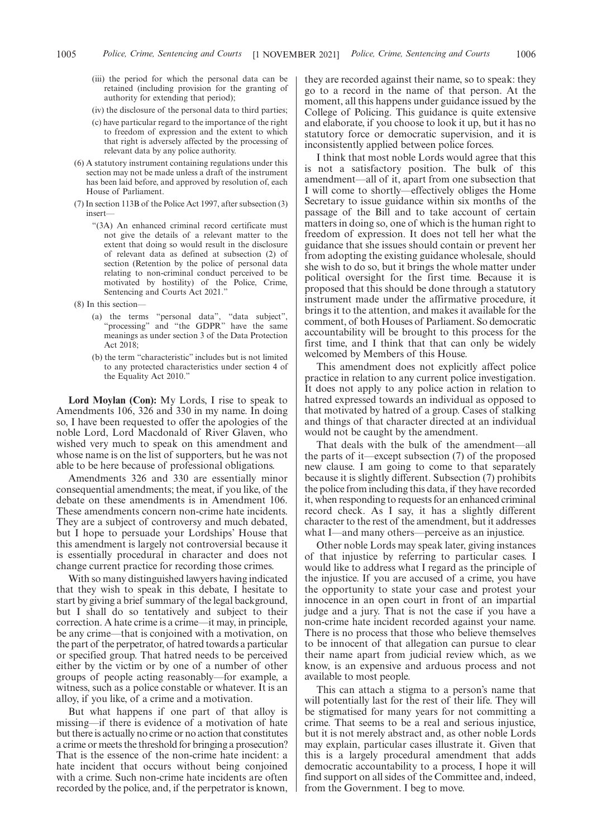- (iii) the period for which the personal data can be retained (including provision for the granting of authority for extending that period);
- (iv) the disclosure of the personal data to third parties;
- (c) have particular regard to the importance of the right to freedom of expression and the extent to which that right is adversely affected by the processing of relevant data by any police authority.
- (6) A statutory instrument containing regulations under this section may not be made unless a draft of the instrument has been laid before, and approved by resolution of, each House of Parliament.
- (7) In section 113B of the Police Act 1997, after subsection (3) insert—
	- "(3A) An enhanced criminal record certificate must not give the details of a relevant matter to the extent that doing so would result in the disclosure of relevant data as defined at subsection (2) of section (Retention by the police of personal data relating to non-criminal conduct perceived to be motivated by hostility) of the Police, Crime, Sentencing and Courts Act 2021.'
- (8) In this section—
	- (a) the terms "personal data", "data subject", "processing" and "the GDPR" have the same meanings as under section 3 of the Data Protection Act 2018;
	- (b) the term "characteristic" includes but is not limited to any protected characteristics under section 4 of the Equality Act 2010."

**Lord Moylan (Con):** My Lords, I rise to speak to Amendments 106, 326 and 330 in my name. In doing so, I have been requested to offer the apologies of the noble Lord, Lord Macdonald of River Glaven, who wished very much to speak on this amendment and whose name is on the list of supporters, but he was not able to be here because of professional obligations.

Amendments 326 and 330 are essentially minor consequential amendments; the meat, if you like, of the debate on these amendments is in Amendment 106. These amendments concern non-crime hate incidents. They are a subject of controversy and much debated, but I hope to persuade your Lordships' House that this amendment is largely not controversial because it is essentially procedural in character and does not change current practice for recording those crimes.

With so many distinguished lawyers having indicated that they wish to speak in this debate, I hesitate to start by giving a brief summary of the legal background, but I shall do so tentatively and subject to their correction. A hate crime is a crime—it may, in principle, be any crime—that is conjoined with a motivation, on the part of the perpetrator, of hatred towards a particular or specified group. That hatred needs to be perceived either by the victim or by one of a number of other groups of people acting reasonably—for example, a witness, such as a police constable or whatever. It is an alloy, if you like, of a crime and a motivation.

But what happens if one part of that alloy is missing—if there is evidence of a motivation of hate but there is actually no crime or no action that constitutes a crime or meets the threshold for bringing a prosecution? That is the essence of the non-crime hate incident: a hate incident that occurs without being conjoined with a crime. Such non-crime hate incidents are often recorded by the police, and, if the perpetrator is known,

they are recorded against their name, so to speak: they go to a record in the name of that person. At the moment, all this happens under guidance issued by the College of Policing. This guidance is quite extensive and elaborate, if you choose to look it up, but it has no statutory force or democratic supervision, and it is inconsistently applied between police forces.

I think that most noble Lords would agree that this is not a satisfactory position. The bulk of this amendment—all of it, apart from one subsection that I will come to shortly—effectively obliges the Home Secretary to issue guidance within six months of the passage of the Bill and to take account of certain matters in doing so, one of which is the human right to freedom of expression. It does not tell her what the guidance that she issues should contain or prevent her from adopting the existing guidance wholesale, should she wish to do so, but it brings the whole matter under political oversight for the first time. Because it is proposed that this should be done through a statutory instrument made under the affirmative procedure, it brings it to the attention, and makes it available for the comment, of both Houses of Parliament. So democratic accountability will be brought to this process for the first time, and I think that that can only be widely welcomed by Members of this House.

This amendment does not explicitly affect police practice in relation to any current police investigation. It does not apply to any police action in relation to hatred expressed towards an individual as opposed to that motivated by hatred of a group. Cases of stalking and things of that character directed at an individual would not be caught by the amendment.

That deals with the bulk of the amendment—all the parts of it—except subsection (7) of the proposed new clause. I am going to come to that separately because it is slightly different. Subsection (7) prohibits the police from including this data, if they have recorded it, when responding to requests for an enhanced criminal record check. As I say, it has a slightly different character to the rest of the amendment, but it addresses what I—and many others—perceive as an injustice.

Other noble Lords may speak later, giving instances of that injustice by referring to particular cases. I would like to address what I regard as the principle of the injustice. If you are accused of a crime, you have the opportunity to state your case and protest your innocence in an open court in front of an impartial judge and a jury. That is not the case if you have a non-crime hate incident recorded against your name. There is no process that those who believe themselves to be innocent of that allegation can pursue to clear their name apart from judicial review which, as we know, is an expensive and arduous process and not available to most people.

This can attach a stigma to a person's name that will potentially last for the rest of their life. They will be stigmatised for many years for not committing a crime. That seems to be a real and serious injustice, but it is not merely abstract and, as other noble Lords may explain, particular cases illustrate it. Given that this is a largely procedural amendment that adds democratic accountability to a process, I hope it will find support on all sides of the Committee and, indeed, from the Government. I beg to move.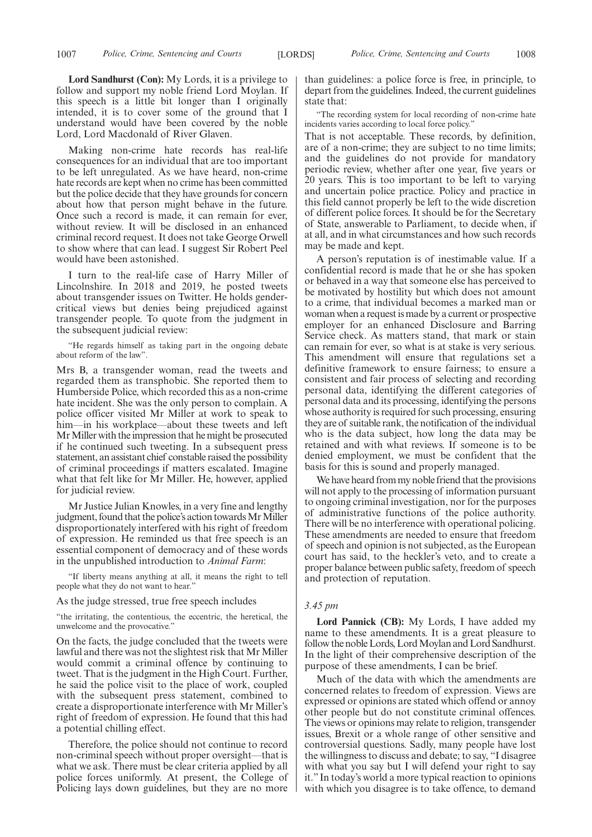**Lord Sandhurst (Con):** My Lords, it is a privilege to follow and support my noble friend Lord Moylan. If this speech is a little bit longer than I originally intended, it is to cover some of the ground that I understand would have been covered by the noble Lord, Lord Macdonald of River Glaven.

Making non-crime hate records has real-life consequences for an individual that are too important to be left unregulated. As we have heard, non-crime hate records are kept when no crime has been committed but the police decide that they have grounds for concern about how that person might behave in the future. Once such a record is made, it can remain for ever, without review. It will be disclosed in an enhanced criminal record request. It does not take George Orwell to show where that can lead. I suggest Sir Robert Peel would have been astonished.

I turn to the real-life case of Harry Miller of Lincolnshire. In 2018 and 2019, he posted tweets about transgender issues on Twitter. He holds gendercritical views but denies being prejudiced against transgender people. To quote from the judgment in the subsequent judicial review:

"He regards himself as taking part in the ongoing debate about reform of the law".

Mrs B, a transgender woman, read the tweets and regarded them as transphobic. She reported them to Humberside Police, which recorded this as a non-crime hate incident. She was the only person to complain. A police officer visited Mr Miller at work to speak to him—in his workplace—about these tweets and left Mr Miller with the impression that he might be prosecuted if he continued such tweeting. In a subsequent press statement, an assistant chief constable raised the possibility of criminal proceedings if matters escalated. Imagine what that felt like for Mr Miller. He, however, applied for judicial review.

Mr Justice Julian Knowles, in a very fine and lengthy judgment, found that the police's action towards Mr Miller disproportionately interfered with his right of freedom of expression. He reminded us that free speech is an essential component of democracy and of these words in the unpublished introduction to *Animal Farm*:

"If liberty means anything at all, it means the right to tell people what they do not want to hear."

#### As the judge stressed, true free speech includes

"the irritating, the contentious, the eccentric, the heretical, the unwelcome and the provocative."

On the facts, the judge concluded that the tweets were lawful and there was not the slightest risk that Mr Miller would commit a criminal offence by continuing to tweet. That is the judgment in the High Court. Further, he said the police visit to the place of work, coupled with the subsequent press statement, combined to create a disproportionate interference with Mr Miller's right of freedom of expression. He found that this had a potential chilling effect.

Therefore, the police should not continue to record non-criminal speech without proper oversight—that is what we ask. There must be clear criteria applied by all police forces uniformly. At present, the College of Policing lays down guidelines, but they are no more than guidelines: a police force is free, in principle, to depart from the guidelines. Indeed, the current guidelines state that:

"The recording system for local recording of non-crime hate incidents varies according to local force policy.'

That is not acceptable. These records, by definition, are of a non-crime; they are subject to no time limits; and the guidelines do not provide for mandatory periodic review, whether after one year, five years or 20 years. This is too important to be left to varying and uncertain police practice. Policy and practice in this field cannot properly be left to the wide discretion of different police forces. It should be for the Secretary of State, answerable to Parliament, to decide when, if at all, and in what circumstances and how such records may be made and kept.

A person's reputation is of inestimable value. If a confidential record is made that he or she has spoken or behaved in a way that someone else has perceived to be motivated by hostility but which does not amount to a crime, that individual becomes a marked man or woman when a request is made by a current or prospective employer for an enhanced Disclosure and Barring Service check. As matters stand, that mark or stain can remain for ever, so what is at stake is very serious. This amendment will ensure that regulations set a definitive framework to ensure fairness; to ensure a consistent and fair process of selecting and recording personal data, identifying the different categories of personal data and its processing, identifying the persons whose authority is required for such processing, ensuring they are of suitable rank, the notification of the individual who is the data subject, how long the data may be retained and with what reviews. If someone is to be denied employment, we must be confident that the basis for this is sound and properly managed.

We have heard from my noble friend that the provisions will not apply to the processing of information pursuant to ongoing criminal investigation, nor for the purposes of administrative functions of the police authority. There will be no interference with operational policing. These amendments are needed to ensure that freedom of speech and opinion is not subjected, as the European court has said, to the heckler's veto, and to create a proper balance between public safety, freedom of speech and protection of reputation.

## *3.45 pm*

**Lord Pannick (CB):** My Lords, I have added my name to these amendments. It is a great pleasure to follow the noble Lords, Lord Moylan and Lord Sandhurst. In the light of their comprehensive description of the purpose of these amendments, I can be brief.

Much of the data with which the amendments are concerned relates to freedom of expression. Views are expressed or opinions are stated which offend or annoy other people but do not constitute criminal offences. The views or opinions may relate to religion, transgender issues, Brexit or a whole range of other sensitive and controversial questions. Sadly, many people have lost the willingness to discuss and debate; to say, "I disagree with what you say but I will defend your right to say it." In today's world a more typical reaction to opinions with which you disagree is to take offence, to demand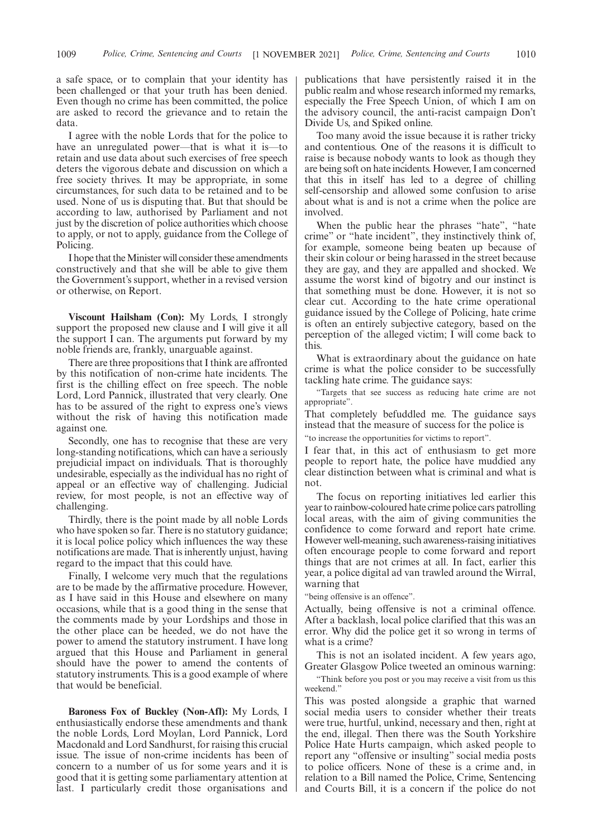a safe space, or to complain that your identity has been challenged or that your truth has been denied. Even though no crime has been committed, the police are asked to record the grievance and to retain the data.

I agree with the noble Lords that for the police to have an unregulated power—that is what it is—to retain and use data about such exercises of free speech deters the vigorous debate and discussion on which a free society thrives. It may be appropriate, in some circumstances, for such data to be retained and to be used. None of us is disputing that. But that should be according to law, authorised by Parliament and not just by the discretion of police authorities which choose to apply, or not to apply, guidance from the College of Policing.

I hope that the Minister will consider these amendments constructively and that she will be able to give them the Government's support, whether in a revised version or otherwise, on Report.

**Viscount Hailsham (Con):** My Lords, I strongly support the proposed new clause and I will give it all the support I can. The arguments put forward by my noble friends are, frankly, unarguable against.

There are three propositions that I think are affronted by this notification of non-crime hate incidents. The first is the chilling effect on free speech. The noble Lord, Lord Pannick, illustrated that very clearly. One has to be assured of the right to express one's views without the risk of having this notification made against one.

Secondly, one has to recognise that these are very long-standing notifications, which can have a seriously prejudicial impact on individuals. That is thoroughly undesirable, especially as the individual has no right of appeal or an effective way of challenging. Judicial review, for most people, is not an effective way of challenging.

Thirdly, there is the point made by all noble Lords who have spoken so far. There is no statutory guidance; it is local police policy which influences the way these notifications are made. That is inherently unjust, having regard to the impact that this could have.

Finally, I welcome very much that the regulations are to be made by the affirmative procedure. However, as I have said in this House and elsewhere on many occasions, while that is a good thing in the sense that the comments made by your Lordships and those in the other place can be heeded, we do not have the power to amend the statutory instrument. I have long argued that this House and Parliament in general should have the power to amend the contents of statutory instruments. This is a good example of where that would be beneficial.

**Baroness Fox of Buckley (Non-Afl):** My Lords, I enthusiastically endorse these amendments and thank the noble Lords, Lord Moylan, Lord Pannick, Lord Macdonald and Lord Sandhurst, for raising this crucial issue. The issue of non-crime incidents has been of concern to a number of us for some years and it is good that it is getting some parliamentary attention at last. I particularly credit those organisations and publications that have persistently raised it in the public realm and whose research informed my remarks, especially the Free Speech Union, of which I am on the advisory council, the anti-racist campaign Don't Divide Us, and Spiked online.

Too many avoid the issue because it is rather tricky and contentious. One of the reasons it is difficult to raise is because nobody wants to look as though they are being soft on hate incidents. However, I am concerned that this in itself has led to a degree of chilling self-censorship and allowed some confusion to arise about what is and is not a crime when the police are involved.

When the public hear the phrases "hate", "hate crime" or "hate incident", they instinctively think of, for example, someone being beaten up because of their skin colour or being harassed in the street because they are gay, and they are appalled and shocked. We assume the worst kind of bigotry and our instinct is that something must be done. However, it is not so clear cut. According to the hate crime operational guidance issued by the College of Policing, hate crime is often an entirely subjective category, based on the perception of the alleged victim; I will come back to this.

What is extraordinary about the guidance on hate crime is what the police consider to be successfully tackling hate crime. The guidance says:

"Targets that see success as reducing hate crime are not appropriate".

That completely befuddled me. The guidance says instead that the measure of success for the police is "to increase the opportunities for victims to report".

I fear that, in this act of enthusiasm to get more people to report hate, the police have muddied any clear distinction between what is criminal and what is not.

The focus on reporting initiatives led earlier this year to rainbow-coloured hate crime police cars patrolling local areas, with the aim of giving communities the confidence to come forward and report hate crime. However well-meaning, such awareness-raising initiatives often encourage people to come forward and report things that are not crimes at all. In fact, earlier this year, a police digital ad van trawled around the Wirral, warning that

"being offensive is an offence".

Actually, being offensive is not a criminal offence. After a backlash, local police clarified that this was an error. Why did the police get it so wrong in terms of what is a crime?

This is not an isolated incident. A few years ago, Greater Glasgow Police tweeted an ominous warning:

"Think before you post or you may receive a visit from us this weekend."

This was posted alongside a graphic that warned social media users to consider whether their treats were true, hurtful, unkind, necessary and then, right at the end, illegal. Then there was the South Yorkshire Police Hate Hurts campaign, which asked people to report any "offensive or insulting" social media posts to police officers. None of these is a crime and, in relation to a Bill named the Police, Crime, Sentencing and Courts Bill, it is a concern if the police do not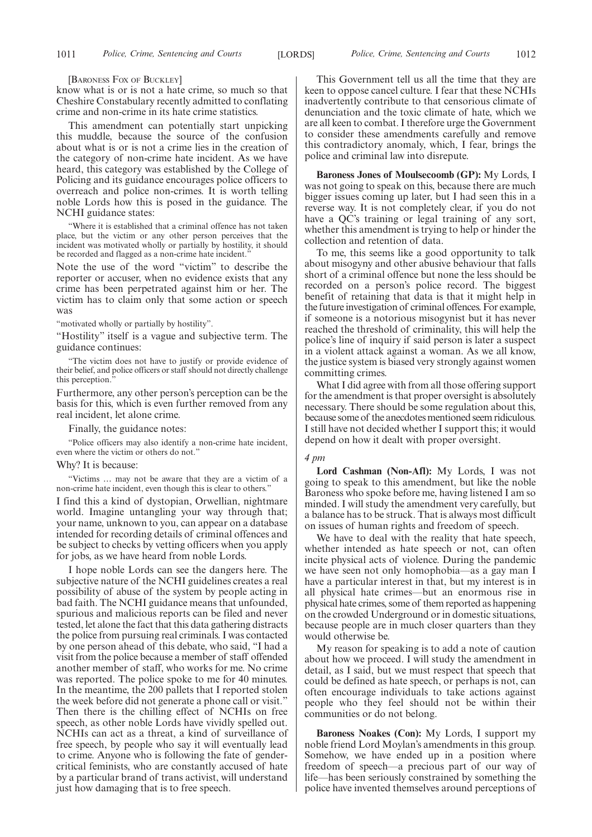[BARONESS FOX OF BUCKLEY]

know what is or is not a hate crime, so much so that Cheshire Constabulary recently admitted to conflating crime and non-crime in its hate crime statistics.

This amendment can potentially start unpicking this muddle, because the source of the confusion about what is or is not a crime lies in the creation of the category of non-crime hate incident. As we have heard, this category was established by the College of Policing and its guidance encourages police officers to overreach and police non-crimes. It is worth telling noble Lords how this is posed in the guidance. The NCHI guidance states:

"Where it is established that a criminal offence has not taken place, but the victim or any other person perceives that the incident was motivated wholly or partially by hostility, it should be recorded and flagged as a non-crime hate incident.'

Note the use of the word "victim" to describe the reporter or accuser, when no evidence exists that any crime has been perpetrated against him or her. The victim has to claim only that some action or speech was

"motivated wholly or partially by hostility".

"Hostility" itself is a vague and subjective term. The guidance continues:

"The victim does not have to justify or provide evidence of their belief, and police officers or staff should not directly challenge this perception.

Furthermore, any other person's perception can be the basis for this, which is even further removed from any real incident, let alone crime.

Finally, the guidance notes:

"Police officers may also identify a non-crime hate incident, even where the victim or others do not."

#### Why? It is because:

"Victims … may not be aware that they are a victim of a non-crime hate incident, even though this is clear to others."

I find this a kind of dystopian, Orwellian, nightmare world. Imagine untangling your way through that; your name, unknown to you, can appear on a database intended for recording details of criminal offences and be subject to checks by vetting officers when you apply for jobs, as we have heard from noble Lords.

I hope noble Lords can see the dangers here. The subjective nature of the NCHI guidelines creates a real possibility of abuse of the system by people acting in bad faith. The NCHI guidance means that unfounded, spurious and malicious reports can be filed and never tested, let alone the fact that this data gathering distracts the police from pursuing real criminals. I was contacted by one person ahead of this debate, who said, "I had a visit from the police because a member of staff offended another member of staff, who works for me. No crime was reported. The police spoke to me for 40 minutes. In the meantime, the 200 pallets that I reported stolen the week before did not generate a phone call or visit." Then there is the chilling effect of NCHIs on free speech, as other noble Lords have vividly spelled out. NCHIs can act as a threat, a kind of surveillance of free speech, by people who say it will eventually lead to crime. Anyone who is following the fate of gendercritical feminists, who are constantly accused of hate by a particular brand of trans activist, will understand just how damaging that is to free speech.

This Government tell us all the time that they are keen to oppose cancel culture. I fear that these NCHIs inadvertently contribute to that censorious climate of denunciation and the toxic climate of hate, which we are all keen to combat. I therefore urge the Government to consider these amendments carefully and remove this contradictory anomaly, which, I fear, brings the police and criminal law into disrepute.

**Baroness Jones of Moulsecoomb (GP):** My Lords, I was not going to speak on this, because there are much bigger issues coming up later, but I had seen this in a reverse way. It is not completely clear, if you do not have a QC's training or legal training of any sort, whether this amendment is trying to help or hinder the collection and retention of data.

To me, this seems like a good opportunity to talk about misogyny and other abusive behaviour that falls short of a criminal offence but none the less should be recorded on a person's police record. The biggest benefit of retaining that data is that it might help in the future investigation of criminal offences. For example, if someone is a notorious misogynist but it has never reached the threshold of criminality, this will help the police's line of inquiry if said person is later a suspect in a violent attack against a woman. As we all know, the justice system is biased very strongly against women committing crimes.

What I did agree with from all those offering support for the amendment is that proper oversight is absolutely necessary. There should be some regulation about this, because some of the anecdotes mentioned seem ridiculous. I still have not decided whether I support this; it would depend on how it dealt with proper oversight.

#### *4 pm*

**Lord Cashman (Non-Afl):** My Lords, I was not going to speak to this amendment, but like the noble Baroness who spoke before me, having listened I am so minded. I will study the amendment very carefully, but a balance has to be struck. That is always most difficult on issues of human rights and freedom of speech.

We have to deal with the reality that hate speech, whether intended as hate speech or not, can often incite physical acts of violence. During the pandemic we have seen not only homophobia—as a gay man I have a particular interest in that, but my interest is in all physical hate crimes—but an enormous rise in physical hate crimes, some of them reported as happening on the crowded Underground or in domestic situations, because people are in much closer quarters than they would otherwise be.

My reason for speaking is to add a note of caution about how we proceed. I will study the amendment in detail, as I said, but we must respect that speech that could be defined as hate speech, or perhaps is not, can often encourage individuals to take actions against people who they feel should not be within their communities or do not belong.

**Baroness Noakes (Con):** My Lords, I support my noble friend Lord Moylan's amendments in this group. Somehow, we have ended up in a position where freedom of speech—a precious part of our way of life—has been seriously constrained by something the police have invented themselves around perceptions of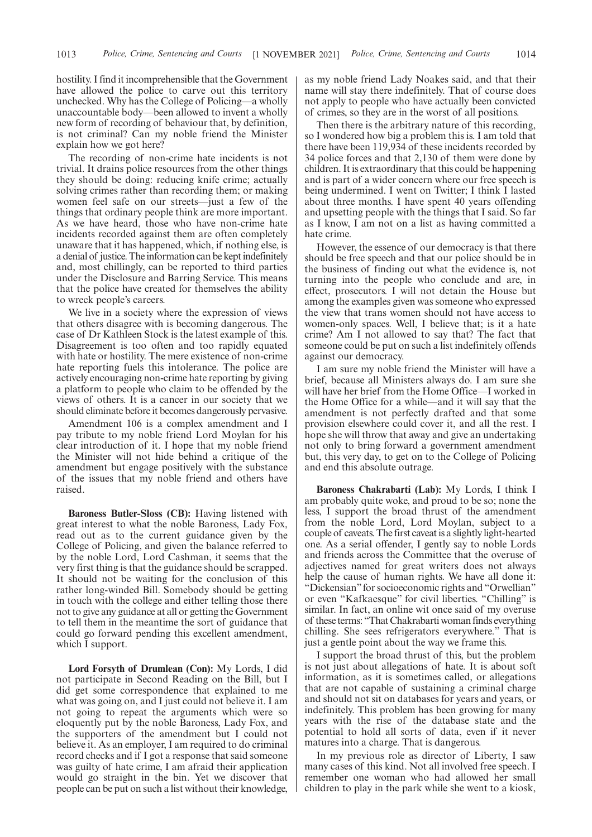hostility. I find it incomprehensible that the Government have allowed the police to carve out this territory unchecked. Why has the College of Policing—a wholly unaccountable body—been allowed to invent a wholly new form of recording of behaviour that, by definition, is not criminal? Can my noble friend the Minister explain how we got here?

The recording of non-crime hate incidents is not trivial. It drains police resources from the other things they should be doing: reducing knife crime; actually solving crimes rather than recording them; or making women feel safe on our streets—just a few of the things that ordinary people think are more important. As we have heard, those who have non-crime hate incidents recorded against them are often completely unaware that it has happened, which, if nothing else, is a denial of justice. The information can be kept indefinitely and, most chillingly, can be reported to third parties under the Disclosure and Barring Service. This means that the police have created for themselves the ability to wreck people's careers.

We live in a society where the expression of views that others disagree with is becoming dangerous. The case of Dr Kathleen Stock is the latest example of this. Disagreement is too often and too rapidly equated with hate or hostility. The mere existence of non-crime hate reporting fuels this intolerance. The police are actively encouraging non-crime hate reporting by giving a platform to people who claim to be offended by the views of others. It is a cancer in our society that we should eliminate before it becomes dangerously pervasive.

Amendment 106 is a complex amendment and I pay tribute to my noble friend Lord Moylan for his clear introduction of it. I hope that my noble friend the Minister will not hide behind a critique of the amendment but engage positively with the substance of the issues that my noble friend and others have raised.

**Baroness Butler-Sloss (CB):** Having listened with great interest to what the noble Baroness, Lady Fox, read out as to the current guidance given by the College of Policing, and given the balance referred to by the noble Lord, Lord Cashman, it seems that the very first thing is that the guidance should be scrapped. It should not be waiting for the conclusion of this rather long-winded Bill. Somebody should be getting in touch with the college and either telling those there not to give any guidance at all or getting the Government to tell them in the meantime the sort of guidance that could go forward pending this excellent amendment, which I support.

**Lord Forsyth of Drumlean (Con):** My Lords, I did not participate in Second Reading on the Bill, but I did get some correspondence that explained to me what was going on, and I just could not believe it. I am not going to repeat the arguments which were so eloquently put by the noble Baroness, Lady Fox, and the supporters of the amendment but I could not believe it. As an employer, I am required to do criminal record checks and if I got a response that said someone was guilty of hate crime, I am afraid their application would go straight in the bin. Yet we discover that people can be put on such a list without their knowledge, as my noble friend Lady Noakes said, and that their name will stay there indefinitely. That of course does not apply to people who have actually been convicted of crimes, so they are in the worst of all positions.

Then there is the arbitrary nature of this recording, so I wondered how big a problem this is. I am told that there have been 119,934 of these incidents recorded by 34 police forces and that 2,130 of them were done by children. It is extraordinary that this could be happening and is part of a wider concern where our free speech is being undermined. I went on Twitter; I think I lasted about three months. I have spent 40 years offending and upsetting people with the things that I said. So far as I know, I am not on a list as having committed a hate crime.

However, the essence of our democracy is that there should be free speech and that our police should be in the business of finding out what the evidence is, not turning into the people who conclude and are, in effect, prosecutors. I will not detain the House but among the examples given was someone who expressed the view that trans women should not have access to women-only spaces. Well, I believe that; is it a hate crime? Am I not allowed to say that? The fact that someone could be put on such a list indefinitely offends against our democracy.

I am sure my noble friend the Minister will have a brief, because all Ministers always do. I am sure she will have her brief from the Home Office—I worked in the Home Office for a while—and it will say that the amendment is not perfectly drafted and that some provision elsewhere could cover it, and all the rest. I hope she will throw that away and give an undertaking not only to bring forward a government amendment but, this very day, to get on to the College of Policing and end this absolute outrage.

**Baroness Chakrabarti (Lab):** My Lords, I think I am probably quite woke, and proud to be so; none the less, I support the broad thrust of the amendment from the noble Lord, Lord Moylan, subject to a couple of caveats. The first caveat is a slightly light-hearted one. As a serial offender, I gently say to noble Lords and friends across the Committee that the overuse of adjectives named for great writers does not always help the cause of human rights. We have all done it: "Dickensian" for socioeconomic rights and "Orwellian" or even "Kafkaesque" for civil liberties. "Chilling" is similar. In fact, an online wit once said of my overuse of these terms: "That Chakrabarti woman finds everything chilling. She sees refrigerators everywhere." That is just a gentle point about the way we frame this.

I support the broad thrust of this, but the problem is not just about allegations of hate. It is about soft information, as it is sometimes called, or allegations that are not capable of sustaining a criminal charge and should not sit on databases for years and years, or indefinitely. This problem has been growing for many years with the rise of the database state and the potential to hold all sorts of data, even if it never matures into a charge. That is dangerous.

In my previous role as director of Liberty, I saw many cases of this kind. Not all involved free speech. I remember one woman who had allowed her small children to play in the park while she went to a kiosk,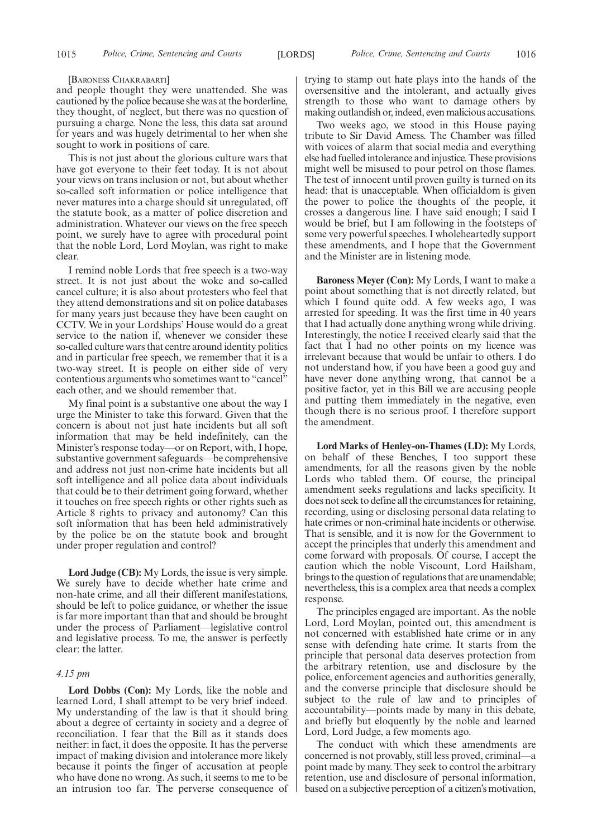#### [BARONESS CHAKRABARTI]

and people thought they were unattended. She was cautioned by the police because she was at the borderline, they thought, of neglect, but there was no question of pursuing a charge. None the less, this data sat around for years and was hugely detrimental to her when she sought to work in positions of care.

This is not just about the glorious culture wars that have got everyone to their feet today. It is not about your views on trans inclusion or not, but about whether so-called soft information or police intelligence that never matures into a charge should sit unregulated, off the statute book, as a matter of police discretion and administration. Whatever our views on the free speech point, we surely have to agree with procedural point that the noble Lord, Lord Moylan, was right to make clear.

I remind noble Lords that free speech is a two-way street. It is not just about the woke and so-called cancel culture; it is also about protesters who feel that they attend demonstrations and sit on police databases for many years just because they have been caught on CCTV. We in your Lordships' House would do a great service to the nation if, whenever we consider these so-called culture wars that centre around identity politics and in particular free speech, we remember that it is a two-way street. It is people on either side of very contentious arguments who sometimes want to "cancel" each other, and we should remember that.

My final point is a substantive one about the way I urge the Minister to take this forward. Given that the concern is about not just hate incidents but all soft information that may be held indefinitely, can the Minister's response today—or on Report, with, I hope, substantive government safeguards—be comprehensive and address not just non-crime hate incidents but all soft intelligence and all police data about individuals that could be to their detriment going forward, whether it touches on free speech rights or other rights such as Article 8 rights to privacy and autonomy? Can this soft information that has been held administratively by the police be on the statute book and brought under proper regulation and control?

**Lord Judge (CB):** My Lords, the issue is very simple. We surely have to decide whether hate crime and non-hate crime, and all their different manifestations, should be left to police guidance, or whether the issue is far more important than that and should be brought under the process of Parliament—legislative control and legislative process. To me, the answer is perfectly clear: the latter.

# *4.15 pm*

**Lord Dobbs (Con):** My Lords, like the noble and learned Lord, I shall attempt to be very brief indeed. My understanding of the law is that it should bring about a degree of certainty in society and a degree of reconciliation. I fear that the Bill as it stands does neither: in fact, it does the opposite. It has the perverse impact of making division and intolerance more likely because it points the finger of accusation at people who have done no wrong. As such, it seems to me to be an intrusion too far. The perverse consequence of trying to stamp out hate plays into the hands of the oversensitive and the intolerant, and actually gives strength to those who want to damage others by making outlandish or, indeed, even malicious accusations.

Two weeks ago, we stood in this House paying tribute to Sir David Amess. The Chamber was filled with voices of alarm that social media and everything else had fuelled intolerance and injustice. These provisions might well be misused to pour petrol on those flames. The test of innocent until proven guilty is turned on its head: that is unacceptable. When officialdom is given the power to police the thoughts of the people, it crosses a dangerous line. I have said enough; I said I would be brief, but I am following in the footsteps of some very powerful speeches. I wholeheartedly support these amendments, and I hope that the Government and the Minister are in listening mode.

**Baroness Meyer (Con):** My Lords, I want to make a point about something that is not directly related, but which I found quite odd. A few weeks ago, I was arrested for speeding. It was the first time in 40 years that I had actually done anything wrong while driving. Interestingly, the notice I received clearly said that the fact that I had no other points on my licence was irrelevant because that would be unfair to others. I do not understand how, if you have been a good guy and have never done anything wrong, that cannot be a positive factor, yet in this Bill we are accusing people and putting them immediately in the negative, even though there is no serious proof. I therefore support the amendment.

**Lord Marks of Henley-on-Thames (LD):** My Lords, on behalf of these Benches, I too support these amendments, for all the reasons given by the noble Lords who tabled them. Of course, the principal amendment seeks regulations and lacks specificity. It does not seek to define all the circumstances for retaining, recording, using or disclosing personal data relating to hate crimes or non-criminal hate incidents or otherwise. That is sensible, and it is now for the Government to accept the principles that underly this amendment and come forward with proposals. Of course, I accept the caution which the noble Viscount, Lord Hailsham, brings to the question of regulations that are unamendable; nevertheless, this is a complex area that needs a complex response.

The principles engaged are important. As the noble Lord, Lord Moylan, pointed out, this amendment is not concerned with established hate crime or in any sense with defending hate crime. It starts from the principle that personal data deserves protection from the arbitrary retention, use and disclosure by the police, enforcement agencies and authorities generally, and the converse principle that disclosure should be subject to the rule of law and to principles of accountability—points made by many in this debate, and briefly but eloquently by the noble and learned Lord, Lord Judge, a few moments ago.

The conduct with which these amendments are concerned is not provably, still less proved, criminal—a point made by many. They seek to control the arbitrary retention, use and disclosure of personal information, based on a subjective perception of a citizen's motivation,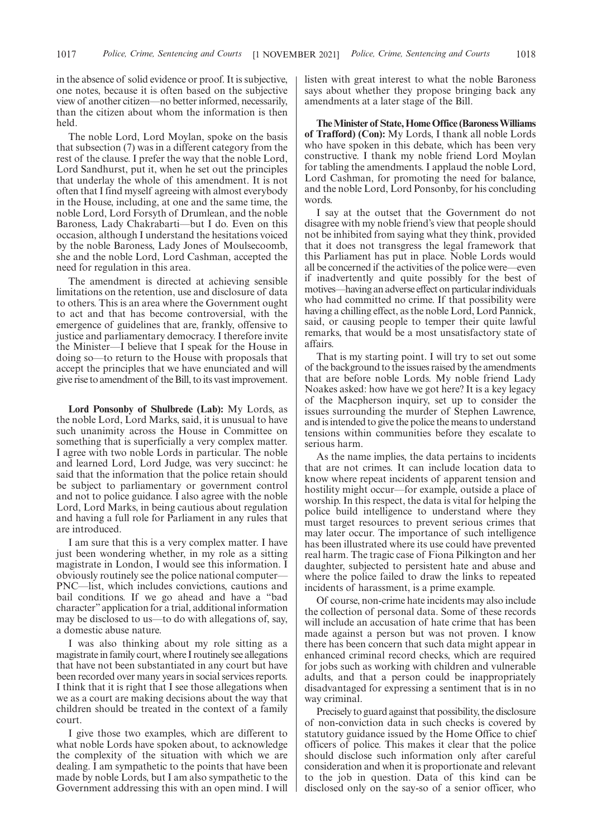in the absence of solid evidence or proof. It is subjective, one notes, because it is often based on the subjective view of another citizen—no better informed, necessarily, than the citizen about whom the information is then held.

The noble Lord, Lord Moylan, spoke on the basis that subsection (7) was in a different category from the rest of the clause. I prefer the way that the noble Lord, Lord Sandhurst, put it, when he set out the principles that underlay the whole of this amendment. It is not often that I find myself agreeing with almost everybody in the House, including, at one and the same time, the noble Lord, Lord Forsyth of Drumlean, and the noble Baroness, Lady Chakrabarti—but I do. Even on this occasion, although I understand the hesitations voiced by the noble Baroness, Lady Jones of Moulsecoomb, she and the noble Lord, Lord Cashman, accepted the need for regulation in this area.

The amendment is directed at achieving sensible limitations on the retention, use and disclosure of data to others. This is an area where the Government ought to act and that has become controversial, with the emergence of guidelines that are, frankly, offensive to justice and parliamentary democracy. I therefore invite the Minister—I believe that I speak for the House in doing so—to return to the House with proposals that accept the principles that we have enunciated and will give rise to amendment of the Bill, to its vast improvement.

**Lord Ponsonby of Shulbrede (Lab):** My Lords, as the noble Lord, Lord Marks, said, it is unusual to have such unanimity across the House in Committee on something that is superficially a very complex matter. I agree with two noble Lords in particular. The noble and learned Lord, Lord Judge, was very succinct: he said that the information that the police retain should be subject to parliamentary or government control and not to police guidance. I also agree with the noble Lord, Lord Marks, in being cautious about regulation and having a full role for Parliament in any rules that are introduced.

I am sure that this is a very complex matter. I have just been wondering whether, in my role as a sitting magistrate in London, I would see this information. I obviously routinely see the police national computer— PNC—list, which includes convictions, cautions and bail conditions. If we go ahead and have a "bad character"application for a trial, additional information may be disclosed to us—to do with allegations of, say, a domestic abuse nature.

I was also thinking about my role sitting as a magistrate in family court, where I routinely see allegations that have not been substantiated in any court but have been recorded over many years in social services reports. I think that it is right that I see those allegations when we as a court are making decisions about the way that children should be treated in the context of a family court.

I give those two examples, which are different to what noble Lords have spoken about, to acknowledge the complexity of the situation with which we are dealing. I am sympathetic to the points that have been made by noble Lords, but I am also sympathetic to the Government addressing this with an open mind. I will listen with great interest to what the noble Baroness says about whether they propose bringing back any amendments at a later stage of the Bill.

**The Minister of State, Home Office (Baroness Williams of Trafford) (Con):** My Lords, I thank all noble Lords who have spoken in this debate, which has been very constructive. I thank my noble friend Lord Moylan for tabling the amendments. I applaud the noble Lord, Lord Cashman, for promoting the need for balance, and the noble Lord, Lord Ponsonby, for his concluding words.

I say at the outset that the Government do not disagree with my noble friend's view that people should not be inhibited from saying what they think, provided that it does not transgress the legal framework that this Parliament has put in place. Noble Lords would all be concerned if the activities of the police were—even if inadvertently and quite possibly for the best of motives—having an adverse effect on particular individuals who had committed no crime. If that possibility were having a chilling effect, as the noble Lord, Lord Pannick, said, or causing people to temper their quite lawful remarks, that would be a most unsatisfactory state of affairs.

That is my starting point. I will try to set out some of the background to the issues raised by the amendments that are before noble Lords. My noble friend Lady Noakes asked: how have we got here? It is a key legacy of the Macpherson inquiry, set up to consider the issues surrounding the murder of Stephen Lawrence, and is intended to give the police the means to understand tensions within communities before they escalate to serious harm.

As the name implies, the data pertains to incidents that are not crimes. It can include location data to know where repeat incidents of apparent tension and hostility might occur—for example, outside a place of worship. In this respect, the data is vital for helping the police build intelligence to understand where they must target resources to prevent serious crimes that may later occur. The importance of such intelligence has been illustrated where its use could have prevented real harm. The tragic case of Fiona Pilkington and her daughter, subjected to persistent hate and abuse and where the police failed to draw the links to repeated incidents of harassment, is a prime example.

Of course, non-crime hate incidents may also include the collection of personal data. Some of these records will include an accusation of hate crime that has been made against a person but was not proven. I know there has been concern that such data might appear in enhanced criminal record checks, which are required for jobs such as working with children and vulnerable adults, and that a person could be inappropriately disadvantaged for expressing a sentiment that is in no way criminal.

Precisely to guard against that possibility, the disclosure of non-conviction data in such checks is covered by statutory guidance issued by the Home Office to chief officers of police. This makes it clear that the police should disclose such information only after careful consideration and when it is proportionate and relevant to the job in question. Data of this kind can be disclosed only on the say-so of a senior officer, who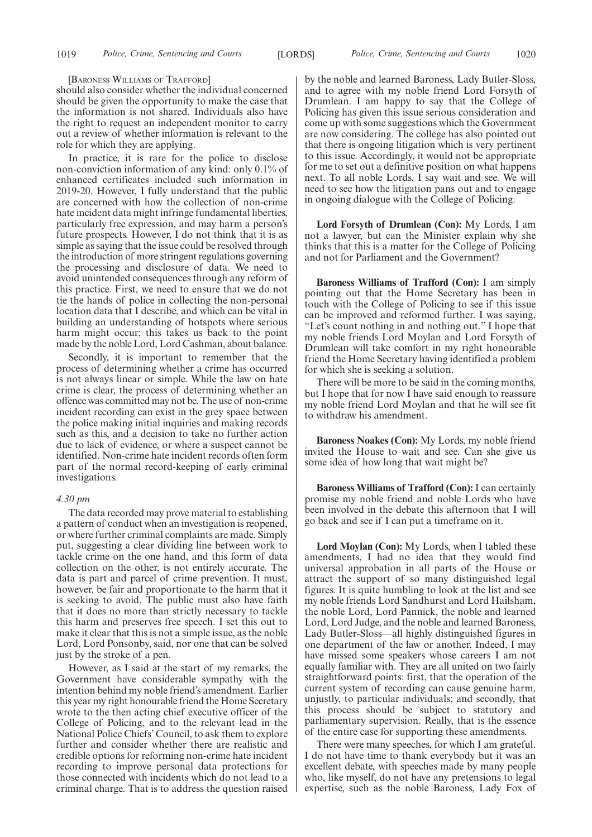[BARONESS WILLIAMS OF TRAFFORD]

should also consider whether the individual concerned should be given the opportunity to make the case that the information is not shared. Individuals also have the right to request an independent monitor to carry out a review of whether information is relevant to the role for which they are applying.

In practice, it is rare for the police to disclose non-conviction information of any kind: only 0.1% of enhanced certificates included such information in 2019-20. However, I fully understand that the public are concerned with how the collection of non-crime hate incident data might infringe fundamental liberties, particularly free expression, and may harm a person's future prospects. However, I do not think that it is as simple as saying that the issue could be resolved through the introduction of more stringent regulations governing the processing and disclosure of data. We need to avoid unintended consequences through any reform of this practice. First, we need to ensure that we do not tie the hands of police in collecting the non-personal location data that I describe, and which can be vital in building an understanding of hotspots where serious harm might occur; this takes us back to the point made by the noble Lord, Lord Cashman, about balance.

Secondly, it is important to remember that the process of determining whether a crime has occurred is not always linear or simple. While the law on hate crime is clear, the process of determining whether an offence was committed may not be. The use of non-crime incident recording can exist in the grey space between the police making initial inquiries and making records such as this, and a decision to take no further action due to lack of evidence, or where a suspect cannot be identified. Non-crime hate incident records often form part of the normal record-keeping of early criminal investigations.

### *4.30 pm*

The data recorded may prove material to establishing a pattern of conduct when an investigation is reopened, or where further criminal complaints are made. Simply put, suggesting a clear dividing line between work to tackle crime on the one hand, and this form of data collection on the other, is not entirely accurate. The data is part and parcel of crime prevention. It must, however, be fair and proportionate to the harm that it is seeking to avoid. The public must also have faith that it does no more than strictly necessary to tackle this harm and preserves free speech. I set this out to make it clear that this is not a simple issue, as the noble Lord, Lord Ponsonby, said, nor one that can be solved just by the stroke of a pen.

However, as I said at the start of my remarks, the Government have considerable sympathy with the intention behind my noble friend's amendment. Earlier this year my right honourable friend the Home Secretary wrote to the then acting chief executive officer of the College of Policing, and to the relevant lead in the National Police Chiefs' Council, to ask them to explore further and consider whether there are realistic and credible options for reforming non-crime hate incident recording to improve personal data protections for those connected with incidents which do not lead to a criminal charge. That is to address the question raised by the noble and learned Baroness, Lady Butler-Sloss, and to agree with my noble friend Lord Forsyth of Drumlean. I am happy to say that the College of Policing has given this issue serious consideration and come up with some suggestions which the Government are now considering. The college has also pointed out that there is ongoing litigation which is very pertinent to this issue. Accordingly, it would not be appropriate for me to set out a definitive position on what happens next. To all noble Lords, I say wait and see. We will need to see how the litigation pans out and to engage in ongoing dialogue with the College of Policing.

**Lord Forsyth of Drumlean (Con):** My Lords, I am not a lawyer, but can the Minister explain why she thinks that this is a matter for the College of Policing and not for Parliament and the Government?

**Baroness Williams of Trafford (Con):** I am simply pointing out that the Home Secretary has been in touch with the College of Policing to see if this issue can be improved and reformed further. I was saying, "Let's count nothing in and nothing out." I hope that my noble friends Lord Moylan and Lord Forsyth of Drumlean will take comfort in my right honourable friend the Home Secretary having identified a problem for which she is seeking a solution.

There will be more to be said in the coming months, but I hope that for now I have said enough to reassure my noble friend Lord Moylan and that he will see fit to withdraw his amendment.

**Baroness Noakes (Con):** My Lords, my noble friend invited the House to wait and see. Can she give us some idea of how long that wait might be?

**Baroness Williams of Trafford (Con):** I can certainly promise my noble friend and noble Lords who have been involved in the debate this afternoon that I will go back and see if I can put a timeframe on it.

**Lord Moylan (Con):** My Lords, when I tabled these amendments, I had no idea that they would find universal approbation in all parts of the House or attract the support of so many distinguished legal figures. It is quite humbling to look at the list and see my noble friends Lord Sandhurst and Lord Hailsham, the noble Lord, Lord Pannick, the noble and learned Lord, Lord Judge, and the noble and learned Baroness, Lady Butler-Sloss—all highly distinguished figures in one department of the law or another. Indeed, I may have missed some speakers whose careers I am not equally familiar with. They are all united on two fairly straightforward points: first, that the operation of the current system of recording can cause genuine harm, unjustly, to particular individuals; and secondly, that this process should be subject to statutory and parliamentary supervision. Really, that is the essence of the entire case for supporting these amendments.

There were many speeches, for which I am grateful. I do not have time to thank everybody but it was an excellent debate, with speeches made by many people who, like myself, do not have any pretensions to legal expertise, such as the noble Baroness, Lady Fox of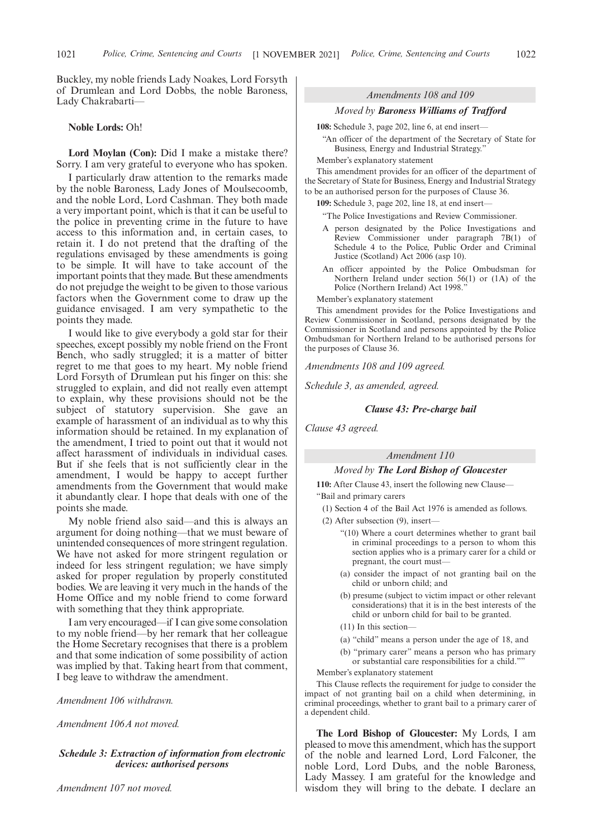Buckley, my noble friends Lady Noakes, Lord Forsyth of Drumlean and Lord Dobbs, the noble Baroness, Lady Chakrabarti—

### **Noble Lords:** Oh!

**Lord Moylan (Con):** Did I make a mistake there? Sorry. I am very grateful to everyone who has spoken.

I particularly draw attention to the remarks made by the noble Baroness, Lady Jones of Moulsecoomb, and the noble Lord, Lord Cashman. They both made a very important point, which is that it can be useful to the police in preventing crime in the future to have access to this information and, in certain cases, to retain it. I do not pretend that the drafting of the regulations envisaged by these amendments is going to be simple. It will have to take account of the important points that they made. But these amendments do not prejudge the weight to be given to those various factors when the Government come to draw up the guidance envisaged. I am very sympathetic to the points they made.

I would like to give everybody a gold star for their speeches, except possibly my noble friend on the Front Bench, who sadly struggled; it is a matter of bitter regret to me that goes to my heart. My noble friend Lord Forsyth of Drumlean put his finger on this: she struggled to explain, and did not really even attempt to explain, why these provisions should not be the subject of statutory supervision. She gave an example of harassment of an individual as to why this information should be retained. In my explanation of the amendment, I tried to point out that it would not affect harassment of individuals in individual cases. But if she feels that is not sufficiently clear in the amendment, I would be happy to accept further amendments from the Government that would make it abundantly clear. I hope that deals with one of the points she made.

My noble friend also said—and this is always an argument for doing nothing—that we must beware of unintended consequences of more stringent regulation. We have not asked for more stringent regulation or indeed for less stringent regulation; we have simply asked for proper regulation by properly constituted bodies. We are leaving it very much in the hands of the Home Office and my noble friend to come forward with something that they think appropriate.

I am very encouraged—if I can give some consolation to my noble friend—by her remark that her colleague the Home Secretary recognises that there is a problem and that some indication of some possibility of action was implied by that. Taking heart from that comment, I beg leave to withdraw the amendment.

*Amendment 106 withdrawn.*

*Amendment 106A not moved.*

# *Schedule 3: Extraction of information from electronic devices: authorised persons*

### *Amendments 108 and 109*

#### *Moved by Baroness Williams of Trafford*

**108:** Schedule 3, page 202, line 6, at end insert—

"An officer of the department of the Secretary of State for Business, Energy and Industrial Strategy."

Member's explanatory statement

This amendment provides for an officer of the department of the Secretary of State for Business, Energy and Industrial Strategy to be an authorised person for the purposes of Clause 36.

**109:** Schedule 3, page 202, line 18, at end insert—

"The Police Investigations and Review Commissioner.

- A person designated by the Police Investigations and Review Commissioner under paragraph 7B(1) of Schedule 4 to the Police, Public Order and Criminal Justice (Scotland) Act 2006 (asp 10).
- An officer appointed by the Police Ombudsman for Northern Ireland under section 56(1) or (1A) of the Police (Northern Ireland) Act 1998."

Member's explanatory statement

This amendment provides for the Police Investigations and Review Commissioner in Scotland, persons designated by the Commissioner in Scotland and persons appointed by the Police Ombudsman for Northern Ireland to be authorised persons for the purposes of Clause 36.

*Amendments 108 and 109 agreed.*

*Schedule 3, as amended, agreed.*

#### *Clause 43: Pre-charge bail*

*Clause 43 agreed.*

# *Amendment 110*

#### *Moved by The Lord Bishop of Gloucester*

**110:** After Clause 43, insert the following new Clause— "Bail and primary carers

- (1) Section 4 of the Bail Act 1976 is amended as follows.
- (2) After subsection (9), insert—
	- "(10) Where a court determines whether to grant bail in criminal proceedings to a person to whom this section applies who is a primary carer for a child or pregnant, the court must—
	- (a) consider the impact of not granting bail on the child or unborn child; and
	- (b) presume (subject to victim impact or other relevant considerations) that it is in the best interests of the child or unborn child for bail to be granted.
	- (11) In this section—
	- (a) "child" means a person under the age of 18, and
	- (b) "primary carer" means a person who has primary or substantial care responsibilities for a child.""

Member's explanatory statement

This Clause reflects the requirement for judge to consider the impact of not granting bail on a child when determining, in criminal proceedings, whether to grant bail to a primary carer of a dependent child.

**The Lord Bishop of Gloucester:** My Lords, I am pleased to move this amendment, which has the support of the noble and learned Lord, Lord Falconer, the noble Lord, Lord Dubs, and the noble Baroness, Lady Massey. I am grateful for the knowledge and wisdom they will bring to the debate. I declare an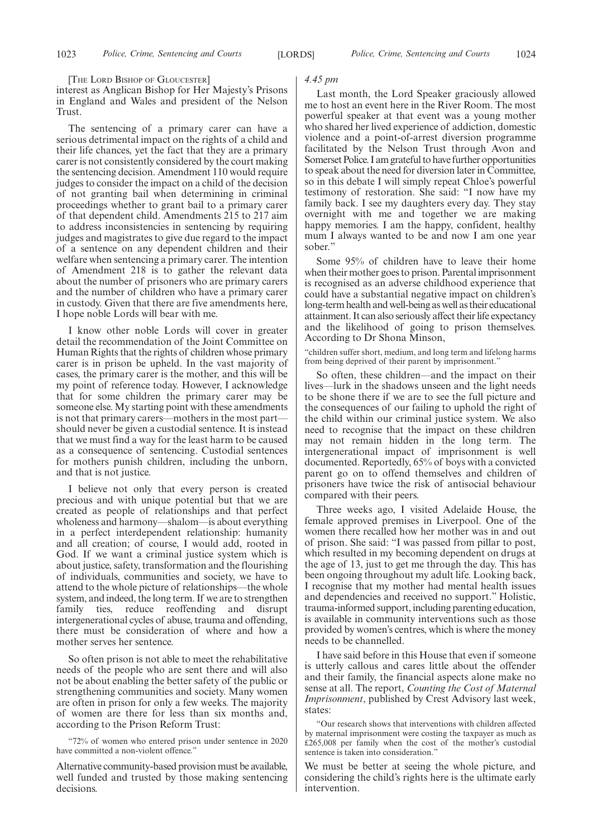[THE LORD BISHOP OF GLOUCESTER]

interest as Anglican Bishop for Her Majesty's Prisons in England and Wales and president of the Nelson Trust.

The sentencing of a primary carer can have a serious detrimental impact on the rights of a child and their life chances, yet the fact that they are a primary carer is not consistently considered by the court making the sentencing decision. Amendment 110 would require judges to consider the impact on a child of the decision of not granting bail when determining in criminal proceedings whether to grant bail to a primary carer of that dependent child. Amendments 215 to 217 aim to address inconsistencies in sentencing by requiring judges and magistrates to give due regard to the impact of a sentence on any dependent children and their welfare when sentencing a primary carer. The intention of Amendment 218 is to gather the relevant data about the number of prisoners who are primary carers and the number of children who have a primary carer in custody. Given that there are five amendments here, I hope noble Lords will bear with me.

I know other noble Lords will cover in greater detail the recommendation of the Joint Committee on Human Rights that the rights of children whose primary carer is in prison be upheld. In the vast majority of cases, the primary carer is the mother, and this will be my point of reference today. However, I acknowledge that for some children the primary carer may be someone else. My starting point with these amendments is not that primary carers—mothers in the most part should never be given a custodial sentence. It is instead that we must find a way for the least harm to be caused as a consequence of sentencing. Custodial sentences for mothers punish children, including the unborn, and that is not justice.

I believe not only that every person is created precious and with unique potential but that we are created as people of relationships and that perfect wholeness and harmony—shalom—is about everything in a perfect interdependent relationship: humanity and all creation; of course, I would add, rooted in God. If we want a criminal justice system which is about justice, safety, transformation and the flourishing of individuals, communities and society, we have to attend to the whole picture of relationships—the whole system, and indeed, the long term. If we are to strengthen family ties, reduce reoffending and disrupt intergenerational cycles of abuse, trauma and offending, there must be consideration of where and how a mother serves her sentence.

So often prison is not able to meet the rehabilitative needs of the people who are sent there and will also not be about enabling the better safety of the public or strengthening communities and society. Many women are often in prison for only a few weeks. The majority of women are there for less than six months and, according to the Prison Reform Trust:

"72% of women who entered prison under sentence in 2020 have committed a non-violent offence."

Alternative community-based provision must be available, well funded and trusted by those making sentencing decisions.

# *4.45 pm*

Last month, the Lord Speaker graciously allowed me to host an event here in the River Room. The most powerful speaker at that event was a young mother who shared her lived experience of addiction, domestic violence and a point-of-arrest diversion programme facilitated by the Nelson Trust through Avon and Somerset Police. I am grateful to have further opportunities to speak about the need for diversion later in Committee, so in this debate I will simply repeat Chloe's powerful testimony of restoration. She said: "I now have my family back. I see my daughters every day. They stay overnight with me and together we are making happy memories. I am the happy, confident, healthy mum I always wanted to be and now I am one year sober."

Some 95% of children have to leave their home when their mother goes to prison. Parental imprisonment is recognised as an adverse childhood experience that could have a substantial negative impact on children's long-term health and well-being as well as their educational attainment. It can also seriously affect their life expectancy and the likelihood of going to prison themselves. According to Dr Shona Minson,

"children suffer short, medium, and long term and lifelong harms from being deprived of their parent by imprisonment."

So often, these children—and the impact on their lives—lurk in the shadows unseen and the light needs to be shone there if we are to see the full picture and the consequences of our failing to uphold the right of the child within our criminal justice system. We also need to recognise that the impact on these children may not remain hidden in the long term. The intergenerational impact of imprisonment is well documented. Reportedly, 65% of boys with a convicted parent go on to offend themselves and children of prisoners have twice the risk of antisocial behaviour compared with their peers.

Three weeks ago, I visited Adelaide House, the female approved premises in Liverpool. One of the women there recalled how her mother was in and out of prison. She said: "I was passed from pillar to post, which resulted in my becoming dependent on drugs at the age of 13, just to get me through the day. This has been ongoing throughout my adult life. Looking back, I recognise that my mother had mental health issues and dependencies and received no support." Holistic, trauma-informed support, including parenting education, is available in community interventions such as those provided by women's centres, which is where the money needs to be channelled.

I have said before in this House that even if someone is utterly callous and cares little about the offender and their family, the financial aspects alone make no sense at all. The report, *Counting the Cost of Maternal Imprisonment*, published by Crest Advisory last week, states:

"Our research shows that interventions with children affected by maternal imprisonment were costing the taxpayer as much as £265,008 per family when the cost of the mother's custodial sentence is taken into consideration."

We must be better at seeing the whole picture, and considering the child's rights here is the ultimate early intervention.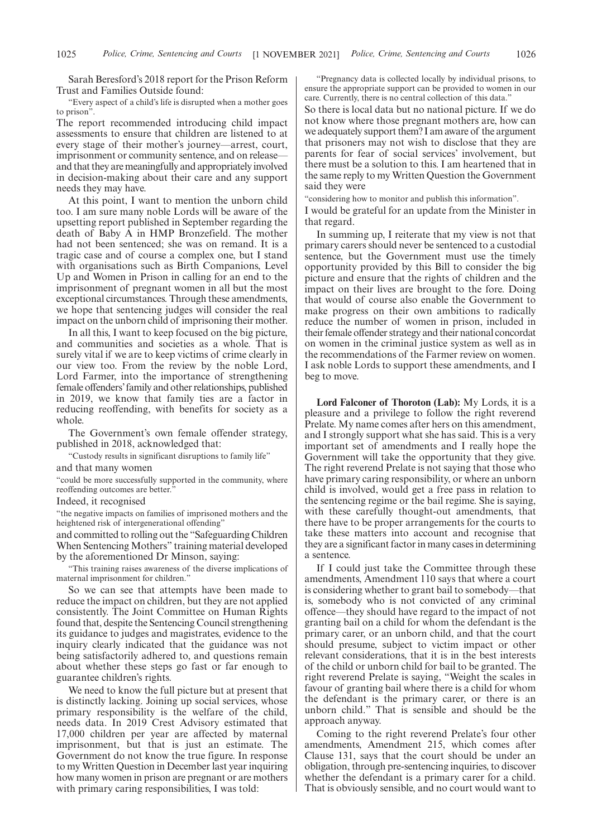Sarah Beresford's 2018 report for the Prison Reform Trust and Families Outside found:

"Every aspect of a child's life is disrupted when a mother goes to prison".

The report recommended introducing child impact assessments to ensure that children are listened to at every stage of their mother's journey—arrest, court, imprisonment or community sentence, and on releaseand that they are meaningfully and appropriately involved in decision-making about their care and any support needs they may have.

At this point, I want to mention the unborn child too. I am sure many noble Lords will be aware of the upsetting report published in September regarding the death of Baby A in HMP Bronzefield. The mother had not been sentenced; she was on remand. It is a tragic case and of course a complex one, but I stand with organisations such as Birth Companions, Level Up and Women in Prison in calling for an end to the imprisonment of pregnant women in all but the most exceptional circumstances. Through these amendments, we hope that sentencing judges will consider the real impact on the unborn child of imprisoning their mother.

In all this, I want to keep focused on the big picture, and communities and societies as a whole. That is surely vital if we are to keep victims of crime clearly in our view too. From the review by the noble Lord, Lord Farmer, into the importance of strengthening female offenders'family and other relationships, published in 2019, we know that family ties are a factor in reducing reoffending, with benefits for society as a whole.

The Government's own female offender strategy, published in 2018, acknowledged that:

"Custody results in significant disruptions to family life"

and that many women

"could be more successfully supported in the community, where reoffending outcomes are better."

Indeed, it recognised

"the negative impacts on families of imprisoned mothers and the heightened risk of intergenerational offending"

and committed to rolling out the "Safeguarding Children When Sentencing Mothers" training material developed by the aforementioned Dr Minson, saying:

"This training raises awareness of the diverse implications of maternal imprisonment for children."

So we can see that attempts have been made to reduce the impact on children, but they are not applied consistently. The Joint Committee on Human Rights found that, despite the Sentencing Council strengthening its guidance to judges and magistrates, evidence to the inquiry clearly indicated that the guidance was not being satisfactorily adhered to, and questions remain about whether these steps go fast or far enough to guarantee children's rights.

We need to know the full picture but at present that is distinctly lacking. Joining up social services, whose primary responsibility is the welfare of the child, needs data. In 2019 Crest Advisory estimated that 17,000 children per year are affected by maternal imprisonment, but that is just an estimate. The Government do not know the true figure. In response to my Written Question in December last year inquiring how many women in prison are pregnant or are mothers with primary caring responsibilities, I was told:

"Pregnancy data is collected locally by individual prisons, to ensure the appropriate support can be provided to women in our care. Currently, there is no central collection of this data."

So there is local data but no national picture. If we do not know where those pregnant mothers are, how can we adequately support them? I am aware of the argument that prisoners may not wish to disclose that they are parents for fear of social services' involvement, but there must be a solution to this. I am heartened that in the same reply to my Written Question the Government said they were

"considering how to monitor and publish this information".

I would be grateful for an update from the Minister in that regard.

In summing up, I reiterate that my view is not that primary carers should never be sentenced to a custodial sentence, but the Government must use the timely opportunity provided by this Bill to consider the big picture and ensure that the rights of children and the impact on their lives are brought to the fore. Doing that would of course also enable the Government to make progress on their own ambitions to radically reduce the number of women in prison, included in their female offender strategy and their national concordat on women in the criminal justice system as well as in the recommendations of the Farmer review on women. I ask noble Lords to support these amendments, and I beg to move.

**Lord Falconer of Thoroton (Lab):** My Lords, it is a pleasure and a privilege to follow the right reverend Prelate. My name comes after hers on this amendment, and I strongly support what she has said. This is a very important set of amendments and I really hope the Government will take the opportunity that they give. The right reverend Prelate is not saying that those who have primary caring responsibility, or where an unborn child is involved, would get a free pass in relation to the sentencing regime or the bail regime. She is saying, with these carefully thought-out amendments, that there have to be proper arrangements for the courts to take these matters into account and recognise that they are a significant factor in many cases in determining a sentence.

If I could just take the Committee through these amendments, Amendment 110 says that where a court is considering whether to grant bail to somebody—that is, somebody who is not convicted of any criminal offence—they should have regard to the impact of not granting bail on a child for whom the defendant is the primary carer, or an unborn child, and that the court should presume, subject to victim impact or other relevant considerations, that it is in the best interests of the child or unborn child for bail to be granted. The right reverend Prelate is saying, "Weight the scales in favour of granting bail where there is a child for whom the defendant is the primary carer, or there is an unborn child." That is sensible and should be the approach anyway.

Coming to the right reverend Prelate's four other amendments, Amendment 215, which comes after Clause 131, says that the court should be under an obligation, through pre-sentencing inquiries, to discover whether the defendant is a primary carer for a child. That is obviously sensible, and no court would want to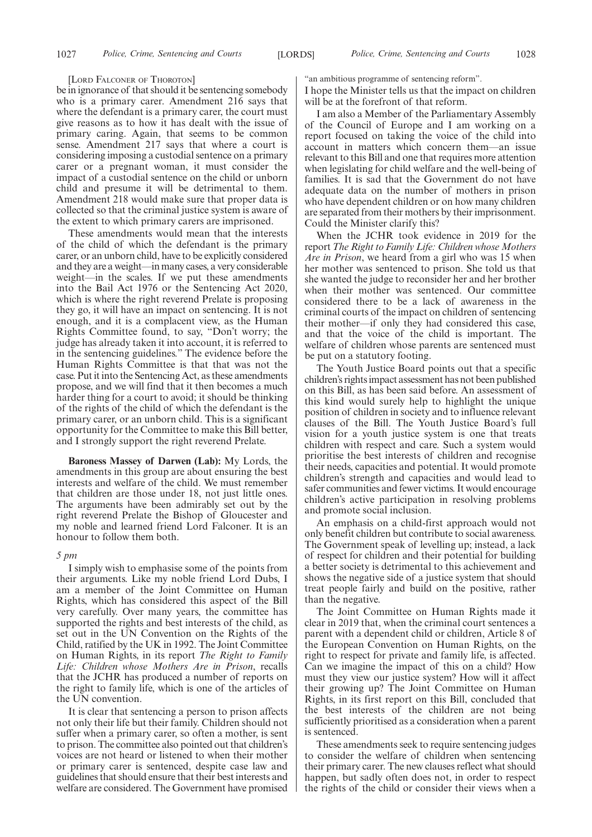#### [LORD FALCONER OF THOROTON]

be in ignorance of that should it be sentencing somebody who is a primary carer. Amendment 216 says that where the defendant is a primary carer, the court must give reasons as to how it has dealt with the issue of primary caring. Again, that seems to be common sense. Amendment 217 says that where a court is considering imposing a custodial sentence on a primary carer or a pregnant woman, it must consider the impact of a custodial sentence on the child or unborn child and presume it will be detrimental to them. Amendment 218 would make sure that proper data is collected so that the criminal justice system is aware of the extent to which primary carers are imprisoned.

These amendments would mean that the interests of the child of which the defendant is the primary carer, or an unborn child, have to be explicitly considered and they are a weight—in many cases, a very considerable weight—in the scales. If we put these amendments into the Bail Act 1976 or the Sentencing Act 2020, which is where the right reverend Prelate is proposing they go, it will have an impact on sentencing. It is not enough, and it is a complacent view, as the Human Rights Committee found, to say, "Don't worry; the judge has already taken it into account, it is referred to in the sentencing guidelines." The evidence before the Human Rights Committee is that that was not the case. Put it into the Sentencing Act, as these amendments propose, and we will find that it then becomes a much harder thing for a court to avoid; it should be thinking of the rights of the child of which the defendant is the primary carer, or an unborn child. This is a significant opportunity for the Committee to make this Bill better, and I strongly support the right reverend Prelate.

**Baroness Massey of Darwen (Lab):** My Lords, the amendments in this group are about ensuring the best interests and welfare of the child. We must remember that children are those under 18, not just little ones. The arguments have been admirably set out by the right reverend Prelate the Bishop of Gloucester and my noble and learned friend Lord Falconer. It is an honour to follow them both.

#### *5 pm*

I simply wish to emphasise some of the points from their arguments. Like my noble friend Lord Dubs, I am a member of the Joint Committee on Human Rights, which has considered this aspect of the Bill very carefully. Over many years, the committee has supported the rights and best interests of the child, as set out in the UN Convention on the Rights of the Child, ratified by the UK in 1992. The Joint Committee on Human Rights, in its report *The Right to Family Life: Children whose Mothers Are in Prison*, recalls that the JCHR has produced a number of reports on the right to family life, which is one of the articles of the UN convention.

It is clear that sentencing a person to prison affects not only their life but their family. Children should not suffer when a primary carer, so often a mother, is sent to prison. The committee also pointed out that children's voices are not heard or listened to when their mother or primary carer is sentenced, despite case law and guidelines that should ensure that their best interests and welfare are considered. The Government have promised "an ambitious programme of sentencing reform".

I hope the Minister tells us that the impact on children will be at the forefront of that reform.

I am also a Member of the Parliamentary Assembly of the Council of Europe and I am working on a report focused on taking the voice of the child into account in matters which concern them—an issue relevant to this Bill and one that requires more attention when legislating for child welfare and the well-being of families. It is sad that the Government do not have adequate data on the number of mothers in prison who have dependent children or on how many children are separated from their mothers by their imprisonment. Could the Minister clarify this?

When the JCHR took evidence in 2019 for the report *The Right to Family Life: Children whose Mothers Are in Prison*, we heard from a girl who was 15 when her mother was sentenced to prison. She told us that she wanted the judge to reconsider her and her brother when their mother was sentenced. Our committee considered there to be a lack of awareness in the criminal courts of the impact on children of sentencing their mother—if only they had considered this case, and that the voice of the child is important. The welfare of children whose parents are sentenced must be put on a statutory footing.

The Youth Justice Board points out that a specific children's rights impact assessment has not been published on this Bill, as has been said before. An assessment of this kind would surely help to highlight the unique position of children in society and to influence relevant clauses of the Bill. The Youth Justice Board's full vision for a youth justice system is one that treats children with respect and care. Such a system would prioritise the best interests of children and recognise their needs, capacities and potential. It would promote children's strength and capacities and would lead to safer communities and fewer victims. It would encourage children's active participation in resolving problems and promote social inclusion.

An emphasis on a child-first approach would not only benefit children but contribute to social awareness. The Government speak of levelling up; instead, a lack of respect for children and their potential for building a better society is detrimental to this achievement and shows the negative side of a justice system that should treat people fairly and build on the positive, rather than the negative.

The Joint Committee on Human Rights made it clear in 2019 that, when the criminal court sentences a parent with a dependent child or children, Article 8 of the European Convention on Human Rights, on the right to respect for private and family life, is affected. Can we imagine the impact of this on a child? How must they view our justice system? How will it affect their growing up? The Joint Committee on Human Rights, in its first report on this Bill, concluded that the best interests of the children are not being sufficiently prioritised as a consideration when a parent is sentenced.

These amendments seek to require sentencing judges to consider the welfare of children when sentencing their primary carer. The new clauses reflect what should happen, but sadly often does not, in order to respect the rights of the child or consider their views when a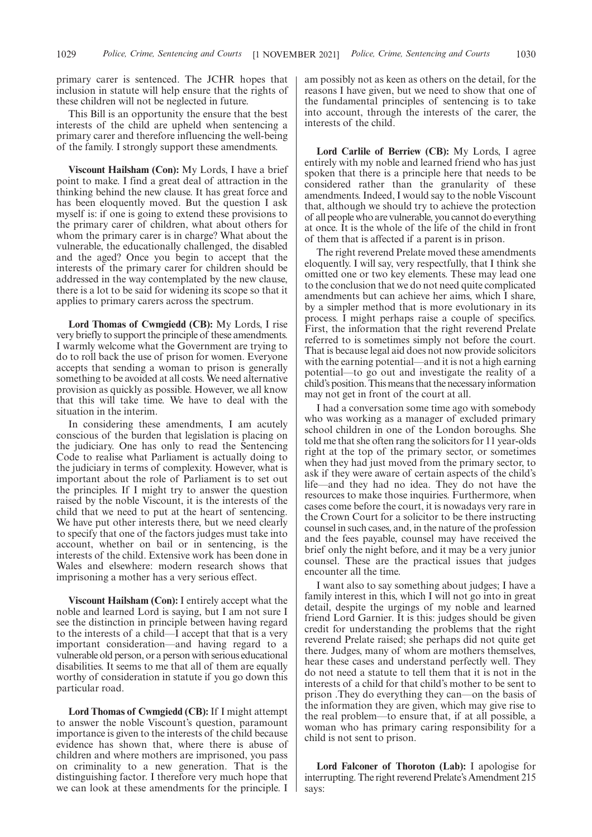primary carer is sentenced. The JCHR hopes that inclusion in statute will help ensure that the rights of these children will not be neglected in future.

This Bill is an opportunity the ensure that the best interests of the child are upheld when sentencing a primary carer and therefore influencing the well-being of the family. I strongly support these amendments.

**Viscount Hailsham (Con):** My Lords, I have a brief point to make. I find a great deal of attraction in the thinking behind the new clause. It has great force and has been eloquently moved. But the question I ask myself is: if one is going to extend these provisions to the primary carer of children, what about others for whom the primary carer is in charge? What about the vulnerable, the educationally challenged, the disabled and the aged? Once you begin to accept that the interests of the primary carer for children should be addressed in the way contemplated by the new clause, there is a lot to be said for widening its scope so that it applies to primary carers across the spectrum.

**Lord Thomas of Cwmgiedd (CB):** My Lords, I rise very briefly to support the principle of these amendments. I warmly welcome what the Government are trying to do to roll back the use of prison for women. Everyone accepts that sending a woman to prison is generally something to be avoided at all costs. We need alternative provision as quickly as possible. However, we all know that this will take time. We have to deal with the situation in the interim.

In considering these amendments, I am acutely conscious of the burden that legislation is placing on the judiciary. One has only to read the Sentencing Code to realise what Parliament is actually doing to the judiciary in terms of complexity. However, what is important about the role of Parliament is to set out the principles. If I might try to answer the question raised by the noble Viscount, it is the interests of the child that we need to put at the heart of sentencing. We have put other interests there, but we need clearly to specify that one of the factors judges must take into account, whether on bail or in sentencing, is the interests of the child. Extensive work has been done in Wales and elsewhere: modern research shows that imprisoning a mother has a very serious effect.

**Viscount Hailsham (Con):** I entirely accept what the noble and learned Lord is saying, but I am not sure I see the distinction in principle between having regard to the interests of a child—I accept that that is a very important consideration—and having regard to a vulnerable old person, or a person with serious educational disabilities. It seems to me that all of them are equally worthy of consideration in statute if you go down this particular road.

**Lord Thomas of Cwmgiedd (CB):** If I might attempt to answer the noble Viscount's question, paramount importance is given to the interests of the child because evidence has shown that, where there is abuse of children and where mothers are imprisoned, you pass on criminality to a new generation. That is the distinguishing factor. I therefore very much hope that we can look at these amendments for the principle. I am possibly not as keen as others on the detail, for the reasons I have given, but we need to show that one of the fundamental principles of sentencing is to take into account, through the interests of the carer, the interests of the child.

**Lord Carlile of Berriew (CB):** My Lords, I agree entirely with my noble and learned friend who has just spoken that there is a principle here that needs to be considered rather than the granularity of these amendments. Indeed, I would say to the noble Viscount that, although we should try to achieve the protection of all people who are vulnerable, you cannot do everything at once. It is the whole of the life of the child in front of them that is affected if a parent is in prison.

The right reverend Prelate moved these amendments eloquently. I will say, very respectfully, that I think she omitted one or two key elements. These may lead one to the conclusion that we do not need quite complicated amendments but can achieve her aims, which I share, by a simpler method that is more evolutionary in its process. I might perhaps raise a couple of specifics. First, the information that the right reverend Prelate referred to is sometimes simply not before the court. That is because legal aid does not now provide solicitors with the earning potential—and it is not a high earning potential—to go out and investigate the reality of a child's position. This means that the necessary information may not get in front of the court at all.

I had a conversation some time ago with somebody who was working as a manager of excluded primary school children in one of the London boroughs. She told me that she often rang the solicitors for 11 year-olds right at the top of the primary sector, or sometimes when they had just moved from the primary sector, to ask if they were aware of certain aspects of the child's life—and they had no idea. They do not have the resources to make those inquiries. Furthermore, when cases come before the court, it is nowadays very rare in the Crown Court for a solicitor to be there instructing counsel in such cases, and, in the nature of the profession and the fees payable, counsel may have received the brief only the night before, and it may be a very junior counsel. These are the practical issues that judges encounter all the time.

I want also to say something about judges; I have a family interest in this, which I will not go into in great detail, despite the urgings of my noble and learned friend Lord Garnier. It is this: judges should be given credit for understanding the problems that the right reverend Prelate raised; she perhaps did not quite get there. Judges, many of whom are mothers themselves, hear these cases and understand perfectly well. They do not need a statute to tell them that it is not in the interests of a child for that child's mother to be sent to prison .They do everything they can—on the basis of the information they are given, which may give rise to the real problem—to ensure that, if at all possible, a woman who has primary caring responsibility for a child is not sent to prison.

**Lord Falconer of Thoroton (Lab):** I apologise for interrupting. The right reverend Prelate's Amendment 215 says: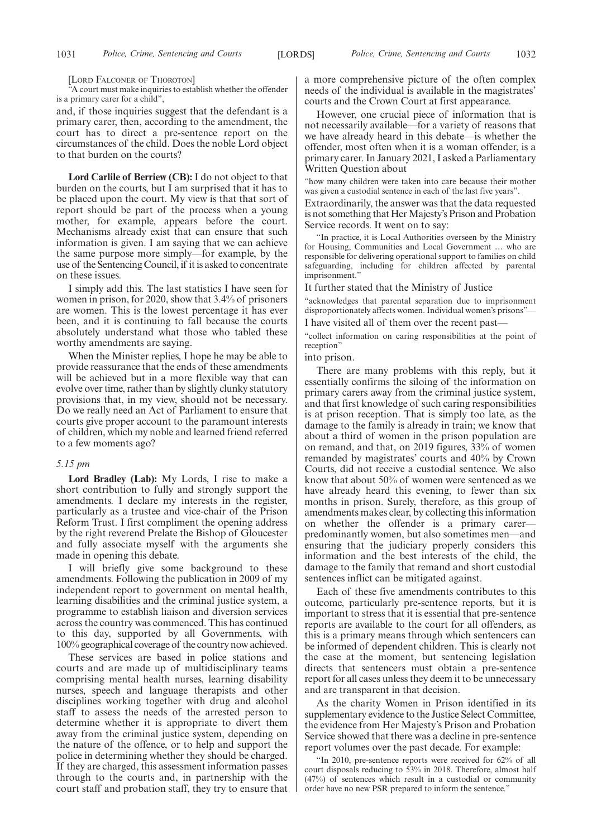[LORD FALCONER OF THOROTON]

"A court must make inquiries to establish whether the offender is a primary carer for a child",

and, if those inquiries suggest that the defendant is a primary carer, then, according to the amendment, the court has to direct a pre-sentence report on the circumstances of the child. Does the noble Lord object to that burden on the courts?

**Lord Carlile of Berriew (CB):** I do not object to that burden on the courts, but I am surprised that it has to be placed upon the court. My view is that that sort of report should be part of the process when a young mother, for example, appears before the court. Mechanisms already exist that can ensure that such information is given. I am saying that we can achieve the same purpose more simply—for example, by the use of the Sentencing Council, if it is asked to concentrate on these issues.

I simply add this. The last statistics I have seen for women in prison, for 2020, show that 3.4% of prisoners are women. This is the lowest percentage it has ever been, and it is continuing to fall because the courts absolutely understand what those who tabled these worthy amendments are saying.

When the Minister replies, I hope he may be able to provide reassurance that the ends of these amendments will be achieved but in a more flexible way that can evolve over time, rather than by slightly clunky statutory provisions that, in my view, should not be necessary. Do we really need an Act of Parliament to ensure that courts give proper account to the paramount interests of children, which my noble and learned friend referred to a few moments ago?

# *5.15 pm*

**Lord Bradley (Lab):** My Lords, I rise to make a short contribution to fully and strongly support the amendments. I declare my interests in the register, particularly as a trustee and vice-chair of the Prison Reform Trust. I first compliment the opening address by the right reverend Prelate the Bishop of Gloucester and fully associate myself with the arguments she made in opening this debate.

I will briefly give some background to these amendments. Following the publication in 2009 of my independent report to government on mental health, learning disabilities and the criminal justice system, a programme to establish liaison and diversion services across the country was commenced. This has continued to this day, supported by all Governments, with 100% geographical coverage of the country now achieved.

These services are based in police stations and courts and are made up of multidisciplinary teams comprising mental health nurses, learning disability nurses, speech and language therapists and other disciplines working together with drug and alcohol staff to assess the needs of the arrested person to determine whether it is appropriate to divert them away from the criminal justice system, depending on the nature of the offence, or to help and support the police in determining whether they should be charged. If they are charged, this assessment information passes through to the courts and, in partnership with the court staff and probation staff, they try to ensure that a more comprehensive picture of the often complex needs of the individual is available in the magistrates' courts and the Crown Court at first appearance.

However, one crucial piece of information that is not necessarily available—for a variety of reasons that we have already heard in this debate—is whether the offender, most often when it is a woman offender, is a primary carer. In January 2021, I asked a Parliamentary Written Question about

"how many children were taken into care because their mother was given a custodial sentence in each of the last five years".

Extraordinarily, the answer was that the data requested is not something that Her Majesty's Prison and Probation Service records. It went on to say:

"In practice, it is Local Authorities overseen by the Ministry for Housing, Communities and Local Government … who are responsible for delivering operational support to families on child safeguarding, including for children affected by parental imprisonment."

It further stated that the Ministry of Justice

"acknowledges that parental separation due to imprisonment disproportionately affects women. Individual women's prisons"

I have visited all of them over the recent past-

"collect information on caring responsibilities at the point of reception"

into prison.

There are many problems with this reply, but it essentially confirms the siloing of the information on primary carers away from the criminal justice system, and that first knowledge of such caring responsibilities is at prison reception. That is simply too late, as the damage to the family is already in train; we know that about a third of women in the prison population are on remand, and that, on 2019 figures, 33% of women remanded by magistrates' courts and 40% by Crown Courts, did not receive a custodial sentence. We also know that about 50% of women were sentenced as we have already heard this evening, to fewer than six months in prison. Surely, therefore, as this group of amendments makes clear, by collecting this information on whether the offender is a primary carerpredominantly women, but also sometimes men—and ensuring that the judiciary properly considers this information and the best interests of the child, the damage to the family that remand and short custodial sentences inflict can be mitigated against.

Each of these five amendments contributes to this outcome, particularly pre-sentence reports, but it is important to stress that it is essential that pre-sentence reports are available to the court for all offenders, as this is a primary means through which sentencers can be informed of dependent children. This is clearly not the case at the moment, but sentencing legislation directs that sentencers must obtain a pre-sentence report for all cases unless they deem it to be unnecessary and are transparent in that decision.

As the charity Women in Prison identified in its supplementary evidence to the Justice Select Committee, the evidence from Her Majesty's Prison and Probation Service showed that there was a decline in pre-sentence report volumes over the past decade. For example:

"In 2010, pre-sentence reports were received for 62% of all court disposals reducing to 53% in 2018. Therefore, almost half (47%) of sentences which result in a custodial or community order have no new PSR prepared to inform the sentence."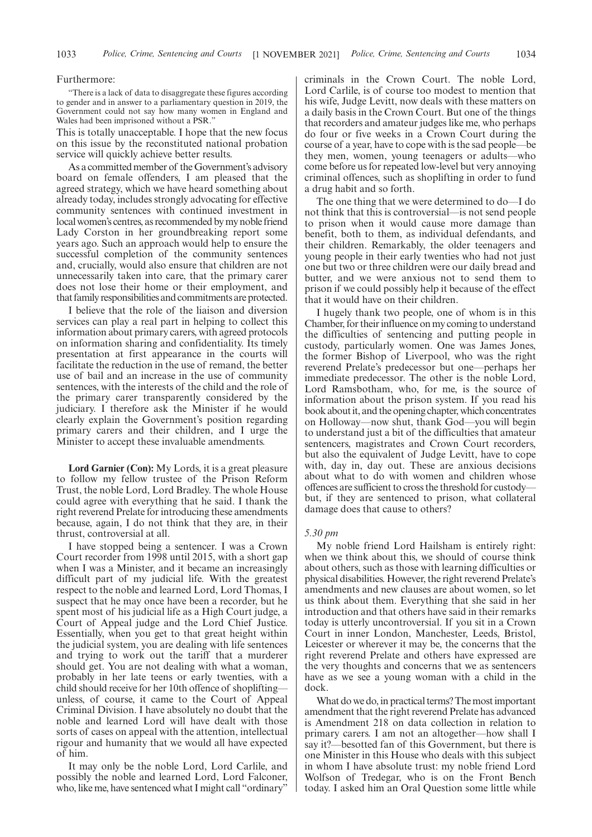#### Furthermore:

"There is a lack of data to disaggregate these figures according to gender and in answer to a parliamentary question in 2019, the Government could not say how many women in England and Wales had been imprisoned without a PSR."

This is totally unacceptable. I hope that the new focus on this issue by the reconstituted national probation service will quickly achieve better results.

As a committed member of the Government's advisory board on female offenders, I am pleased that the agreed strategy, which we have heard something about already today, includes strongly advocating for effective community sentences with continued investment in local women's centres, as recommended by my noble friend Lady Corston in her groundbreaking report some years ago. Such an approach would help to ensure the successful completion of the community sentences and, crucially, would also ensure that children are not unnecessarily taken into care, that the primary carer does not lose their home or their employment, and that family responsibilities and commitments are protected.

I believe that the role of the liaison and diversion services can play a real part in helping to collect this information about primary carers, with agreed protocols on information sharing and confidentiality. Its timely presentation at first appearance in the courts will facilitate the reduction in the use of remand, the better use of bail and an increase in the use of community sentences, with the interests of the child and the role of the primary carer transparently considered by the judiciary. I therefore ask the Minister if he would clearly explain the Government's position regarding primary carers and their children, and I urge the Minister to accept these invaluable amendments.

**Lord Garnier (Con):** My Lords, it is a great pleasure to follow my fellow trustee of the Prison Reform Trust, the noble Lord, Lord Bradley. The whole House could agree with everything that he said. I thank the right reverend Prelate for introducing these amendments because, again, I do not think that they are, in their thrust, controversial at all.

I have stopped being a sentencer. I was a Crown Court recorder from 1998 until 2015, with a short gap when I was a Minister, and it became an increasingly difficult part of my judicial life. With the greatest respect to the noble and learned Lord, Lord Thomas, I suspect that he may once have been a recorder, but he spent most of his judicial life as a High Court judge, a Court of Appeal judge and the Lord Chief Justice. Essentially, when you get to that great height within the judicial system, you are dealing with life sentences and trying to work out the tariff that a murderer should get. You are not dealing with what a woman, probably in her late teens or early twenties, with a child should receive for her 10th offence of shoplifting unless, of course, it came to the Court of Appeal Criminal Division. I have absolutely no doubt that the noble and learned Lord will have dealt with those sorts of cases on appeal with the attention, intellectual rigour and humanity that we would all have expected of him.

It may only be the noble Lord, Lord Carlile, and possibly the noble and learned Lord, Lord Falconer, who, like me, have sentenced what I might call "ordinary" criminals in the Crown Court. The noble Lord, Lord Carlile, is of course too modest to mention that his wife, Judge Levitt, now deals with these matters on a daily basis in the Crown Court. But one of the things that recorders and amateur judges like me, who perhaps do four or five weeks in a Crown Court during the course of a year, have to cope with is the sad people—be they men, women, young teenagers or adults—who come before us for repeated low-level but very annoying criminal offences, such as shoplifting in order to fund a drug habit and so forth.

The one thing that we were determined to do—I do not think that this is controversial—is not send people to prison when it would cause more damage than benefit, both to them, as individual defendants, and their children. Remarkably, the older teenagers and young people in their early twenties who had not just one but two or three children were our daily bread and butter, and we were anxious not to send them to prison if we could possibly help it because of the effect that it would have on their children.

I hugely thank two people, one of whom is in this Chamber, for their influence on my coming to understand the difficulties of sentencing and putting people in custody, particularly women. One was James Jones, the former Bishop of Liverpool, who was the right reverend Prelate's predecessor but one—perhaps her immediate predecessor. The other is the noble Lord, Lord Ramsbotham, who, for me, is the source of information about the prison system. If you read his book about it, and the opening chapter, which concentrates on Holloway—now shut, thank God—you will begin to understand just a bit of the difficulties that amateur sentencers, magistrates and Crown Court recorders, but also the equivalent of Judge Levitt, have to cope with, day in, day out. These are anxious decisions about what to do with women and children whose offences are sufficient to cross the threshold for custody but, if they are sentenced to prison, what collateral damage does that cause to others?

#### *5.30 pm*

My noble friend Lord Hailsham is entirely right: when we think about this, we should of course think about others, such as those with learning difficulties or physical disabilities. However, the right reverend Prelate's amendments and new clauses are about women, so let us think about them. Everything that she said in her introduction and that others have said in their remarks today is utterly uncontroversial. If you sit in a Crown Court in inner London, Manchester, Leeds, Bristol, Leicester or wherever it may be, the concerns that the right reverend Prelate and others have expressed are the very thoughts and concerns that we as sentencers have as we see a young woman with a child in the dock.

What do we do, in practical terms? The most important amendment that the right reverend Prelate has advanced is Amendment 218 on data collection in relation to primary carers. I am not an altogether—how shall I say it?—besotted fan of this Government, but there is one Minister in this House who deals with this subject in whom I have absolute trust: my noble friend Lord Wolfson of Tredegar, who is on the Front Bench today. I asked him an Oral Question some little while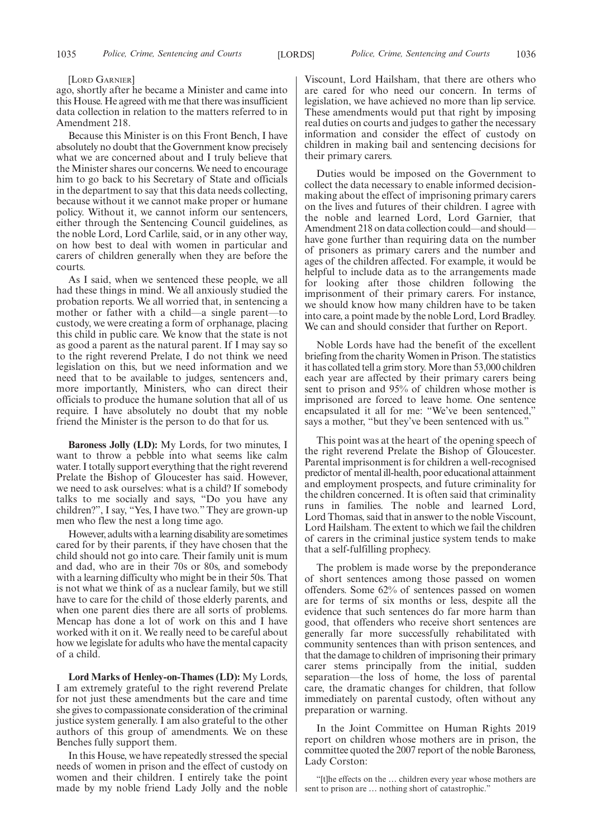#### [LORD GARNIER]

ago, shortly after he became a Minister and came into this House. He agreed with me that there was insufficient data collection in relation to the matters referred to in Amendment 218.

Because this Minister is on this Front Bench, I have absolutely no doubt that the Government know precisely what we are concerned about and I truly believe that the Minister shares our concerns. We need to encourage him to go back to his Secretary of State and officials in the department to say that this data needs collecting, because without it we cannot make proper or humane policy. Without it, we cannot inform our sentencers, either through the Sentencing Council guidelines, as the noble Lord, Lord Carlile, said, or in any other way, on how best to deal with women in particular and carers of children generally when they are before the courts.

As I said, when we sentenced these people, we all had these things in mind. We all anxiously studied the probation reports. We all worried that, in sentencing a mother or father with a child—a single parent—to custody, we were creating a form of orphanage, placing this child in public care. We know that the state is not as good a parent as the natural parent. If I may say so to the right reverend Prelate, I do not think we need legislation on this, but we need information and we need that to be available to judges, sentencers and, more importantly, Ministers, who can direct their officials to produce the humane solution that all of us require. I have absolutely no doubt that my noble friend the Minister is the person to do that for us.

**Baroness Jolly (LD):** My Lords, for two minutes, I want to throw a pebble into what seems like calm water. I totally support everything that the right reverend Prelate the Bishop of Gloucester has said. However, we need to ask ourselves: what is a child? If somebody talks to me socially and says, "Do you have any children?", I say, "Yes, I have two." They are grown-up men who flew the nest a long time ago.

However, adults with a learning disability are sometimes cared for by their parents, if they have chosen that the child should not go into care. Their family unit is mum and dad, who are in their 70s or 80s, and somebody with a learning difficulty who might be in their 50s. That is not what we think of as a nuclear family, but we still have to care for the child of those elderly parents, and when one parent dies there are all sorts of problems. Mencap has done a lot of work on this and I have worked with it on it. We really need to be careful about how we legislate for adults who have the mental capacity of a child.

**Lord Marks of Henley-on-Thames (LD):** My Lords, I am extremely grateful to the right reverend Prelate for not just these amendments but the care and time she gives to compassionate consideration of the criminal justice system generally. I am also grateful to the other authors of this group of amendments. We on these Benches fully support them.

In this House, we have repeatedly stressed the special needs of women in prison and the effect of custody on women and their children. I entirely take the point made by my noble friend Lady Jolly and the noble

Viscount, Lord Hailsham, that there are others who are cared for who need our concern. In terms of legislation, we have achieved no more than lip service. These amendments would put that right by imposing real duties on courts and judges to gather the necessary information and consider the effect of custody on children in making bail and sentencing decisions for their primary carers.

Duties would be imposed on the Government to collect the data necessary to enable informed decisionmaking about the effect of imprisoning primary carers on the lives and futures of their children. I agree with the noble and learned Lord, Lord Garnier, that Amendment 218 on data collection could—and should have gone further than requiring data on the number of prisoners as primary carers and the number and ages of the children affected. For example, it would be helpful to include data as to the arrangements made for looking after those children following the imprisonment of their primary carers. For instance, we should know how many children have to be taken into care, a point made by the noble Lord, Lord Bradley. We can and should consider that further on Report.

Noble Lords have had the benefit of the excellent briefing from the charity Women in Prison. The statistics it has collated tell a grim story. More than 53,000 children each year are affected by their primary carers being sent to prison and 95% of children whose mother is imprisoned are forced to leave home. One sentence encapsulated it all for me: "We've been sentenced," says a mother, "but they've been sentenced with us."

This point was at the heart of the opening speech of the right reverend Prelate the Bishop of Gloucester. Parental imprisonment is for children a well-recognised predictor of mental ill-health, poor educational attainment and employment prospects, and future criminality for the children concerned. It is often said that criminality runs in families. The noble and learned Lord, Lord Thomas, said that in answer to the noble Viscount, Lord Hailsham. The extent to which we fail the children of carers in the criminal justice system tends to make that a self-fulfilling prophecy.

The problem is made worse by the preponderance of short sentences among those passed on women offenders. Some 62% of sentences passed on women are for terms of six months or less, despite all the evidence that such sentences do far more harm than good, that offenders who receive short sentences are generally far more successfully rehabilitated with community sentences than with prison sentences, and that the damage to children of imprisoning their primary carer stems principally from the initial, sudden separation—the loss of home, the loss of parental care, the dramatic changes for children, that follow immediately on parental custody, often without any preparation or warning.

In the Joint Committee on Human Rights 2019 report on children whose mothers are in prison, the committee quoted the 2007 report of the noble Baroness, Lady Corston:

"[t]he effects on the … children every year whose mothers are sent to prison are … nothing short of catastrophic."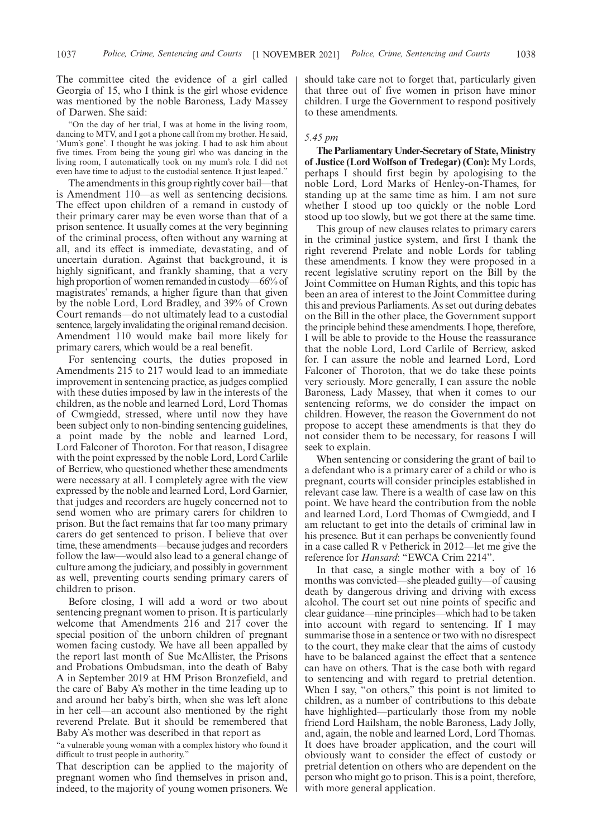The committee cited the evidence of a girl called Georgia of 15, who I think is the girl whose evidence was mentioned by the noble Baroness, Lady Massey of Darwen. She said:

"On the day of her trial, I was at home in the living room, dancing to MTV, and I got a phone call from my brother. He said, 'Mum's gone'. I thought he was joking. I had to ask him about five times. From being the young girl who was dancing in the living room, I automatically took on my mum's role. I did not even have time to adjust to the custodial sentence. It just leaped."

The amendments in this group rightly cover bail—that is Amendment 110—as well as sentencing decisions. The effect upon children of a remand in custody of their primary carer may be even worse than that of a prison sentence. It usually comes at the very beginning of the criminal process, often without any warning at all, and its effect is immediate, devastating, and of uncertain duration. Against that background, it is highly significant, and frankly shaming, that a very high proportion of women remanded in custody—66% of magistrates' remands, a higher figure than that given by the noble Lord, Lord Bradley, and 39% of Crown Court remands—do not ultimately lead to a custodial sentence, largely invalidating the original remand decision. Amendment 110 would make bail more likely for primary carers, which would be a real benefit.

For sentencing courts, the duties proposed in Amendments 215 to 217 would lead to an immediate improvement in sentencing practice, as judges complied with these duties imposed by law in the interests of the children, as the noble and learned Lord, Lord Thomas of Cwmgiedd, stressed, where until now they have been subject only to non-binding sentencing guidelines, a point made by the noble and learned Lord, Lord Falconer of Thoroton. For that reason, I disagree with the point expressed by the noble Lord, Lord Carlile of Berriew, who questioned whether these amendments were necessary at all. I completely agree with the view expressed by the noble and learned Lord, Lord Garnier, that judges and recorders are hugely concerned not to send women who are primary carers for children to prison. But the fact remains that far too many primary carers do get sentenced to prison. I believe that over time, these amendments—because judges and recorders follow the law—would also lead to a general change of culture among the judiciary, and possibly in government as well, preventing courts sending primary carers of children to prison.

Before closing, I will add a word or two about sentencing pregnant women to prison. It is particularly welcome that Amendments 216 and 217 cover the special position of the unborn children of pregnant women facing custody. We have all been appalled by the report last month of Sue McAllister, the Prisons and Probations Ombudsman, into the death of Baby A in September 2019 at HM Prison Bronzefield, and the care of Baby A's mother in the time leading up to and around her baby's birth, when she was left alone in her cell—an account also mentioned by the right reverend Prelate. But it should be remembered that Baby A's mother was described in that report as

"a vulnerable young woman with a complex history who found it difficult to trust people in authority."

That description can be applied to the majority of pregnant women who find themselves in prison and, indeed, to the majority of young women prisoners. We

should take care not to forget that, particularly given that three out of five women in prison have minor children. I urge the Government to respond positively to these amendments.

#### *5.45 pm*

**The Parliamentary Under-Secretary of State, Ministry of Justice (Lord Wolfson of Tredegar) (Con):** My Lords, perhaps I should first begin by apologising to the noble Lord, Lord Marks of Henley-on-Thames, for standing up at the same time as him. I am not sure whether I stood up too quickly or the noble Lord stood up too slowly, but we got there at the same time.

This group of new clauses relates to primary carers in the criminal justice system, and first I thank the right reverend Prelate and noble Lords for tabling these amendments. I know they were proposed in a recent legislative scrutiny report on the Bill by the Joint Committee on Human Rights, and this topic has been an area of interest to the Joint Committee during this and previous Parliaments. As set out during debates on the Bill in the other place, the Government support the principle behind these amendments. I hope, therefore, I will be able to provide to the House the reassurance that the noble Lord, Lord Carlile of Berriew, asked for. I can assure the noble and learned Lord, Lord Falconer of Thoroton, that we do take these points very seriously. More generally, I can assure the noble Baroness, Lady Massey, that when it comes to our sentencing reforms, we do consider the impact on children. However, the reason the Government do not propose to accept these amendments is that they do not consider them to be necessary, for reasons I will seek to explain.

When sentencing or considering the grant of bail to a defendant who is a primary carer of a child or who is pregnant, courts will consider principles established in relevant case law. There is a wealth of case law on this point. We have heard the contribution from the noble and learned Lord, Lord Thomas of Cwmgiedd, and I am reluctant to get into the details of criminal law in his presence. But it can perhaps be conveniently found in a case called R v Petherick in 2012—let me give the reference for *Hansard*: "EWCA Crim 2214".

In that case, a single mother with a boy of 16 months was convicted—she pleaded guilty—of causing death by dangerous driving and driving with excess alcohol. The court set out nine points of specific and clear guidance—nine principles—which had to be taken into account with regard to sentencing. If I may summarise those in a sentence or two with no disrespect to the court, they make clear that the aims of custody have to be balanced against the effect that a sentence can have on others. That is the case both with regard to sentencing and with regard to pretrial detention. When I say, "on others," this point is not limited to children, as a number of contributions to this debate have highlighted—particularly those from my noble friend Lord Hailsham, the noble Baroness, Lady Jolly, and, again, the noble and learned Lord, Lord Thomas. It does have broader application, and the court will obviously want to consider the effect of custody or pretrial detention on others who are dependent on the person who might go to prison. This is a point, therefore, with more general application.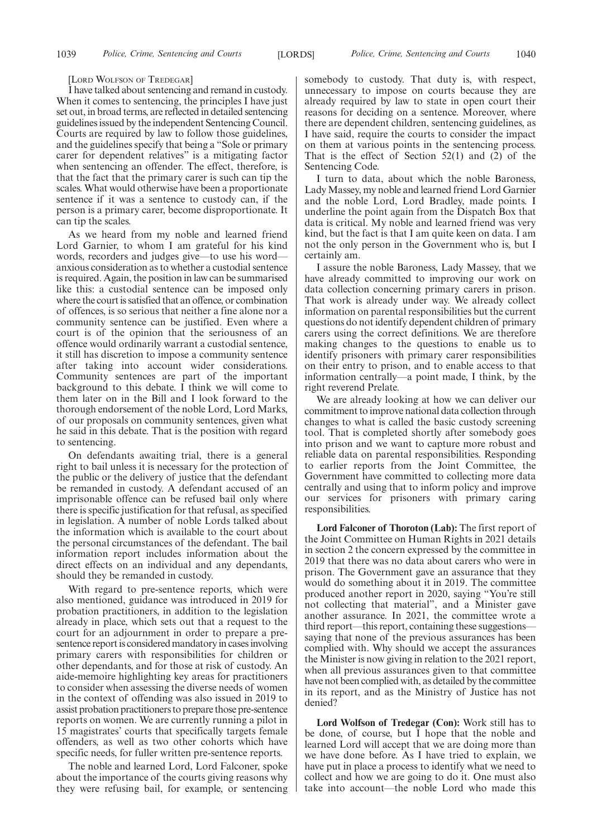#### [LORD WOLFSON OF TREDEGAR]

I have talked about sentencing and remand in custody. When it comes to sentencing, the principles I have just set out, in broad terms, are reflected in detailed sentencing guidelines issued by the independent Sentencing Council. Courts are required by law to follow those guidelines, and the guidelines specify that being a "Sole or primary carer for dependent relatives" is a mitigating factor when sentencing an offender. The effect, therefore, is that the fact that the primary carer is such can tip the scales. What would otherwise have been a proportionate sentence if it was a sentence to custody can, if the person is a primary carer, become disproportionate. It can tip the scales.

As we heard from my noble and learned friend Lord Garnier, to whom I am grateful for his kind words, recorders and judges give—to use his word anxious consideration as to whether a custodial sentence is required. Again, the position in law can be summarised like this: a custodial sentence can be imposed only where the court is satisfied that an offence, or combination of offences, is so serious that neither a fine alone nor a community sentence can be justified. Even where a court is of the opinion that the seriousness of an offence would ordinarily warrant a custodial sentence, it still has discretion to impose a community sentence after taking into account wider considerations. Community sentences are part of the important background to this debate. I think we will come to them later on in the Bill and I look forward to the thorough endorsement of the noble Lord, Lord Marks, of our proposals on community sentences, given what he said in this debate. That is the position with regard to sentencing.

On defendants awaiting trial, there is a general right to bail unless it is necessary for the protection of the public or the delivery of justice that the defendant be remanded in custody. A defendant accused of an imprisonable offence can be refused bail only where there is specific justification for that refusal, as specified in legislation. A number of noble Lords talked about the information which is available to the court about the personal circumstances of the defendant. The bail information report includes information about the direct effects on an individual and any dependants, should they be remanded in custody.

With regard to pre-sentence reports, which were also mentioned, guidance was introduced in 2019 for probation practitioners, in addition to the legislation already in place, which sets out that a request to the court for an adjournment in order to prepare a presentence report is considered mandatory in cases involving primary carers with responsibilities for children or other dependants, and for those at risk of custody. An aide-memoire highlighting key areas for practitioners to consider when assessing the diverse needs of women in the context of offending was also issued in 2019 to assist probation practitioners to prepare those pre-sentence reports on women. We are currently running a pilot in 15 magistrates' courts that specifically targets female offenders, as well as two other cohorts which have specific needs, for fuller written pre-sentence reports.

The noble and learned Lord, Lord Falconer, spoke about the importance of the courts giving reasons why they were refusing bail, for example, or sentencing somebody to custody. That duty is, with respect, unnecessary to impose on courts because they are already required by law to state in open court their reasons for deciding on a sentence. Moreover, where there are dependent children, sentencing guidelines, as I have said, require the courts to consider the impact on them at various points in the sentencing process. That is the effect of Section  $52(1)$  and (2) of the Sentencing Code.

I turn to data, about which the noble Baroness, Lady Massey, my noble and learned friend Lord Garnier and the noble Lord, Lord Bradley, made points. I underline the point again from the Dispatch Box that data is critical. My noble and learned friend was very kind, but the fact is that I am quite keen on data. I am not the only person in the Government who is, but I certainly am.

I assure the noble Baroness, Lady Massey, that we have already committed to improving our work on data collection concerning primary carers in prison. That work is already under way. We already collect information on parental responsibilities but the current questions do not identify dependent children of primary carers using the correct definitions. We are therefore making changes to the questions to enable us to identify prisoners with primary carer responsibilities on their entry to prison, and to enable access to that information centrally—a point made, I think, by the right reverend Prelate.

We are already looking at how we can deliver our commitment to improve national data collection through changes to what is called the basic custody screening tool. That is completed shortly after somebody goes into prison and we want to capture more robust and reliable data on parental responsibilities. Responding to earlier reports from the Joint Committee, the Government have committed to collecting more data centrally and using that to inform policy and improve our services for prisoners with primary caring responsibilities.

**Lord Falconer of Thoroton (Lab):** The first report of the Joint Committee on Human Rights in 2021 details in section 2 the concern expressed by the committee in 2019 that there was no data about carers who were in prison. The Government gave an assurance that they would do something about it in 2019. The committee produced another report in 2020, saying "You're still not collecting that material", and a Minister gave another assurance. In 2021, the committee wrote a third report—this report, containing these suggestions saying that none of the previous assurances has been complied with. Why should we accept the assurances the Minister is now giving in relation to the 2021 report, when all previous assurances given to that committee have not been complied with, as detailed by the committee in its report, and as the Ministry of Justice has not denied?

**Lord Wolfson of Tredegar (Con):** Work still has to be done, of course, but  $\overline{I}$  hope that the noble and learned Lord will accept that we are doing more than we have done before. As I have tried to explain, we have put in place a process to identify what we need to collect and how we are going to do it. One must also take into account—the noble Lord who made this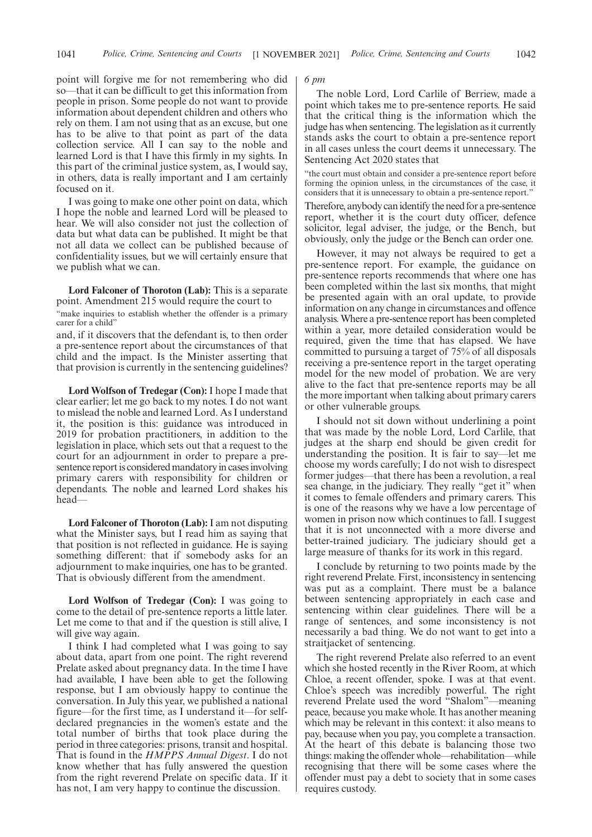point will forgive me for not remembering who did so—that it can be difficult to get this information from people in prison. Some people do not want to provide information about dependent children and others who rely on them. I am not using that as an excuse, but one has to be alive to that point as part of the data collection service. All I can say to the noble and learned Lord is that I have this firmly in my sights. In this part of the criminal justice system, as, I would say, in others, data is really important and I am certainly focused on it.

I was going to make one other point on data, which I hope the noble and learned Lord will be pleased to hear. We will also consider not just the collection of data but what data can be published. It might be that not all data we collect can be published because of confidentiality issues, but we will certainly ensure that we publish what we can.

**Lord Falconer of Thoroton (Lab):** This is a separate point. Amendment 215 would require the court to

"make inquiries to establish whether the offender is a primary carer for a child"

and, if it discovers that the defendant is, to then order a pre-sentence report about the circumstances of that child and the impact. Is the Minister asserting that that provision is currently in the sentencing guidelines?

**Lord Wolfson of Tredegar (Con):** I hope I made that clear earlier; let me go back to my notes. I do not want to mislead the noble and learned Lord. As I understand it, the position is this: guidance was introduced in 2019 for probation practitioners, in addition to the legislation in place, which sets out that a request to the court for an adjournment in order to prepare a presentence report is considered mandatory in cases involving primary carers with responsibility for children or dependants. The noble and learned Lord shakes his head—

**Lord Falconer of Thoroton (Lab):** I am not disputing what the Minister says, but I read him as saying that that position is not reflected in guidance. He is saying something different: that if somebody asks for an adjournment to make inquiries, one has to be granted. That is obviously different from the amendment.

**Lord Wolfson of Tredegar (Con):** I was going to come to the detail of pre-sentence reports a little later. Let me come to that and if the question is still alive, I will give way again.

I think I had completed what I was going to say about data, apart from one point. The right reverend Prelate asked about pregnancy data. In the time I have had available, I have been able to get the following response, but I am obviously happy to continue the conversation. In July this year, we published a national figure—for the first time, as I understand it—for selfdeclared pregnancies in the women's estate and the total number of births that took place during the period in three categories: prisons, transit and hospital. That is found in the *HMPPS Annual Digest*. I do not know whether that has fully answered the question from the right reverend Prelate on specific data. If it has not, I am very happy to continue the discussion.

#### *6 pm*

The noble Lord, Lord Carlile of Berriew, made a point which takes me to pre-sentence reports. He said that the critical thing is the information which the judge has when sentencing. The legislation as it currently stands asks the court to obtain a pre-sentence report in all cases unless the court deems it unnecessary. The Sentencing Act 2020 states that

"the court must obtain and consider a pre-sentence report before forming the opinion unless, in the circumstances of the case, it considers that it is unnecessary to obtain a pre-sentence report."

Therefore, anybody can identify the need for a pre-sentence report, whether it is the court duty officer, defence solicitor, legal adviser, the judge, or the Bench, but obviously, only the judge or the Bench can order one.

However, it may not always be required to get a pre-sentence report. For example, the guidance on pre-sentence reports recommends that where one has been completed within the last six months, that might be presented again with an oral update, to provide information on any change in circumstances and offence analysis. Where a pre-sentence report has been completed within a year, more detailed consideration would be required, given the time that has elapsed. We have committed to pursuing a target of 75% of all disposals receiving a pre-sentence report in the target operating model for the new model of probation. We are very alive to the fact that pre-sentence reports may be all the more important when talking about primary carers or other vulnerable groups.

I should not sit down without underlining a point that was made by the noble Lord, Lord Carlile, that judges at the sharp end should be given credit for understanding the position. It is fair to say—let me choose my words carefully; I do not wish to disrespect former judges—that there has been a revolution, a real sea change, in the judiciary. They really "get it" when it comes to female offenders and primary carers. This is one of the reasons why we have a low percentage of women in prison now which continues to fall. I suggest that it is not unconnected with a more diverse and better-trained judiciary. The judiciary should get a large measure of thanks for its work in this regard.

I conclude by returning to two points made by the right reverend Prelate. First, inconsistency in sentencing was put as a complaint. There must be a balance between sentencing appropriately in each case and sentencing within clear guidelines. There will be a range of sentences, and some inconsistency is not necessarily a bad thing. We do not want to get into a straitjacket of sentencing.

The right reverend Prelate also referred to an event which she hosted recently in the River Room, at which Chloe, a recent offender, spoke. I was at that event. Chloe's speech was incredibly powerful. The right reverend Prelate used the word "Shalom"—meaning peace, because you make whole. It has another meaning which may be relevant in this context: it also means to pay, because when you pay, you complete a transaction. At the heart of this debate is balancing those two things: making the offender whole—rehabilitation—while recognising that there will be some cases where the offender must pay a debt to society that in some cases requires custody.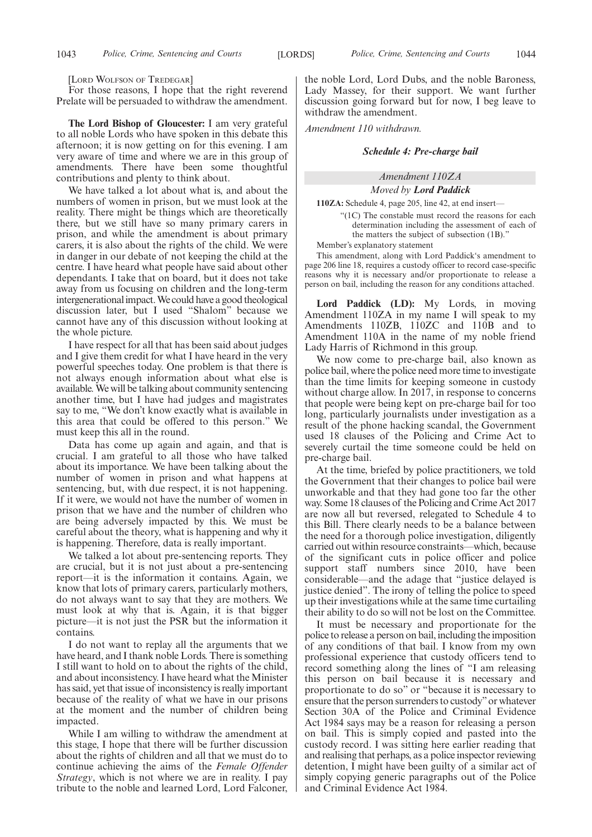[LORD WOLFSON OF TREDEGAR]

For those reasons, I hope that the right reverend Prelate will be persuaded to withdraw the amendment.

**The Lord Bishop of Gloucester:** I am very grateful to all noble Lords who have spoken in this debate this afternoon; it is now getting on for this evening. I am very aware of time and where we are in this group of amendments. There have been some thoughtful contributions and plenty to think about.

We have talked a lot about what is, and about the numbers of women in prison, but we must look at the reality. There might be things which are theoretically there, but we still have so many primary carers in prison, and while the amendment is about primary carers, it is also about the rights of the child. We were in danger in our debate of not keeping the child at the centre. I have heard what people have said about other dependants. I take that on board, but it does not take away from us focusing on children and the long-term intergenerational impact. We could have a good theological discussion later, but I used "Shalom" because we cannot have any of this discussion without looking at the whole picture.

I have respect for all that has been said about judges and I give them credit for what I have heard in the very powerful speeches today. One problem is that there is not always enough information about what else is available. We will be talking about community sentencing another time, but I have had judges and magistrates say to me, "We don't know exactly what is available in this area that could be offered to this person." We must keep this all in the round.

Data has come up again and again, and that is crucial. I am grateful to all those who have talked about its importance. We have been talking about the number of women in prison and what happens at sentencing, but, with due respect, it is not happening. If it were, we would not have the number of women in prison that we have and the number of children who are being adversely impacted by this. We must be careful about the theory, what is happening and why it is happening. Therefore, data is really important.

We talked a lot about pre-sentencing reports. They are crucial, but it is not just about a pre-sentencing report—it is the information it contains. Again, we know that lots of primary carers, particularly mothers, do not always want to say that they are mothers. We must look at why that is. Again, it is that bigger picture—it is not just the PSR but the information it contains.

I do not want to replay all the arguments that we have heard, and I thank noble Lords. There is something I still want to hold on to about the rights of the child, and about inconsistency. I have heard what the Minister has said, yet that issue of inconsistency is really important because of the reality of what we have in our prisons at the moment and the number of children being impacted.

While I am willing to withdraw the amendment at this stage, I hope that there will be further discussion about the rights of children and all that we must do to continue achieving the aims of the *Female Offender Strategy*, which is not where we are in reality. I pay tribute to the noble and learned Lord, Lord Falconer, the noble Lord, Lord Dubs, and the noble Baroness, Lady Massey, for their support. We want further discussion going forward but for now, I beg leave to withdraw the amendment.

*Amendment 110 withdrawn.*

#### *Schedule 4: Pre-charge bail*

# *Amendment 110ZA Moved by Lord Paddick*

**110ZA:** Schedule 4, page 205, line 42, at end insert—

"(1C) The constable must record the reasons for each determination including the assessment of each of the matters the subject of subsection (1B)."

Member's explanatory statement

This amendment, along with Lord Paddick's amendment to page 206 line 18, requires a custody officer to record case-specific reasons why it is necessary and/or proportionate to release a person on bail, including the reason for any conditions attached.

**Lord Paddick (LD):** My Lords, in moving Amendment 110ZA in my name I will speak to my Amendments 110ZB, 110ZC and 110B and to Amendment 110A in the name of my noble friend Lady Harris of Richmond in this group.

We now come to pre-charge bail, also known as police bail, where the police need more time to investigate than the time limits for keeping someone in custody without charge allow. In 2017, in response to concerns that people were being kept on pre-charge bail for too long, particularly journalists under investigation as a result of the phone hacking scandal, the Government used 18 clauses of the Policing and Crime Act to severely curtail the time someone could be held on pre-charge bail.

At the time, briefed by police practitioners, we told the Government that their changes to police bail were unworkable and that they had gone too far the other way. Some 18 clauses of the Policing and Crime Act 2017 are now all but reversed, relegated to Schedule 4 to this Bill. There clearly needs to be a balance between the need for a thorough police investigation, diligently carried out within resource constraints—which, because of the significant cuts in police officer and police support staff numbers since 2010, have been considerable—and the adage that "justice delayed is justice denied". The irony of telling the police to speed up their investigations while at the same time curtailing their ability to do so will not be lost on the Committee.

It must be necessary and proportionate for the police to release a person on bail, including the imposition of any conditions of that bail. I know from my own professional experience that custody officers tend to record something along the lines of "I am releasing this person on bail because it is necessary and proportionate to do so" or "because it is necessary to ensure that the person surrenders to custody"or whatever Section 30A of the Police and Criminal Evidence Act 1984 says may be a reason for releasing a person on bail. This is simply copied and pasted into the custody record. I was sitting here earlier reading that and realising that perhaps, as a police inspector reviewing detention, I might have been guilty of a similar act of simply copying generic paragraphs out of the Police and Criminal Evidence Act 1984.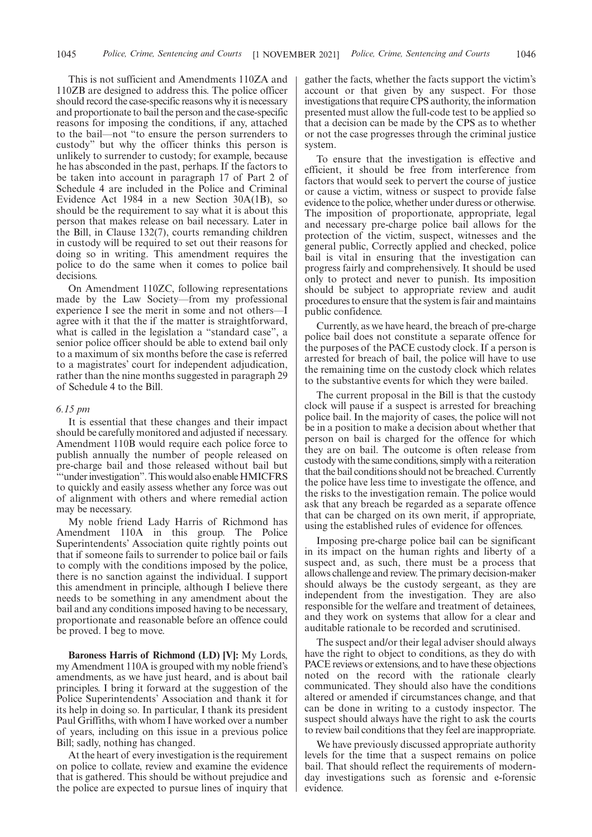This is not sufficient and Amendments 110ZA and 110ZB are designed to address this. The police officer should record the case-specific reasons why it is necessary and proportionate to bail the person and the case-specific reasons for imposing the conditions, if any, attached to the bail—not "to ensure the person surrenders to custody" but why the officer thinks this person is unlikely to surrender to custody; for example, because he has absconded in the past, perhaps. If the factors to be taken into account in paragraph 17 of Part 2 of Schedule 4 are included in the Police and Criminal Evidence Act 1984 in a new Section 30A(1B), so should be the requirement to say what it is about this person that makes release on bail necessary. Later in the Bill, in Clause 132(7), courts remanding children in custody will be required to set out their reasons for doing so in writing. This amendment requires the police to do the same when it comes to police bail decisions.

On Amendment 110ZC, following representations made by the Law Society—from my professional experience I see the merit in some and not others—I agree with it that the if the matter is straightforward, what is called in the legislation a "standard case", a senior police officer should be able to extend bail only to a maximum of six months before the case is referred to a magistrates' court for independent adjudication, rather than the nine months suggested in paragraph 29 of Schedule 4 to the Bill.

### *6.15 pm*

It is essential that these changes and their impact should be carefully monitored and adjusted if necessary. Amendment 110B would require each police force to publish annually the number of people released on pre-charge bail and those released without bail but "'under investigation". This would also enable HMICFRS to quickly and easily assess whether any force was out of alignment with others and where remedial action may be necessary.

My noble friend Lady Harris of Richmond has Amendment 110A in this group. The Police Superintendents' Association quite rightly points out that if someone fails to surrender to police bail or fails to comply with the conditions imposed by the police, there is no sanction against the individual. I support this amendment in principle, although I believe there needs to be something in any amendment about the bail and any conditions imposed having to be necessary, proportionate and reasonable before an offence could be proved. I beg to move.

**Baroness Harris of Richmond (LD) [V]:** My Lords, my Amendment 110A is grouped with my noble friend's amendments, as we have just heard, and is about bail principles. I bring it forward at the suggestion of the Police Superintendents' Association and thank it for its help in doing so. In particular, I thank its president Paul Griffiths, with whom I have worked over a number of years, including on this issue in a previous police Bill; sadly, nothing has changed.

At the heart of every investigation is the requirement on police to collate, review and examine the evidence that is gathered. This should be without prejudice and the police are expected to pursue lines of inquiry that gather the facts, whether the facts support the victim's account or that given by any suspect. For those investigations that require CPS authority, the information presented must allow the full-code test to be applied so that a decision can be made by the CPS as to whether or not the case progresses through the criminal justice system.

To ensure that the investigation is effective and efficient, it should be free from interference from factors that would seek to pervert the course of justice or cause a victim, witness or suspect to provide false evidence to the police, whether under duress or otherwise. The imposition of proportionate, appropriate, legal and necessary pre-charge police bail allows for the protection of the victim, suspect, witnesses and the general public, Correctly applied and checked, police bail is vital in ensuring that the investigation can progress fairly and comprehensively. It should be used only to protect and never to punish. Its imposition should be subject to appropriate review and audit procedures to ensure that the system is fair and maintains public confidence.

Currently, as we have heard, the breach of pre-charge police bail does not constitute a separate offence for the purposes of the PACE custody clock. If a person is arrested for breach of bail, the police will have to use the remaining time on the custody clock which relates to the substantive events for which they were bailed.

The current proposal in the Bill is that the custody clock will pause if a suspect is arrested for breaching police bail. In the majority of cases, the police will not be in a position to make a decision about whether that person on bail is charged for the offence for which they are on bail. The outcome is often release from custody with the same conditions, simply with a reiteration that the bail conditions should not be breached. Currently the police have less time to investigate the offence, and the risks to the investigation remain. The police would ask that any breach be regarded as a separate offence that can be charged on its own merit, if appropriate, using the established rules of evidence for offences.

Imposing pre-charge police bail can be significant in its impact on the human rights and liberty of a suspect and, as such, there must be a process that allows challenge and review. The primary decision-maker should always be the custody sergeant, as they are independent from the investigation. They are also responsible for the welfare and treatment of detainees, and they work on systems that allow for a clear and auditable rationale to be recorded and scrutinised.

The suspect and/or their legal adviser should always have the right to object to conditions, as they do with PACE reviews or extensions, and to have these objections noted on the record with the rationale clearly communicated. They should also have the conditions altered or amended if circumstances change, and that can be done in writing to a custody inspector. The suspect should always have the right to ask the courts to review bail conditions that they feel are inappropriate.

We have previously discussed appropriate authority levels for the time that a suspect remains on police bail. That should reflect the requirements of modernday investigations such as forensic and e-forensic evidence.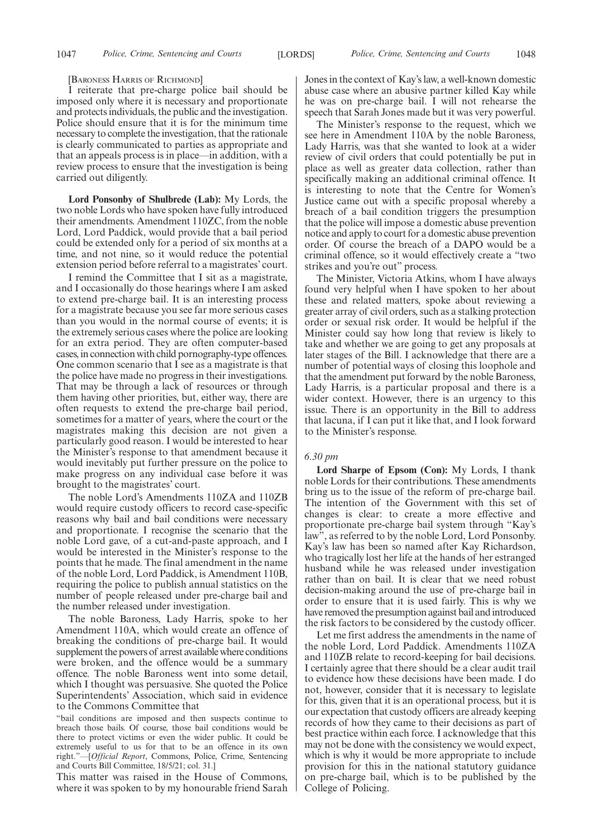[BARONESS HARRIS OF RICHMOND]

I reiterate that pre-charge police bail should be imposed only where it is necessary and proportionate and protects individuals, the public and the investigation. Police should ensure that it is for the minimum time necessary to complete the investigation, that the rationale is clearly communicated to parties as appropriate and that an appeals process is in place—in addition, with a review process to ensure that the investigation is being carried out diligently.

**Lord Ponsonby of Shulbrede (Lab):** My Lords, the two noble Lords who have spoken have fully introduced their amendments. Amendment 110ZC, from the noble Lord, Lord Paddick, would provide that a bail period could be extended only for a period of six months at a time, and not nine, so it would reduce the potential extension period before referral to a magistrates' court.

I remind the Committee that I sit as a magistrate, and I occasionally do those hearings where I am asked to extend pre-charge bail. It is an interesting process for a magistrate because you see far more serious cases than you would in the normal course of events; it is the extremely serious cases where the police are looking for an extra period. They are often computer-based cases, in connection with child pornography-type offences. One common scenario that I see as a magistrate is that the police have made no progress in their investigations. That may be through a lack of resources or through them having other priorities, but, either way, there are often requests to extend the pre-charge bail period, sometimes for a matter of years, where the court or the magistrates making this decision are not given a particularly good reason. I would be interested to hear the Minister's response to that amendment because it would inevitably put further pressure on the police to make progress on any individual case before it was brought to the magistrates' court.

The noble Lord's Amendments 110ZA and 110ZB would require custody officers to record case-specific reasons why bail and bail conditions were necessary and proportionate. I recognise the scenario that the noble Lord gave, of a cut-and-paste approach, and I would be interested in the Minister's response to the points that he made. The final amendment in the name of the noble Lord, Lord Paddick, is Amendment 110B, requiring the police to publish annual statistics on the number of people released under pre-charge bail and the number released under investigation.

The noble Baroness, Lady Harris, spoke to her Amendment 110A, which would create an offence of breaking the conditions of pre-charge bail. It would supplement the powers of arrest available where conditions were broken, and the offence would be a summary offence. The noble Baroness went into some detail, which I thought was persuasive. She quoted the Police Superintendents' Association, which said in evidence to the Commons Committee that

"bail conditions are imposed and then suspects continue to breach those bails. Of course, those bail conditions would be there to protect victims or even the wider public. It could be extremely useful to us for that to be an offence in its own right."—[*Official Report*, Commons, Police, Crime, Sentencing and Courts Bill Committee, 18/5/21; col. 31.]

This matter was raised in the House of Commons, where it was spoken to by my honourable friend Sarah Jones in the context of Kay's law, a well-known domestic abuse case where an abusive partner killed Kay while he was on pre-charge bail. I will not rehearse the speech that Sarah Jones made but it was very powerful.

The Minister's response to the request, which we see here in Amendment 110A by the noble Baroness, Lady Harris, was that she wanted to look at a wider review of civil orders that could potentially be put in place as well as greater data collection, rather than specifically making an additional criminal offence. It is interesting to note that the Centre for Women's Justice came out with a specific proposal whereby a breach of a bail condition triggers the presumption that the police will impose a domestic abuse prevention notice and apply to court for a domestic abuse prevention order. Of course the breach of a DAPO would be a criminal offence, so it would effectively create a "two strikes and you're out" process.

The Minister, Victoria Atkins, whom I have always found very helpful when I have spoken to her about these and related matters, spoke about reviewing a greater array of civil orders, such as a stalking protection order or sexual risk order. It would be helpful if the Minister could say how long that review is likely to take and whether we are going to get any proposals at later stages of the Bill. I acknowledge that there are a number of potential ways of closing this loophole and that the amendment put forward by the noble Baroness, Lady Harris, is a particular proposal and there is a wider context. However, there is an urgency to this issue. There is an opportunity in the Bill to address that lacuna, if I can put it like that, and I look forward to the Minister's response.

### *6.30 pm*

**Lord Sharpe of Epsom (Con):** My Lords, I thank noble Lords for their contributions. These amendments bring us to the issue of the reform of pre-charge bail. The intention of the Government with this set of changes is clear: to create a more effective and proportionate pre-charge bail system through "Kay's law", as referred to by the noble Lord, Lord Ponsonby. Kay's law has been so named after Kay Richardson, who tragically lost her life at the hands of her estranged husband while he was released under investigation rather than on bail. It is clear that we need robust decision-making around the use of pre-charge bail in order to ensure that it is used fairly. This is why we have removed the presumption against bail and introduced the risk factors to be considered by the custody officer.

Let me first address the amendments in the name of the noble Lord, Lord Paddick. Amendments 110ZA and 110ZB relate to record-keeping for bail decisions. I certainly agree that there should be a clear audit trail to evidence how these decisions have been made. I do not, however, consider that it is necessary to legislate for this, given that it is an operational process, but it is our expectation that custody officers are already keeping records of how they came to their decisions as part of best practice within each force. I acknowledge that this may not be done with the consistency we would expect, which is why it would be more appropriate to include provision for this in the national statutory guidance on pre-charge bail, which is to be published by the College of Policing.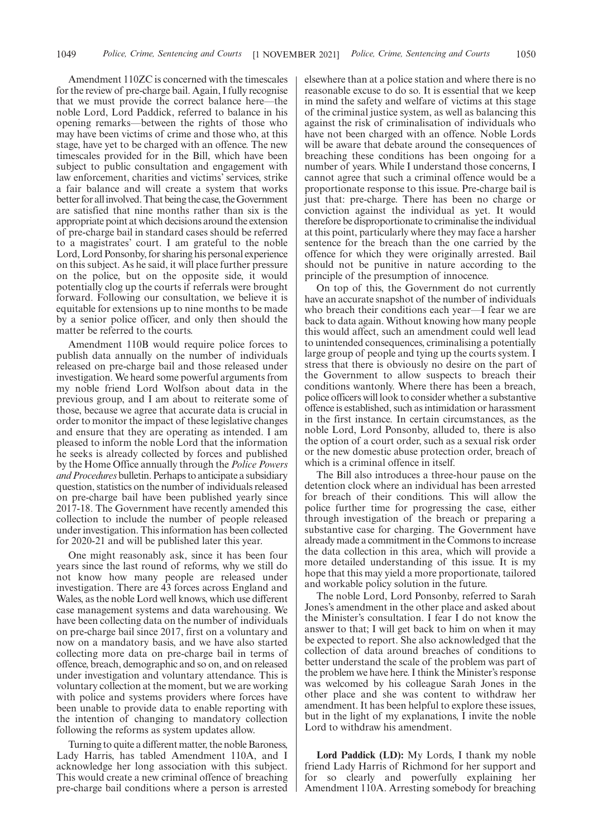Amendment 110ZC is concerned with the timescales for the review of pre-charge bail. Again, I fully recognise that we must provide the correct balance here—the noble Lord, Lord Paddick, referred to balance in his opening remarks—between the rights of those who may have been victims of crime and those who, at this stage, have yet to be charged with an offence. The new timescales provided for in the Bill, which have been subject to public consultation and engagement with law enforcement, charities and victims' services, strike a fair balance and will create a system that works better for all involved. That being the case, the Government are satisfied that nine months rather than six is the appropriate point at which decisions around the extension of pre-charge bail in standard cases should be referred to a magistrates' court. I am grateful to the noble Lord, Lord Ponsonby, for sharing his personal experience on this subject. As he said, it will place further pressure on the police, but on the opposite side, it would potentially clog up the courts if referrals were brought forward. Following our consultation, we believe it is equitable for extensions up to nine months to be made by a senior police officer, and only then should the matter be referred to the courts.

Amendment 110B would require police forces to publish data annually on the number of individuals released on pre-charge bail and those released under investigation. We heard some powerful arguments from my noble friend Lord Wolfson about data in the previous group, and I am about to reiterate some of those, because we agree that accurate data is crucial in order to monitor the impact of these legislative changes and ensure that they are operating as intended. I am pleased to inform the noble Lord that the information he seeks is already collected by forces and published by the Home Office annually through the *Police Powers and Procedures* bulletin. Perhaps to anticipate a subsidiary question, statistics on the number of individuals released on pre-charge bail have been published yearly since 2017-18. The Government have recently amended this collection to include the number of people released under investigation. This information has been collected for 2020-21 and will be published later this year.

One might reasonably ask, since it has been four years since the last round of reforms, why we still do not know how many people are released under investigation. There are 43 forces across England and Wales, as the noble Lord well knows, which use different case management systems and data warehousing. We have been collecting data on the number of individuals on pre-charge bail since 2017, first on a voluntary and now on a mandatory basis, and we have also started collecting more data on pre-charge bail in terms of offence, breach, demographic and so on, and on released under investigation and voluntary attendance. This is voluntary collection at the moment, but we are working with police and systems providers where forces have been unable to provide data to enable reporting with the intention of changing to mandatory collection following the reforms as system updates allow.

Turning to quite a different matter, the noble Baroness, Lady Harris, has tabled Amendment 110A, and I acknowledge her long association with this subject. This would create a new criminal offence of breaching pre-charge bail conditions where a person is arrested elsewhere than at a police station and where there is no reasonable excuse to do so. It is essential that we keep in mind the safety and welfare of victims at this stage of the criminal justice system, as well as balancing this against the risk of criminalisation of individuals who have not been charged with an offence. Noble Lords will be aware that debate around the consequences of breaching these conditions has been ongoing for a number of years. While I understand those concerns, I cannot agree that such a criminal offence would be a proportionate response to this issue. Pre-charge bail is just that: pre-charge. There has been no charge or conviction against the individual as yet. It would therefore be disproportionate to criminalise the individual at this point, particularly where they may face a harsher sentence for the breach than the one carried by the offence for which they were originally arrested. Bail should not be punitive in nature according to the principle of the presumption of innocence.

On top of this, the Government do not currently have an accurate snapshot of the number of individuals who breach their conditions each year—I fear we are back to data again. Without knowing how many people this would affect, such an amendment could well lead to unintended consequences, criminalising a potentially large group of people and tying up the courts system. I stress that there is obviously no desire on the part of the Government to allow suspects to breach their conditions wantonly. Where there has been a breach, police officers will look to consider whether a substantive offence is established, such as intimidation or harassment in the first instance. In certain circumstances, as the noble Lord, Lord Ponsonby, alluded to, there is also the option of a court order, such as a sexual risk order or the new domestic abuse protection order, breach of which is a criminal offence in itself.

The Bill also introduces a three-hour pause on the detention clock where an individual has been arrested for breach of their conditions. This will allow the police further time for progressing the case, either through investigation of the breach or preparing a substantive case for charging. The Government have already made a commitment in the Commons to increase the data collection in this area, which will provide a more detailed understanding of this issue. It is my hope that this may yield a more proportionate, tailored and workable policy solution in the future.

The noble Lord, Lord Ponsonby, referred to Sarah Jones's amendment in the other place and asked about the Minister's consultation. I fear I do not know the answer to that; I will get back to him on when it may be expected to report. She also acknowledged that the collection of data around breaches of conditions to better understand the scale of the problem was part of the problem we have here. I think the Minister's response was welcomed by his colleague Sarah Jones in the other place and she was content to withdraw her amendment. It has been helpful to explore these issues, but in the light of my explanations, I invite the noble Lord to withdraw his amendment.

**Lord Paddick (LD):** My Lords, I thank my noble friend Lady Harris of Richmond for her support and for so clearly and powerfully explaining her Amendment 110A. Arresting somebody for breaching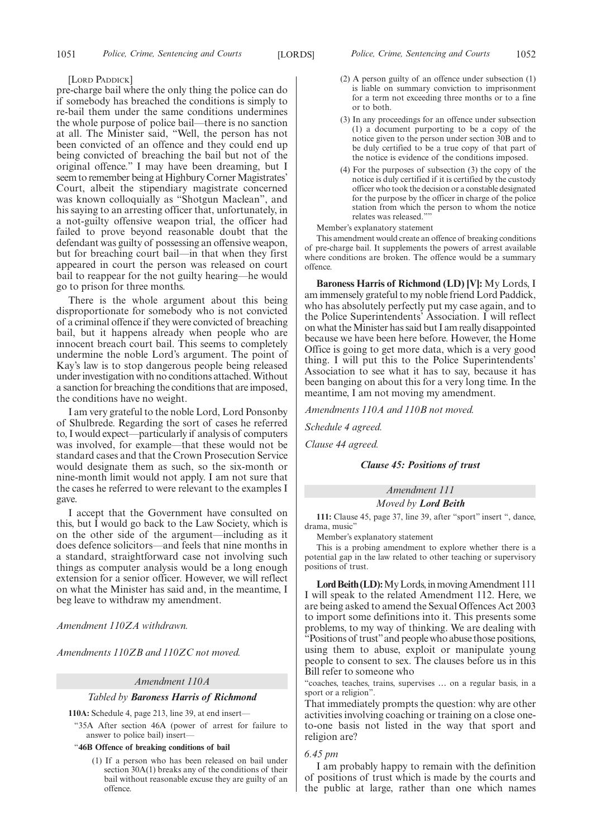#### [LORD PADDICK]

pre-charge bail where the only thing the police can do if somebody has breached the conditions is simply to re-bail them under the same conditions undermines the whole purpose of police bail—there is no sanction at all. The Minister said, "Well, the person has not been convicted of an offence and they could end up being convicted of breaching the bail but not of the original offence." I may have been dreaming, but I seem to remember being at Highbury Corner Magistrates' Court, albeit the stipendiary magistrate concerned was known colloquially as "Shotgun Maclean", and his saying to an arresting officer that, unfortunately, in a not-guilty offensive weapon trial, the officer had failed to prove beyond reasonable doubt that the defendant was guilty of possessing an offensive weapon, but for breaching court bail—in that when they first appeared in court the person was released on court bail to reappear for the not guilty hearing—he would go to prison for three months.

There is the whole argument about this being disproportionate for somebody who is not convicted of a criminal offence if they were convicted of breaching bail, but it happens already when people who are innocent breach court bail. This seems to completely undermine the noble Lord's argument. The point of Kay's law is to stop dangerous people being released under investigation with no conditions attached. Without a sanction for breaching the conditions that are imposed, the conditions have no weight.

I am very grateful to the noble Lord, Lord Ponsonby of Shulbrede. Regarding the sort of cases he referred to, I would expect—particularly if analysis of computers was involved, for example—that these would not be standard cases and that the Crown Prosecution Service would designate them as such, so the six-month or nine-month limit would not apply. I am not sure that the cases he referred to were relevant to the examples I gave.

I accept that the Government have consulted on this, but I would go back to the Law Society, which is on the other side of the argument—including as it does defence solicitors—and feels that nine months in a standard, straightforward case not involving such things as computer analysis would be a long enough extension for a senior officer. However, we will reflect on what the Minister has said and, in the meantime, I beg leave to withdraw my amendment.

*Amendment 110ZA withdrawn.*

*Amendments 110ZB and 110ZC not moved.*

#### *Amendment 110A*

#### *Tabled by Baroness Harris of Richmond*

**110A:** Schedule 4, page 213, line 39, at end insert—

"35A After section 46A (power of arrest for failure to answer to police bail) insert—

#### "**46B Offence of breaking conditions of bail**

(1) If a person who has been released on bail under section 30A(1) breaks any of the conditions of their bail without reasonable excuse they are guilty of an offence.

- (2) A person guilty of an offence under subsection (1) is liable on summary conviction to imprisonment for a term not exceeding three months or to a fine or to both.
- (3) In any proceedings for an offence under subsection (1) a document purporting to be a copy of the notice given to the person under section 30B and to be duly certified to be a true copy of that part of the notice is evidence of the conditions imposed.
- (4) For the purposes of subsection (3) the copy of the notice is duly certified if it is certified by the custody officer who took the decision or a constable designated for the purpose by the officer in charge of the police station from which the person to whom the notice relates was released.""

#### Member's explanatory statement

This amendment would create an offence of breaking conditions of pre-charge bail. It supplements the powers of arrest available where conditions are broken. The offence would be a summary offence.

**Baroness Harris of Richmond (LD) [V]:** My Lords, I am immensely grateful to my noble friend Lord Paddick, who has absolutely perfectly put my case again, and to the Police Superintendents' Association. I will reflect on what the Minister has said but I am really disappointed because we have been here before. However, the Home Office is going to get more data, which is a very good thing. I will put this to the Police Superintendents' Association to see what it has to say, because it has been banging on about this for a very long time. In the meantime, I am not moving my amendment.

*Amendments 110A and 110B not moved.*

*Schedule 4 agreed.*

*Clause 44 agreed.*

#### *Clause 45: Positions of trust*

*Amendment 111 Moved by Lord Beith*

**111:** Clause 45, page 37, line 39, after "sport" insert ", dance, drama, music"

Member's explanatory statement

This is a probing amendment to explore whether there is a potential gap in the law related to other teaching or supervisory positions of trust.

Lord Beith (LD): My Lords, in moving Amendment 111 I will speak to the related Amendment 112. Here, we are being asked to amend the Sexual Offences Act 2003 to import some definitions into it. This presents some problems, to my way of thinking. We are dealing with "Positions of trust" and people who abuse those positions, using them to abuse, exploit or manipulate young people to consent to sex. The clauses before us in this Bill refer to someone who

"coaches, teaches, trains, supervises … on a regular basis, in a sport or a religion".

That immediately prompts the question: why are other activities involving coaching or training on a close oneto-one basis not listed in the way that sport and religion are?

# *6.45 pm*

I am probably happy to remain with the definition of positions of trust which is made by the courts and the public at large, rather than one which names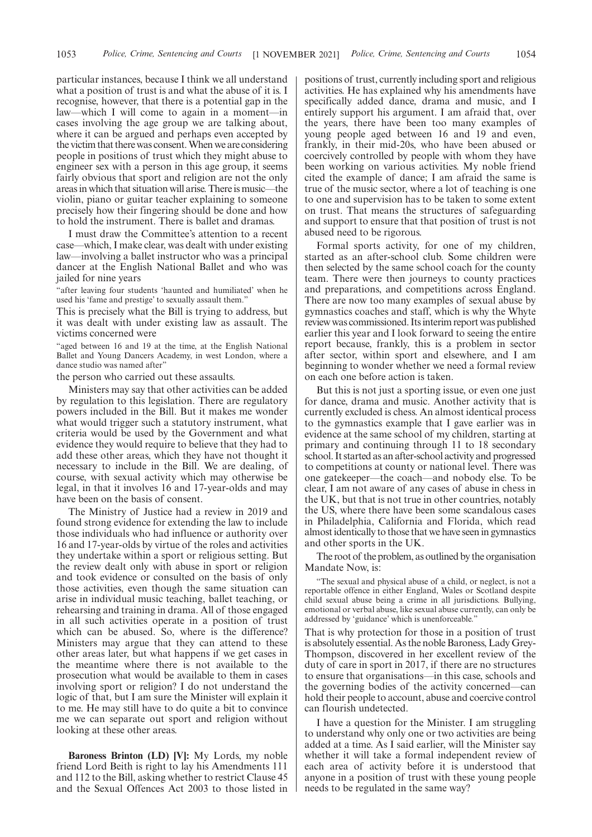particular instances, because I think we all understand what a position of trust is and what the abuse of it is. I recognise, however, that there is a potential gap in the law—which I will come to again in a moment—in cases involving the age group we are talking about, where it can be argued and perhaps even accepted by the victim that there was consent. When we are considering people in positions of trust which they might abuse to engineer sex with a person in this age group, it seems fairly obvious that sport and religion are not the only areas in which that situation will arise. There is music—the violin, piano or guitar teacher explaining to someone precisely how their fingering should be done and how to hold the instrument. There is ballet and dramas.

I must draw the Committee's attention to a recent case—which, I make clear, was dealt with under existing law—involving a ballet instructor who was a principal dancer at the English National Ballet and who was jailed for nine years

"after leaving four students 'haunted and humiliated' when he used his 'fame and prestige' to sexually assault them."

This is precisely what the Bill is trying to address, but it was dealt with under existing law as assault. The victims concerned were

"aged between 16 and 19 at the time, at the English National Ballet and Young Dancers Academy, in west London, where a dance studio was named after'

the person who carried out these assaults.

Ministers may say that other activities can be added by regulation to this legislation. There are regulatory powers included in the Bill. But it makes me wonder what would trigger such a statutory instrument, what criteria would be used by the Government and what evidence they would require to believe that they had to add these other areas, which they have not thought it necessary to include in the Bill. We are dealing, of course, with sexual activity which may otherwise be legal, in that it involves 16 and 17-year-olds and may have been on the basis of consent.

The Ministry of Justice had a review in 2019 and found strong evidence for extending the law to include those individuals who had influence or authority over 16 and 17-year-olds by virtue of the roles and activities they undertake within a sport or religious setting. But the review dealt only with abuse in sport or religion and took evidence or consulted on the basis of only those activities, even though the same situation can arise in individual music teaching, ballet teaching, or rehearsing and training in drama. All of those engaged in all such activities operate in a position of trust which can be abused. So, where is the difference? Ministers may argue that they can attend to these other areas later, but what happens if we get cases in the meantime where there is not available to the prosecution what would be available to them in cases involving sport or religion? I do not understand the logic of that, but I am sure the Minister will explain it to me. He may still have to do quite a bit to convince me we can separate out sport and religion without looking at these other areas.

**Baroness Brinton (LD) [V]:** My Lords, my noble friend Lord Beith is right to lay his Amendments 111 and 112 to the Bill, asking whether to restrict Clause 45 and the Sexual Offences Act 2003 to those listed in positions of trust, currently including sport and religious activities. He has explained why his amendments have specifically added dance, drama and music, and I entirely support his argument. I am afraid that, over the years, there have been too many examples of young people aged between 16 and 19 and even, frankly, in their mid-20s, who have been abused or coercively controlled by people with whom they have been working on various activities. My noble friend cited the example of dance; I am afraid the same is true of the music sector, where a lot of teaching is one to one and supervision has to be taken to some extent on trust. That means the structures of safeguarding and support to ensure that that position of trust is not abused need to be rigorous.

Formal sports activity, for one of my children, started as an after-school club. Some children were then selected by the same school coach for the county team. There were then journeys to county practices and preparations, and competitions across England. There are now too many examples of sexual abuse by gymnastics coaches and staff, which is why the Whyte review was commissioned. Its interim report was published earlier this year and I look forward to seeing the entire report because, frankly, this is a problem in sector after sector, within sport and elsewhere, and I am beginning to wonder whether we need a formal review on each one before action is taken.

But this is not just a sporting issue, or even one just for dance, drama and music. Another activity that is currently excluded is chess. An almost identical process to the gymnastics example that I gave earlier was in evidence at the same school of my children, starting at primary and continuing through 11 to 18 secondary school. It started as an after-school activity and progressed to competitions at county or national level. There was one gatekeeper—the coach—and nobody else. To be clear, I am not aware of any cases of abuse in chess in the UK, but that is not true in other countries, notably the US, where there have been some scandalous cases in Philadelphia, California and Florida, which read almost identically to those that we have seen in gymnastics and other sports in the UK.

The root of the problem, as outlined by the organisation Mandate Now, is:

"The sexual and physical abuse of a child, or neglect, is not a reportable offence in either England, Wales or Scotland despite child sexual abuse being a crime in all jurisdictions. Bullying, emotional or verbal abuse, like sexual abuse currently, can only be addressed by 'guidance' which is unenforceable.

That is why protection for those in a position of trust is absolutely essential. As the noble Baroness, Lady Grey-Thompson, discovered in her excellent review of the duty of care in sport in 2017, if there are no structures to ensure that organisations—in this case, schools and the governing bodies of the activity concerned—can hold their people to account, abuse and coercive control can flourish undetected.

I have a question for the Minister. I am struggling to understand why only one or two activities are being added at a time. As I said earlier, will the Minister say whether it will take a formal independent review of each area of activity before it is understood that anyone in a position of trust with these young people needs to be regulated in the same way?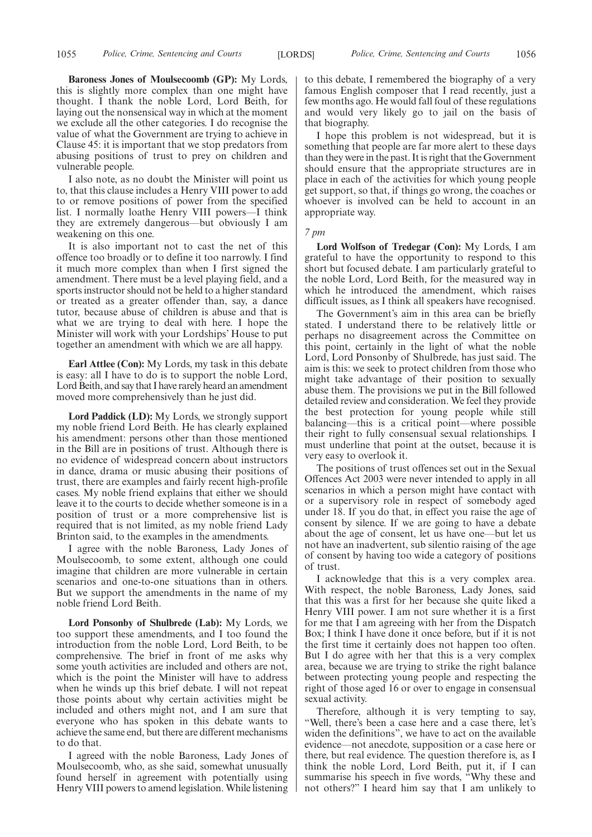**Baroness Jones of Moulsecoomb (GP):** My Lords, this is slightly more complex than one might have thought. I thank the noble Lord, Lord Beith, for laying out the nonsensical way in which at the moment we exclude all the other categories. I do recognise the value of what the Government are trying to achieve in Clause 45: it is important that we stop predators from abusing positions of trust to prey on children and vulnerable people.

I also note, as no doubt the Minister will point us to, that this clause includes a Henry VIII power to add to or remove positions of power from the specified list. I normally loathe Henry VIII powers—I think they are extremely dangerous—but obviously I am weakening on this one.

It is also important not to cast the net of this offence too broadly or to define it too narrowly. I find it much more complex than when I first signed the amendment. There must be a level playing field, and a sports instructor should not be held to a higher standard or treated as a greater offender than, say, a dance tutor, because abuse of children is abuse and that is what we are trying to deal with here. I hope the Minister will work with your Lordships' House to put together an amendment with which we are all happy.

**Earl Attlee (Con):** My Lords, my task in this debate is easy: all I have to do is to support the noble Lord, Lord Beith, and say that I have rarely heard an amendment moved more comprehensively than he just did.

**Lord Paddick (LD):** My Lords, we strongly support my noble friend Lord Beith. He has clearly explained his amendment: persons other than those mentioned in the Bill are in positions of trust. Although there is no evidence of widespread concern about instructors in dance, drama or music abusing their positions of trust, there are examples and fairly recent high-profile cases. My noble friend explains that either we should leave it to the courts to decide whether someone is in a position of trust or a more comprehensive list is required that is not limited, as my noble friend Lady Brinton said, to the examples in the amendments.

I agree with the noble Baroness, Lady Jones of Moulsecoomb, to some extent, although one could imagine that children are more vulnerable in certain scenarios and one-to-one situations than in others. But we support the amendments in the name of my noble friend Lord Beith.

**Lord Ponsonby of Shulbrede (Lab):** My Lords, we too support these amendments, and I too found the introduction from the noble Lord, Lord Beith, to be comprehensive. The brief in front of me asks why some youth activities are included and others are not, which is the point the Minister will have to address when he winds up this brief debate. I will not repeat those points about why certain activities might be included and others might not, and I am sure that everyone who has spoken in this debate wants to achieve the same end, but there are different mechanisms to do that.

I agreed with the noble Baroness, Lady Jones of Moulsecoomb, who, as she said, somewhat unusually found herself in agreement with potentially using Henry VIII powers to amend legislation. While listening to this debate, I remembered the biography of a very famous English composer that I read recently, just a few months ago. He would fall foul of these regulations and would very likely go to jail on the basis of that biography.

I hope this problem is not widespread, but it is something that people are far more alert to these days than they were in the past. It is right that the Government should ensure that the appropriate structures are in place in each of the activities for which young people get support, so that, if things go wrong, the coaches or whoever is involved can be held to account in an appropriate way.

*7 pm*

**Lord Wolfson of Tredegar (Con):** My Lords, I am grateful to have the opportunity to respond to this short but focused debate. I am particularly grateful to the noble Lord, Lord Beith, for the measured way in which he introduced the amendment, which raises difficult issues, as I think all speakers have recognised.

The Government's aim in this area can be briefly stated. I understand there to be relatively little or perhaps no disagreement across the Committee on this point, certainly in the light of what the noble Lord, Lord Ponsonby of Shulbrede, has just said. The aim is this: we seek to protect children from those who might take advantage of their position to sexually abuse them. The provisions we put in the Bill followed detailed review and consideration. We feel they provide the best protection for young people while still balancing—this is a critical point—where possible their right to fully consensual sexual relationships. I must underline that point at the outset, because it is very easy to overlook it.

The positions of trust offences set out in the Sexual Offences Act 2003 were never intended to apply in all scenarios in which a person might have contact with or a supervisory role in respect of somebody aged under 18. If you do that, in effect you raise the age of consent by silence. If we are going to have a debate about the age of consent, let us have one—but let us not have an inadvertent, sub silentio raising of the age of consent by having too wide a category of positions of trust.

I acknowledge that this is a very complex area. With respect, the noble Baroness, Lady Jones, said that this was a first for her because she quite liked a Henry VIII power. I am not sure whether it is a first for me that I am agreeing with her from the Dispatch Box; I think I have done it once before, but if it is not the first time it certainly does not happen too often. But I do agree with her that this is a very complex area, because we are trying to strike the right balance between protecting young people and respecting the right of those aged 16 or over to engage in consensual sexual activity.

Therefore, although it is very tempting to say, "Well, there's been a case here and a case there, let's widen the definitions", we have to act on the available evidence—not anecdote, supposition or a case here or there, but real evidence. The question therefore is, as I think the noble Lord, Lord Beith, put it, if I can summarise his speech in five words, "Why these and not others?" I heard him say that I am unlikely to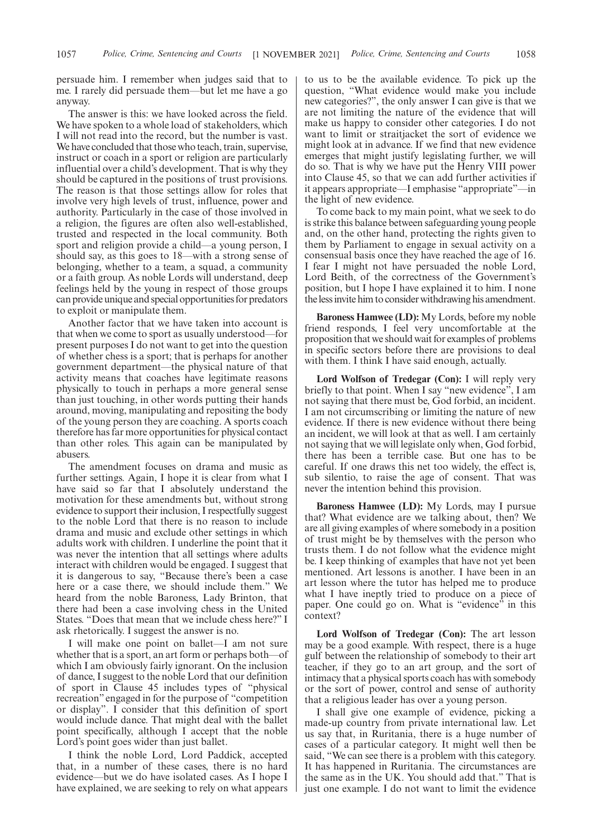persuade him. I remember when judges said that to me. I rarely did persuade them—but let me have a go anyway.

The answer is this: we have looked across the field. We have spoken to a whole load of stakeholders, which I will not read into the record, but the number is vast. We have concluded that those who teach, train, supervise, instruct or coach in a sport or religion are particularly influential over a child's development. That is why they should be captured in the positions of trust provisions. The reason is that those settings allow for roles that involve very high levels of trust, influence, power and authority. Particularly in the case of those involved in a religion, the figures are often also well-established, trusted and respected in the local community. Both sport and religion provide a child—a young person, I should say, as this goes to 18—with a strong sense of belonging, whether to a team, a squad, a community or a faith group. As noble Lords will understand, deep feelings held by the young in respect of those groups can provide unique and special opportunities for predators to exploit or manipulate them.

Another factor that we have taken into account is that when we come to sport as usually understood—for present purposes I do not want to get into the question of whether chess is a sport; that is perhaps for another government department—the physical nature of that activity means that coaches have legitimate reasons physically to touch in perhaps a more general sense than just touching, in other words putting their hands around, moving, manipulating and repositing the body of the young person they are coaching. A sports coach therefore has far more opportunities for physical contact than other roles. This again can be manipulated by abusers.

The amendment focuses on drama and music as further settings. Again, I hope it is clear from what I have said so far that I absolutely understand the motivation for these amendments but, without strong evidence to support their inclusion, I respectfully suggest to the noble Lord that there is no reason to include drama and music and exclude other settings in which adults work with children. I underline the point that it was never the intention that all settings where adults interact with children would be engaged. I suggest that it is dangerous to say, "Because there's been a case here or a case there, we should include them." We heard from the noble Baroness, Lady Brinton, that there had been a case involving chess in the United States. "Does that mean that we include chess here?" I ask rhetorically. I suggest the answer is no.

I will make one point on ballet—I am not sure whether that is a sport, an art form or perhaps both—of which I am obviously fairly ignorant. On the inclusion of dance, I suggest to the noble Lord that our definition of sport in Clause 45 includes types of "physical recreation" engaged in for the purpose of "competition or display". I consider that this definition of sport would include dance. That might deal with the ballet point specifically, although I accept that the noble Lord's point goes wider than just ballet.

I think the noble Lord, Lord Paddick, accepted that, in a number of these cases, there is no hard evidence—but we do have isolated cases. As I hope I have explained, we are seeking to rely on what appears to us to be the available evidence. To pick up the question, "What evidence would make you include new categories?", the only answer I can give is that we are not limiting the nature of the evidence that will make us happy to consider other categories. I do not want to limit or straitjacket the sort of evidence we might look at in advance. If we find that new evidence emerges that might justify legislating further, we will do so. That is why we have put the Henry VIII power into Clause 45, so that we can add further activities if it appears appropriate—I emphasise "appropriate"—in the light of new evidence.

To come back to my main point, what we seek to do is strike this balance between safeguarding young people and, on the other hand, protecting the rights given to them by Parliament to engage in sexual activity on a consensual basis once they have reached the age of 16. I fear I might not have persuaded the noble Lord, Lord Beith, of the correctness of the Government's position, but I hope I have explained it to him. I none the less invite him to consider withdrawing his amendment.

**Baroness Hamwee (LD):** My Lords, before my noble friend responds, I feel very uncomfortable at the proposition that we should wait for examples of problems in specific sectors before there are provisions to deal with them. I think I have said enough, actually.

**Lord Wolfson of Tredegar (Con):** I will reply very briefly to that point. When I say "new evidence", I am not saying that there must be, God forbid, an incident. I am not circumscribing or limiting the nature of new evidence. If there is new evidence without there being an incident, we will look at that as well. I am certainly not saying that we will legislate only when, God forbid, there has been a terrible case. But one has to be careful. If one draws this net too widely, the effect is, sub silentio, to raise the age of consent. That was never the intention behind this provision.

**Baroness Hamwee (LD):** My Lords, may I pursue that? What evidence are we talking about, then? We are all giving examples of where somebody in a position of trust might be by themselves with the person who trusts them. I do not follow what the evidence might be. I keep thinking of examples that have not yet been mentioned. Art lessons is another. I have been in an art lesson where the tutor has helped me to produce what I have ineptly tried to produce on a piece of paper. One could go on. What is "evidence" in this context?

**Lord Wolfson of Tredegar (Con):** The art lesson may be a good example. With respect, there is a huge gulf between the relationship of somebody to their art teacher, if they go to an art group, and the sort of intimacy that a physical sports coach has with somebody or the sort of power, control and sense of authority that a religious leader has over a young person.

I shall give one example of evidence, picking a made-up country from private international law. Let us say that, in Ruritania, there is a huge number of cases of a particular category. It might well then be said, "We can see there is a problem with this category. It has happened in Ruritania. The circumstances are the same as in the UK. You should add that." That is just one example. I do not want to limit the evidence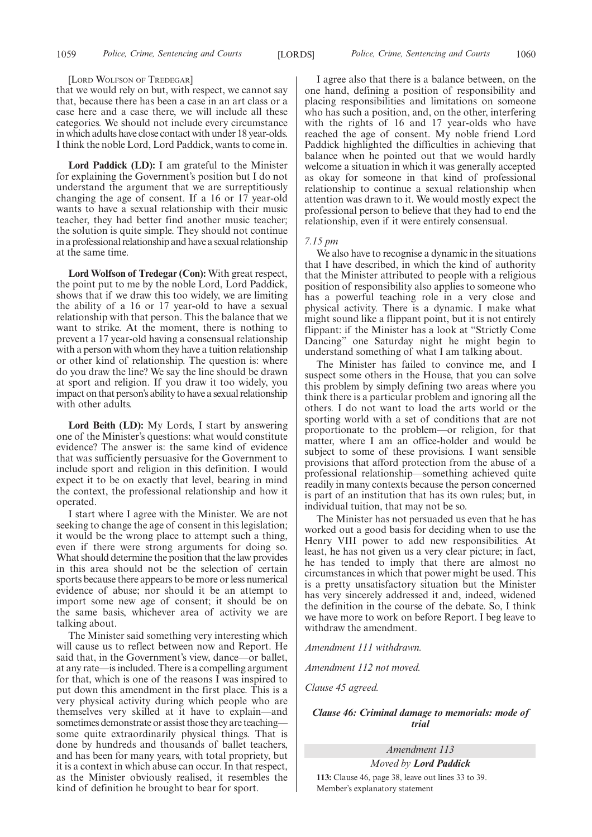#### [LORD WOLFSON OF TREDEGAR]

that we would rely on but, with respect, we cannot say that, because there has been a case in an art class or a case here and a case there, we will include all these categories. We should not include every circumstance in which adults have close contact with under 18 year-olds. I think the noble Lord, Lord Paddick, wants to come in.

**Lord Paddick (LD):** I am grateful to the Minister for explaining the Government's position but I do not understand the argument that we are surreptitiously changing the age of consent. If a 16 or 17 year-old wants to have a sexual relationship with their music teacher, they had better find another music teacher; the solution is quite simple. They should not continue in a professional relationship and have a sexual relationship at the same time.

**Lord Wolfson of Tredegar (Con):** With great respect, the point put to me by the noble Lord, Lord Paddick, shows that if we draw this too widely, we are limiting the ability of a 16 or 17 year-old to have a sexual relationship with that person. This the balance that we want to strike. At the moment, there is nothing to prevent a 17 year-old having a consensual relationship with a person with whom they have a tuition relationship or other kind of relationship. The question is: where do you draw the line? We say the line should be drawn at sport and religion. If you draw it too widely, you impact on that person's ability to have a sexual relationship with other adults.

**Lord Beith (LD):** My Lords, I start by answering one of the Minister's questions: what would constitute evidence? The answer is: the same kind of evidence that was sufficiently persuasive for the Government to include sport and religion in this definition. I would expect it to be on exactly that level, bearing in mind the context, the professional relationship and how it operated.

I start where I agree with the Minister. We are not seeking to change the age of consent in this legislation; it would be the wrong place to attempt such a thing, even if there were strong arguments for doing so. What should determine the position that the law provides in this area should not be the selection of certain sports because there appears to be more or less numerical evidence of abuse; nor should it be an attempt to import some new age of consent; it should be on the same basis, whichever area of activity we are talking about.

The Minister said something very interesting which will cause us to reflect between now and Report. He said that, in the Government's view, dance—or ballet, at any rate—is included. There is a compelling argument for that, which is one of the reasons I was inspired to put down this amendment in the first place. This is a very physical activity during which people who are themselves very skilled at it have to explain—and sometimes demonstrate or assist those they are teaching some quite extraordinarily physical things. That is done by hundreds and thousands of ballet teachers, and has been for many years, with total propriety, but it is a context in which abuse can occur. In that respect, as the Minister obviously realised, it resembles the kind of definition he brought to bear for sport.

I agree also that there is a balance between, on the one hand, defining a position of responsibility and placing responsibilities and limitations on someone who has such a position, and, on the other, interfering with the rights of 16 and 17 year-olds who have reached the age of consent. My noble friend Lord Paddick highlighted the difficulties in achieving that balance when he pointed out that we would hardly welcome a situation in which it was generally accepted as okay for someone in that kind of professional relationship to continue a sexual relationship when attention was drawn to it. We would mostly expect the professional person to believe that they had to end the relationship, even if it were entirely consensual.

#### *7.15 pm*

We also have to recognise a dynamic in the situations that I have described, in which the kind of authority that the Minister attributed to people with a religious position of responsibility also applies to someone who has a powerful teaching role in a very close and physical activity. There is a dynamic. I make what might sound like a flippant point, but it is not entirely flippant: if the Minister has a look at "Strictly Come Dancing" one Saturday night he might begin to understand something of what I am talking about.

The Minister has failed to convince me, and I suspect some others in the House, that you can solve this problem by simply defining two areas where you think there is a particular problem and ignoring all the others. I do not want to load the arts world or the sporting world with a set of conditions that are not proportionate to the problem—or religion, for that matter, where I am an office-holder and would be subject to some of these provisions. I want sensible provisions that afford protection from the abuse of a professional relationship—something achieved quite readily in many contexts because the person concerned is part of an institution that has its own rules; but, in individual tuition, that may not be so.

The Minister has not persuaded us even that he has worked out a good basis for deciding when to use the Henry VIII power to add new responsibilities. At least, he has not given us a very clear picture; in fact, he has tended to imply that there are almost no circumstances in which that power might be used. This is a pretty unsatisfactory situation but the Minister has very sincerely addressed it and, indeed, widened the definition in the course of the debate. So, I think we have more to work on before Report. I beg leave to withdraw the amendment.

*Amendment 111 withdrawn.*

*Amendment 112 not moved.*

*Clause 45 agreed.*

# *Clause 46: Criminal damage to memorials: mode of trial*

*Amendment 113 Moved by Lord Paddick*

**113:** Clause 46, page 38, leave out lines 33 to 39. Member's explanatory statement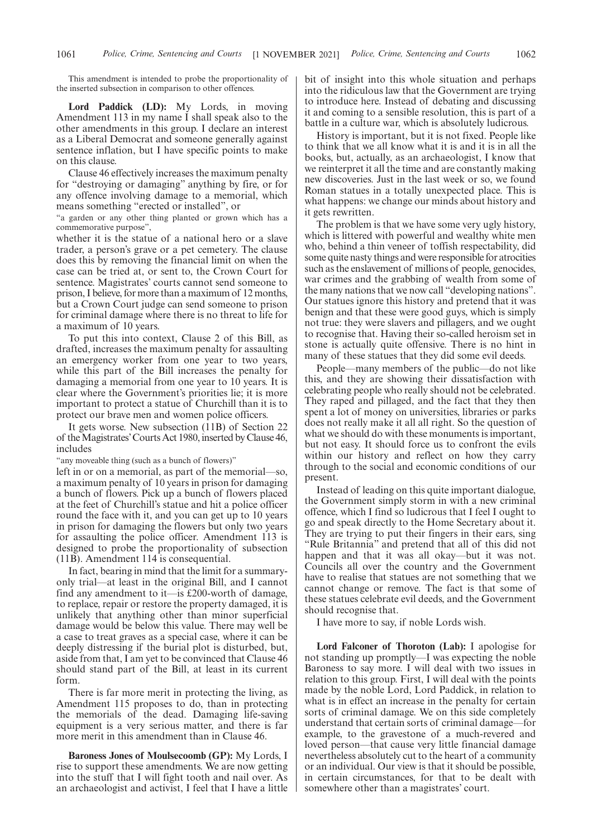This amendment is intended to probe the proportionality of the inserted subsection in comparison to other offences.

**Lord Paddick (LD):** My Lords, in moving Amendment 113 in my name I shall speak also to the other amendments in this group. I declare an interest as a Liberal Democrat and someone generally against sentence inflation, but I have specific points to make on this clause.

Clause 46 effectively increases the maximum penalty for "destroying or damaging" anything by fire, or for any offence involving damage to a memorial, which means something "erected or installed", or

"a garden or any other thing planted or grown which has a commemorative purpose",

whether it is the statue of a national hero or a slave trader, a person's grave or a pet cemetery. The clause does this by removing the financial limit on when the case can be tried at, or sent to, the Crown Court for sentence. Magistrates' courts cannot send someone to prison, I believe, for more than a maximum of 12 months, but a Crown Court judge can send someone to prison for criminal damage where there is no threat to life for a maximum of 10 years.

To put this into context, Clause 2 of this Bill, as drafted, increases the maximum penalty for assaulting an emergency worker from one year to two years, while this part of the Bill increases the penalty for damaging a memorial from one year to 10 years. It is clear where the Government's priorities lie; it is more important to protect a statue of Churchill than it is to protect our brave men and women police officers.

It gets worse. New subsection (11B) of Section 22 of the Magistrates'Courts Act 1980, inserted by Clause 46, includes

"any moveable thing (such as a bunch of flowers)"

left in or on a memorial, as part of the memorial—so, a maximum penalty of 10 years in prison for damaging a bunch of flowers. Pick up a bunch of flowers placed at the feet of Churchill's statue and hit a police officer round the face with it, and you can get up to 10 years in prison for damaging the flowers but only two years for assaulting the police officer. Amendment 113 is designed to probe the proportionality of subsection (11B). Amendment 114 is consequential.

In fact, bearing in mind that the limit for a summaryonly trial—at least in the original Bill, and I cannot find any amendment to it—is £200-worth of damage, to replace, repair or restore the property damaged, it is unlikely that anything other than minor superficial damage would be below this value. There may well be a case to treat graves as a special case, where it can be deeply distressing if the burial plot is disturbed, but, aside from that, I am yet to be convinced that Clause 46 should stand part of the Bill, at least in its current form.

There is far more merit in protecting the living, as Amendment 115 proposes to do, than in protecting the memorials of the dead. Damaging life-saving equipment is a very serious matter, and there is far more merit in this amendment than in Clause 46.

**Baroness Jones of Moulsecoomb (GP):** My Lords, I rise to support these amendments. We are now getting into the stuff that I will fight tooth and nail over. As an archaeologist and activist, I feel that I have a little bit of insight into this whole situation and perhaps into the ridiculous law that the Government are trying to introduce here. Instead of debating and discussing it and coming to a sensible resolution, this is part of a battle in a culture war, which is absolutely ludicrous.

History is important, but it is not fixed. People like to think that we all know what it is and it is in all the books, but, actually, as an archaeologist, I know that we reinterpret it all the time and are constantly making new discoveries. Just in the last week or so, we found Roman statues in a totally unexpected place. This is what happens: we change our minds about history and it gets rewritten.

The problem is that we have some very ugly history, which is littered with powerful and wealthy white men who, behind a thin veneer of toffish respectability, did some quite nasty things and were responsible for atrocities such as the enslavement of millions of people, genocides, war crimes and the grabbing of wealth from some of the many nations that we now call "developing nations". Our statues ignore this history and pretend that it was benign and that these were good guys, which is simply not true: they were slavers and pillagers, and we ought to recognise that. Having their so-called heroism set in stone is actually quite offensive. There is no hint in many of these statues that they did some evil deeds.

People—many members of the public—do not like this, and they are showing their dissatisfaction with celebrating people who really should not be celebrated. They raped and pillaged, and the fact that they then spent a lot of money on universities, libraries or parks does not really make it all all right. So the question of what we should do with these monuments is important, but not easy. It should force us to confront the evils within our history and reflect on how they carry through to the social and economic conditions of our present.

Instead of leading on this quite important dialogue, the Government simply storm in with a new criminal offence, which I find so ludicrous that I feel I ought to go and speak directly to the Home Secretary about it. They are trying to put their fingers in their ears, sing "Rule Britannia" and pretend that all of this did not happen and that it was all okay—but it was not. Councils all over the country and the Government have to realise that statues are not something that we cannot change or remove. The fact is that some of these statues celebrate evil deeds, and the Government should recognise that.

I have more to say, if noble Lords wish.

**Lord Falconer of Thoroton (Lab):** I apologise for not standing up promptly—I was expecting the noble Baroness to say more. I will deal with two issues in relation to this group. First, I will deal with the points made by the noble Lord, Lord Paddick, in relation to what is in effect an increase in the penalty for certain sorts of criminal damage. We on this side completely understand that certain sorts of criminal damage—for example, to the gravestone of a much-revered and loved person—that cause very little financial damage nevertheless absolutely cut to the heart of a community or an individual. Our view is that it should be possible, in certain circumstances, for that to be dealt with somewhere other than a magistrates' court.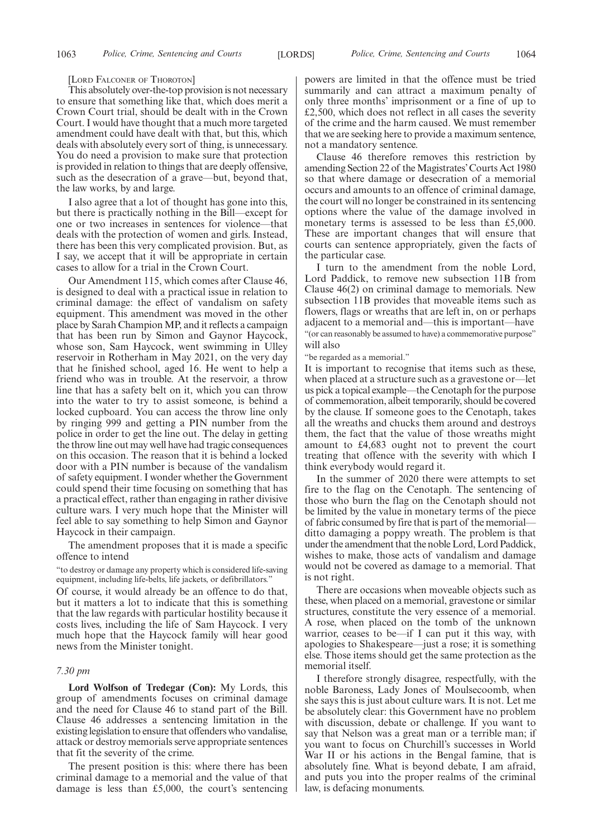#### [LORD FALCONER OF THOROTON]

This absolutely over-the-top provision is not necessary to ensure that something like that, which does merit a Crown Court trial, should be dealt with in the Crown Court. I would have thought that a much more targeted amendment could have dealt with that, but this, which deals with absolutely every sort of thing, is unnecessary. You do need a provision to make sure that protection is provided in relation to things that are deeply offensive, such as the desecration of a grave—but, beyond that, the law works, by and large.

I also agree that a lot of thought has gone into this, but there is practically nothing in the Bill—except for one or two increases in sentences for violence—that deals with the protection of women and girls. Instead, there has been this very complicated provision. But, as I say, we accept that it will be appropriate in certain cases to allow for a trial in the Crown Court.

Our Amendment 115, which comes after Clause 46, is designed to deal with a practical issue in relation to criminal damage: the effect of vandalism on safety equipment. This amendment was moved in the other place by Sarah Champion MP, and it reflects a campaign that has been run by Simon and Gaynor Haycock, whose son, Sam Haycock, went swimming in Ulley reservoir in Rotherham in May 2021, on the very day that he finished school, aged 16. He went to help a friend who was in trouble. At the reservoir, a throw line that has a safety belt on it, which you can throw into the water to try to assist someone, is behind a locked cupboard. You can access the throw line only by ringing 999 and getting a PIN number from the police in order to get the line out. The delay in getting the throw line out may well have had tragic consequences on this occasion. The reason that it is behind a locked door with a PIN number is because of the vandalism of safety equipment. I wonder whether the Government could spend their time focusing on something that has a practical effect, rather than engaging in rather divisive culture wars. I very much hope that the Minister will feel able to say something to help Simon and Gaynor Haycock in their campaign.

The amendment proposes that it is made a specific offence to intend

"to destroy or damage any property which is considered life-saving equipment, including life-belts, life jackets, or defibrillators."

Of course, it would already be an offence to do that, but it matters a lot to indicate that this is something that the law regards with particular hostility because it costs lives, including the life of Sam Haycock. I very much hope that the Haycock family will hear good news from the Minister tonight.

#### *7.30 pm*

**Lord Wolfson of Tredegar (Con):** My Lords, this group of amendments focuses on criminal damage and the need for Clause 46 to stand part of the Bill. Clause 46 addresses a sentencing limitation in the existing legislation to ensure that offenders who vandalise, attack or destroy memorials serve appropriate sentences that fit the severity of the crime.

The present position is this: where there has been criminal damage to a memorial and the value of that damage is less than £5,000, the court's sentencing powers are limited in that the offence must be tried summarily and can attract a maximum penalty of only three months' imprisonment or a fine of up to £2,500, which does not reflect in all cases the severity of the crime and the harm caused. We must remember that we are seeking here to provide a maximum sentence, not a mandatory sentence.

Clause 46 therefore removes this restriction by amending Section 22 of the Magistrates'Courts Act 1980 so that where damage or desecration of a memorial occurs and amounts to an offence of criminal damage, the court will no longer be constrained in its sentencing options where the value of the damage involved in monetary terms is assessed to be less than £5,000. These are important changes that will ensure that courts can sentence appropriately, given the facts of the particular case.

I turn to the amendment from the noble Lord, Lord Paddick, to remove new subsection 11B from Clause 46(2) on criminal damage to memorials. New subsection 11B provides that moveable items such as flowers, flags or wreaths that are left in, on or perhaps adjacent to a memorial and—this is important—have "(or can reasonably be assumed to have) a commemorative purpose" will also

"be regarded as a memorial."

It is important to recognise that items such as these, when placed at a structure such as a gravestone or—let us pick a topical example—the Cenotaph for the purpose of commemoration, albeit temporarily, should be covered by the clause. If someone goes to the Cenotaph, takes all the wreaths and chucks them around and destroys them, the fact that the value of those wreaths might amount to £4,683 ought not to prevent the court treating that offence with the severity with which I think everybody would regard it.

In the summer of 2020 there were attempts to set fire to the flag on the Cenotaph. The sentencing of those who burn the flag on the Cenotaph should not be limited by the value in monetary terms of the piece of fabric consumed by fire that is part of the memorial ditto damaging a poppy wreath. The problem is that under the amendment that the noble Lord, Lord Paddick, wishes to make, those acts of vandalism and damage would not be covered as damage to a memorial. That is not right.

There are occasions when moveable objects such as these, when placed on a memorial, gravestone or similar structures, constitute the very essence of a memorial. A rose, when placed on the tomb of the unknown warrior, ceases to be—if I can put it this way, with apologies to Shakespeare—just a rose; it is something else. Those items should get the same protection as the memorial itself.

I therefore strongly disagree, respectfully, with the noble Baroness, Lady Jones of Moulsecoomb, when she says this is just about culture wars. It is not. Let me be absolutely clear: this Government have no problem with discussion, debate or challenge. If you want to say that Nelson was a great man or a terrible man; if you want to focus on Churchill's successes in World War II or his actions in the Bengal famine, that is absolutely fine. What is beyond debate, I am afraid, and puts you into the proper realms of the criminal law, is defacing monuments.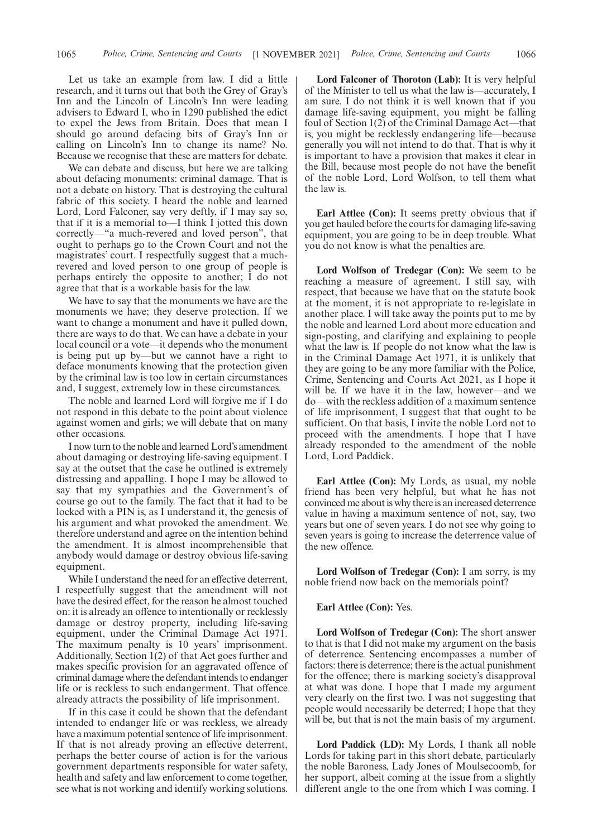Let us take an example from law. I did a little research, and it turns out that both the Grey of Gray's Inn and the Lincoln of Lincoln's Inn were leading advisers to Edward I, who in 1290 published the edict to expel the Jews from Britain. Does that mean I should go around defacing bits of Gray's Inn or calling on Lincoln's Inn to change its name? No. Because we recognise that these are matters for debate.

We can debate and discuss, but here we are talking about defacing monuments: criminal damage. That is not a debate on history. That is destroying the cultural fabric of this society. I heard the noble and learned Lord, Lord Falconer, say very deftly, if I may say so, that if it is a memorial to—I think I jotted this down correctly—"a much-revered and loved person", that ought to perhaps go to the Crown Court and not the magistrates' court. I respectfully suggest that a muchrevered and loved person to one group of people is perhaps entirely the opposite to another; I do not agree that that is a workable basis for the law.

We have to say that the monuments we have are the monuments we have; they deserve protection. If we want to change a monument and have it pulled down, there are ways to do that. We can have a debate in your local council or a vote—it depends who the monument is being put up by—but we cannot have a right to deface monuments knowing that the protection given by the criminal law is too low in certain circumstances and, I suggest, extremely low in these circumstances.

The noble and learned Lord will forgive me if I do not respond in this debate to the point about violence against women and girls; we will debate that on many other occasions.

I now turn to the noble and learned Lord's amendment about damaging or destroying life-saving equipment. I say at the outset that the case he outlined is extremely distressing and appalling. I hope I may be allowed to say that my sympathies and the Government's of course go out to the family. The fact that it had to be locked with a PIN is, as I understand it, the genesis of his argument and what provoked the amendment. We therefore understand and agree on the intention behind the amendment. It is almost incomprehensible that anybody would damage or destroy obvious life-saving equipment.

While I understand the need for an effective deterrent, I respectfully suggest that the amendment will not have the desired effect, for the reason he almost touched on: it is already an offence to intentionally or recklessly damage or destroy property, including life-saving equipment, under the Criminal Damage Act 1971. The maximum penalty is 10 years' imprisonment. Additionally, Section 1(2) of that Act goes further and makes specific provision for an aggravated offence of criminal damage where the defendant intends to endanger life or is reckless to such endangerment. That offence already attracts the possibility of life imprisonment.

If in this case it could be shown that the defendant intended to endanger life or was reckless, we already have a maximum potential sentence of life imprisonment. If that is not already proving an effective deterrent, perhaps the better course of action is for the various government departments responsible for water safety, health and safety and law enforcement to come together, see what is not working and identify working solutions.

**Lord Falconer of Thoroton (Lab):** It is very helpful of the Minister to tell us what the law is—accurately, I am sure. I do not think it is well known that if you damage life-saving equipment, you might be falling foul of Section 1(2) of the Criminal Damage Act—that is, you might be recklessly endangering life—because generally you will not intend to do that. That is why it is important to have a provision that makes it clear in the Bill, because most people do not have the benefit of the noble Lord, Lord Wolfson, to tell them what the law is.

**Earl Attlee (Con):** It seems pretty obvious that if you get hauled before the courts for damaging life-saving equipment, you are going to be in deep trouble. What you do not know is what the penalties are.

**Lord Wolfson of Tredegar (Con):** We seem to be reaching a measure of agreement. I still say, with respect, that because we have that on the statute book at the moment, it is not appropriate to re-legislate in another place. I will take away the points put to me by the noble and learned Lord about more education and sign-posting, and clarifying and explaining to people what the law is. If people do not know what the law is in the Criminal Damage Act 1971, it is unlikely that they are going to be any more familiar with the Police, Crime, Sentencing and Courts Act 2021, as I hope it will be. If we have it in the law, however—and we do—with the reckless addition of a maximum sentence of life imprisonment, I suggest that that ought to be sufficient. On that basis, I invite the noble Lord not to proceed with the amendments. I hope that I have already responded to the amendment of the noble Lord, Lord Paddick.

**Earl Attlee (Con):** My Lords, as usual, my noble friend has been very helpful, but what he has not convinced me about is why there is an increased deterrence value in having a maximum sentence of not, say, two years but one of seven years. I do not see why going to seven years is going to increase the deterrence value of the new offence.

**Lord Wolfson of Tredegar (Con):** I am sorry, is my noble friend now back on the memorials point?

#### **Earl Attlee (Con):** Yes.

**Lord Wolfson of Tredegar (Con):** The short answer to that is that I did not make my argument on the basis of deterrence. Sentencing encompasses a number of factors: there is deterrence; there is the actual punishment for the offence; there is marking society's disapproval at what was done. I hope that I made my argument very clearly on the first two. I was not suggesting that people would necessarily be deterred; I hope that they will be, but that is not the main basis of my argument.

**Lord Paddick (LD):** My Lords, I thank all noble Lords for taking part in this short debate, particularly the noble Baroness, Lady Jones of Moulsecoomb, for her support, albeit coming at the issue from a slightly different angle to the one from which I was coming. I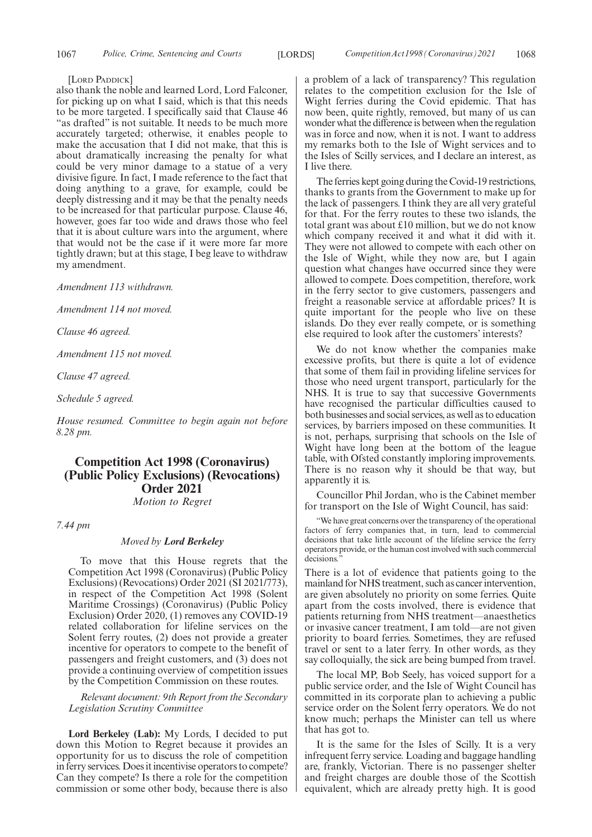[LORD PADDICK]

also thank the noble and learned Lord, Lord Falconer, for picking up on what I said, which is that this needs to be more targeted. I specifically said that Clause 46 "as drafted" is not suitable. It needs to be much more accurately targeted; otherwise, it enables people to make the accusation that I did not make, that this is about dramatically increasing the penalty for what could be very minor damage to a statue of a very divisive figure. In fact, I made reference to the fact that doing anything to a grave, for example, could be deeply distressing and it may be that the penalty needs to be increased for that particular purpose. Clause 46, however, goes far too wide and draws those who feel that it is about culture wars into the argument, where that would not be the case if it were more far more tightly drawn; but at this stage, I beg leave to withdraw my amendment.

*Amendment 113 withdrawn.*

*Amendment 114 not moved.*

*Clause 46 agreed.*

*Amendment 115 not moved.*

*Clause 47 agreed.*

*Schedule 5 agreed.*

*House resumed. Committee to begin again not before 8.28 pm.*

# **Competition Act 1998 (Coronavirus) (Public Policy Exclusions) (Revocations) Order 2021**

*Motion to Regret*

*7.44 pm*

# *Moved by Lord Berkeley*

To move that this House regrets that the Competition Act 1998 (Coronavirus) (Public Policy Exclusions) (Revocations) Order 2021 (SI 2021/773), in respect of the Competition Act 1998 (Solent Maritime Crossings) (Coronavirus) (Public Policy Exclusion) Order 2020, (1) removes any COVID-19 related collaboration for lifeline services on the Solent ferry routes, (2) does not provide a greater incentive for operators to compete to the benefit of passengers and freight customers, and (3) does not provide a continuing overview of competition issues by the Competition Commission on these routes.

*Relevant document: 9th Report from the Secondary Legislation Scrutiny Committee*

**Lord Berkeley (Lab):** My Lords, I decided to put down this Motion to Regret because it provides an opportunity for us to discuss the role of competition in ferry services. Does it incentivise operators to compete? Can they compete? Is there a role for the competition commission or some other body, because there is also a problem of a lack of transparency? This regulation relates to the competition exclusion for the Isle of Wight ferries during the Covid epidemic. That has now been, quite rightly, removed, but many of us can wonder what the difference is between when the regulation was in force and now, when it is not. I want to address my remarks both to the Isle of Wight services and to the Isles of Scilly services, and I declare an interest, as I live there.

The ferries kept going during the Covid-19 restrictions, thanks to grants from the Government to make up for the lack of passengers. I think they are all very grateful for that. For the ferry routes to these two islands, the total grant was about £10 million, but we do not know which company received it and what it did with it. They were not allowed to compete with each other on the Isle of Wight, while they now are, but I again question what changes have occurred since they were allowed to compete. Does competition, therefore, work in the ferry sector to give customers, passengers and freight a reasonable service at affordable prices? It is quite important for the people who live on these islands. Do they ever really compete, or is something else required to look after the customers' interests?

We do not know whether the companies make excessive profits, but there is quite a lot of evidence that some of them fail in providing lifeline services for those who need urgent transport, particularly for the NHS. It is true to say that successive Governments have recognised the particular difficulties caused to both businesses and social services, as well as to education services, by barriers imposed on these communities. It is not, perhaps, surprising that schools on the Isle of Wight have long been at the bottom of the league table, with Ofsted constantly imploring improvements. There is no reason why it should be that way, but apparently it is.

Councillor Phil Jordan, who is the Cabinet member for transport on the Isle of Wight Council, has said:

"We have great concerns over the transparency of the operational factors of ferry companies that, in turn, lead to commercial decisions that take little account of the lifeline service the ferry operators provide, or the human cost involved with such commercial decisions.

There is a lot of evidence that patients going to the mainland for NHS treatment, such as cancer intervention, are given absolutely no priority on some ferries. Quite apart from the costs involved, there is evidence that patients returning from NHS treatment—anaesthetics or invasive cancer treatment, I am told—are not given priority to board ferries. Sometimes, they are refused travel or sent to a later ferry. In other words, as they say colloquially, the sick are being bumped from travel.

The local MP, Bob Seely, has voiced support for a public service order, and the Isle of Wight Council has committed in its corporate plan to achieving a public service order on the Solent ferry operators. We do not know much; perhaps the Minister can tell us where that has got to.

It is the same for the Isles of Scilly. It is a very infrequent ferry service. Loading and baggage handling are, frankly, Victorian. There is no passenger shelter and freight charges are double those of the Scottish equivalent, which are already pretty high. It is good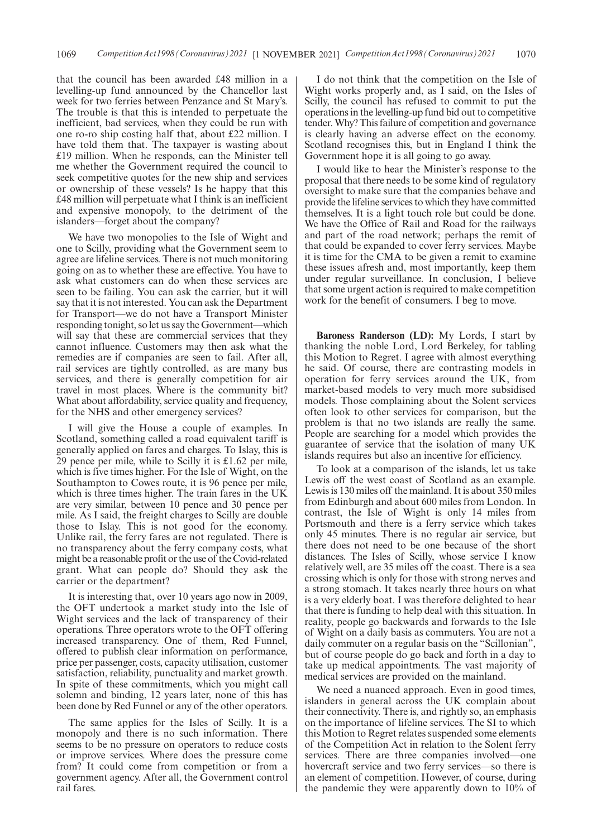that the council has been awarded £48 million in a levelling-up fund announced by the Chancellor last week for two ferries between Penzance and St Mary's. The trouble is that this is intended to perpetuate the inefficient, bad services, when they could be run with one ro-ro ship costing half that, about £22 million. I have told them that. The taxpayer is wasting about £19 million. When he responds, can the Minister tell me whether the Government required the council to seek competitive quotes for the new ship and services or ownership of these vessels? Is he happy that this £48 million will perpetuate what I think is an inefficient and expensive monopoly, to the detriment of the islanders—forget about the company?

We have two monopolies to the Isle of Wight and one to Scilly, providing what the Government seem to agree are lifeline services. There is not much monitoring going on as to whether these are effective. You have to ask what customers can do when these services are seen to be failing. You can ask the carrier, but it will say that it is not interested. You can ask the Department for Transport—we do not have a Transport Minister responding tonight, so let us say the Government—which will say that these are commercial services that they cannot influence. Customers may then ask what the remedies are if companies are seen to fail. After all, rail services are tightly controlled, as are many bus services, and there is generally competition for air travel in most places. Where is the community bit? What about affordability, service quality and frequency, for the NHS and other emergency services?

I will give the House a couple of examples. In Scotland, something called a road equivalent tariff is generally applied on fares and charges. To Islay, this is 29 pence per mile, while to Scilly it is £1.62 per mile, which is five times higher. For the Isle of Wight, on the Southampton to Cowes route, it is 96 pence per mile, which is three times higher. The train fares in the UK are very similar, between 10 pence and 30 pence per mile. As I said, the freight charges to Scilly are double those to Islay. This is not good for the economy. Unlike rail, the ferry fares are not regulated. There is no transparency about the ferry company costs, what might be a reasonable profit or the use of the Covid-related grant. What can people do? Should they ask the carrier or the department?

It is interesting that, over 10 years ago now in 2009, the OFT undertook a market study into the Isle of Wight services and the lack of transparency of their operations. Three operators wrote to the OFT offering increased transparency. One of them, Red Funnel, offered to publish clear information on performance, price per passenger, costs, capacity utilisation, customer satisfaction, reliability, punctuality and market growth. In spite of these commitments, which you might call solemn and binding, 12 years later, none of this has been done by Red Funnel or any of the other operators.

The same applies for the Isles of Scilly. It is a monopoly and there is no such information. There seems to be no pressure on operators to reduce costs or improve services. Where does the pressure come from? It could come from competition or from a government agency. After all, the Government control rail fares.

I do not think that the competition on the Isle of Wight works properly and, as I said, on the Isles of Scilly, the council has refused to commit to put the operations in the levelling-up fund bid out to competitive tender. Why? This failure of competition and governance is clearly having an adverse effect on the economy. Scotland recognises this, but in England I think the Government hope it is all going to go away.

I would like to hear the Minister's response to the proposal that there needs to be some kind of regulatory oversight to make sure that the companies behave and provide the lifeline services to which they have committed themselves. It is a light touch role but could be done. We have the Office of Rail and Road for the railways and part of the road network; perhaps the remit of that could be expanded to cover ferry services. Maybe it is time for the CMA to be given a remit to examine these issues afresh and, most importantly, keep them under regular surveillance. In conclusion, I believe that some urgent action is required to make competition work for the benefit of consumers. I beg to move.

**Baroness Randerson (LD):** My Lords, I start by thanking the noble Lord, Lord Berkeley, for tabling this Motion to Regret. I agree with almost everything he said. Of course, there are contrasting models in operation for ferry services around the UK, from market-based models to very much more subsidised models. Those complaining about the Solent services often look to other services for comparison, but the problem is that no two islands are really the same. People are searching for a model which provides the guarantee of service that the isolation of many UK islands requires but also an incentive for efficiency.

To look at a comparison of the islands, let us take Lewis off the west coast of Scotland as an example. Lewis is 130 miles off the mainland. It is about 350 miles from Edinburgh and about 600 miles from London. In contrast, the Isle of Wight is only 14 miles from Portsmouth and there is a ferry service which takes only 45 minutes. There is no regular air service, but there does not need to be one because of the short distances. The Isles of Scilly, whose service I know relatively well, are 35 miles off the coast. There is a sea crossing which is only for those with strong nerves and a strong stomach. It takes nearly three hours on what is a very elderly boat. I was therefore delighted to hear that there is funding to help deal with this situation. In reality, people go backwards and forwards to the Isle of Wight on a daily basis as commuters. You are not a daily commuter on a regular basis on the "Scillonian", but of course people do go back and forth in a day to take up medical appointments. The vast majority of medical services are provided on the mainland.

We need a nuanced approach. Even in good times, islanders in general across the UK complain about their connectivity. There is, and rightly so, an emphasis on the importance of lifeline services. The SI to which this Motion to Regret relates suspended some elements of the Competition Act in relation to the Solent ferry services. There are three companies involved—one hovercraft service and two ferry services—so there is an element of competition. However, of course, during the pandemic they were apparently down to 10% of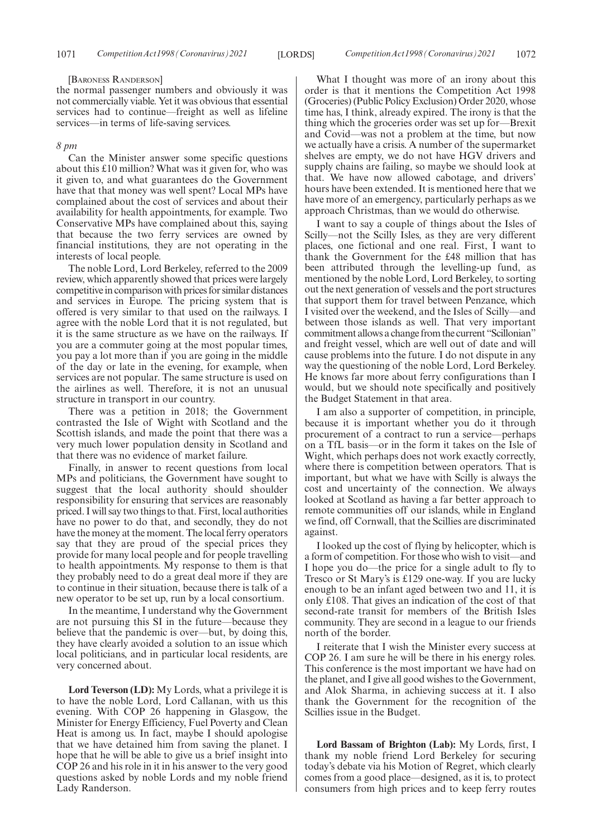#### [BARONESS RANDERSON]

the normal passenger numbers and obviously it was not commercially viable. Yet it was obvious that essential services had to continue—freight as well as lifeline services—in terms of life-saving services.

#### *8 pm*

Can the Minister answer some specific questions about this £10 million? What was it given for, who was it given to, and what guarantees do the Government have that that money was well spent? Local MPs have complained about the cost of services and about their availability for health appointments, for example. Two Conservative MPs have complained about this, saying that because the two ferry services are owned by financial institutions, they are not operating in the interests of local people.

The noble Lord, Lord Berkeley, referred to the 2009 review, which apparently showed that prices were largely competitive in comparison with prices for similar distances and services in Europe. The pricing system that is offered is very similar to that used on the railways. I agree with the noble Lord that it is not regulated, but it is the same structure as we have on the railways. If you are a commuter going at the most popular times, you pay a lot more than if you are going in the middle of the day or late in the evening, for example, when services are not popular. The same structure is used on the airlines as well. Therefore, it is not an unusual structure in transport in our country.

There was a petition in 2018; the Government contrasted the Isle of Wight with Scotland and the Scottish islands, and made the point that there was a very much lower population density in Scotland and that there was no evidence of market failure.

Finally, in answer to recent questions from local MPs and politicians, the Government have sought to suggest that the local authority should shoulder responsibility for ensuring that services are reasonably priced. I will say two things to that. First, local authorities have no power to do that, and secondly, they do not have the money at the moment. The local ferry operators say that they are proud of the special prices they provide for many local people and for people travelling to health appointments. My response to them is that they probably need to do a great deal more if they are to continue in their situation, because there is talk of a new operator to be set up, run by a local consortium.

In the meantime, I understand why the Government are not pursuing this SI in the future—because they believe that the pandemic is over—but, by doing this, they have clearly avoided a solution to an issue which local politicians, and in particular local residents, are very concerned about.

**Lord Teverson (LD):** My Lords, what a privilege it is to have the noble Lord, Lord Callanan, with us this evening. With COP 26 happening in Glasgow, the Minister for Energy Efficiency, Fuel Poverty and Clean Heat is among us. In fact, maybe I should apologise that we have detained him from saving the planet. I hope that he will be able to give us a brief insight into COP 26 and his role in it in his answer to the very good questions asked by noble Lords and my noble friend Lady Randerson.

What I thought was more of an irony about this order is that it mentions the Competition Act 1998 (Groceries) (Public Policy Exclusion) Order 2020, whose time has, I think, already expired. The irony is that the thing which the groceries order was set up for—Brexit and Covid—was not a problem at the time, but now we actually have a crisis. A number of the supermarket shelves are empty, we do not have HGV drivers and supply chains are failing, so maybe we should look at that. We have now allowed cabotage, and drivers' hours have been extended. It is mentioned here that we have more of an emergency, particularly perhaps as we approach Christmas, than we would do otherwise.

I want to say a couple of things about the Isles of Scilly—not the Scilly Isles, as they are very different places, one fictional and one real. First, I want to thank the Government for the £48 million that has been attributed through the levelling-up fund, as mentioned by the noble Lord, Lord Berkeley, to sorting out the next generation of vessels and the port structures that support them for travel between Penzance, which I visited over the weekend, and the Isles of Scilly—and between those islands as well. That very important commitment allows a change from the current "Scillonian" and freight vessel, which are well out of date and will cause problems into the future. I do not dispute in any way the questioning of the noble Lord, Lord Berkeley. He knows far more about ferry configurations than I would, but we should note specifically and positively the Budget Statement in that area.

I am also a supporter of competition, in principle, because it is important whether you do it through procurement of a contract to run a service—perhaps on a TfL basis—or in the form it takes on the Isle of Wight, which perhaps does not work exactly correctly, where there is competition between operators. That is important, but what we have with Scilly is always the cost and uncertainty of the connection. We always looked at Scotland as having a far better approach to remote communities off our islands, while in England we find, off Cornwall, that the Scillies are discriminated against.

I looked up the cost of flying by helicopter, which is a form of competition. For those who wish to visit—and I hope you do—the price for a single adult to fly to Tresco or St Mary's is £129 one-way. If you are lucky enough to be an infant aged between two and 11, it is only £108. That gives an indication of the cost of that second-rate transit for members of the British Isles community. They are second in a league to our friends north of the border.

I reiterate that I wish the Minister every success at COP 26. I am sure he will be there in his energy roles. This conference is the most important we have had on the planet, and I give all good wishes to the Government, and Alok Sharma, in achieving success at it. I also thank the Government for the recognition of the Scillies issue in the Budget.

**Lord Bassam of Brighton (Lab):** My Lords, first, I thank my noble friend Lord Berkeley for securing today's debate via his Motion of Regret, which clearly comes from a good place—designed, as it is, to protect consumers from high prices and to keep ferry routes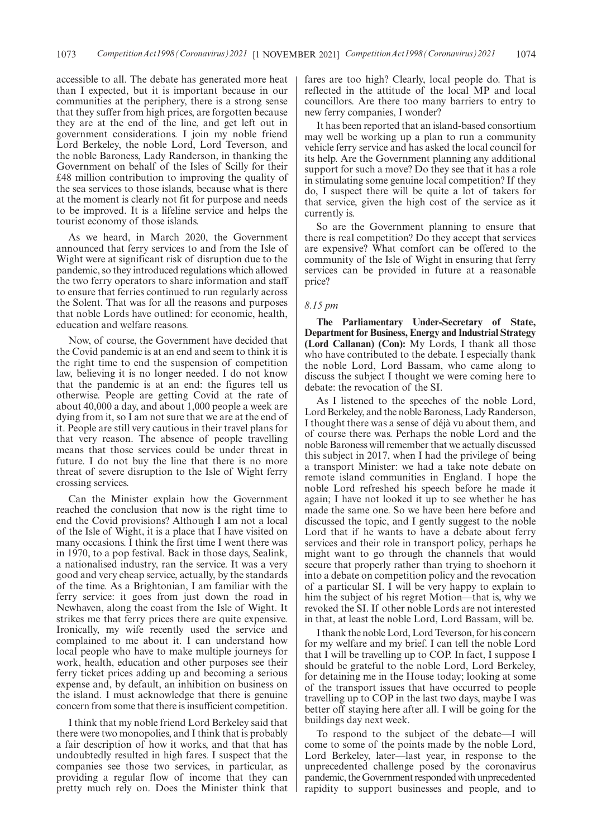accessible to all. The debate has generated more heat than I expected, but it is important because in our communities at the periphery, there is a strong sense that they suffer from high prices, are forgotten because they are at the end of the line, and get left out in government considerations. I join my noble friend Lord Berkeley, the noble Lord, Lord Teverson, and the noble Baroness, Lady Randerson, in thanking the Government on behalf of the Isles of Scilly for their £48 million contribution to improving the quality of the sea services to those islands, because what is there at the moment is clearly not fit for purpose and needs to be improved. It is a lifeline service and helps the tourist economy of those islands.

As we heard, in March 2020, the Government announced that ferry services to and from the Isle of Wight were at significant risk of disruption due to the pandemic, so they introduced regulations which allowed the two ferry operators to share information and staff to ensure that ferries continued to run regularly across the Solent. That was for all the reasons and purposes that noble Lords have outlined: for economic, health, education and welfare reasons.

Now, of course, the Government have decided that the Covid pandemic is at an end and seem to think it is the right time to end the suspension of competition law, believing it is no longer needed. I do not know that the pandemic is at an end: the figures tell us otherwise. People are getting Covid at the rate of about 40,000 a day, and about 1,000 people a week are dying from it, so I am not sure that we are at the end of it. People are still very cautious in their travel plans for that very reason. The absence of people travelling means that those services could be under threat in future. I do not buy the line that there is no more threat of severe disruption to the Isle of Wight ferry crossing services.

Can the Minister explain how the Government reached the conclusion that now is the right time to end the Covid provisions? Although I am not a local of the Isle of Wight, it is a place that I have visited on many occasions. I think the first time I went there was in 1970, to a pop festival. Back in those days, Sealink, a nationalised industry, ran the service. It was a very good and very cheap service, actually, by the standards of the time. As a Brightonian, I am familiar with the ferry service: it goes from just down the road in Newhaven, along the coast from the Isle of Wight. It strikes me that ferry prices there are quite expensive. Ironically, my wife recently used the service and complained to me about it. I can understand how local people who have to make multiple journeys for work, health, education and other purposes see their ferry ticket prices adding up and becoming a serious expense and, by default, an inhibition on business on the island. I must acknowledge that there is genuine concern from some that there is insufficient competition.

I think that my noble friend Lord Berkeley said that there were two monopolies, and I think that is probably a fair description of how it works, and that that has undoubtedly resulted in high fares. I suspect that the companies see those two services, in particular, as providing a regular flow of income that they can pretty much rely on. Does the Minister think that fares are too high? Clearly, local people do. That is reflected in the attitude of the local MP and local councillors. Are there too many barriers to entry to new ferry companies, I wonder?

It has been reported that an island-based consortium may well be working up a plan to run a community vehicle ferry service and has asked the local council for its help. Are the Government planning any additional support for such a move? Do they see that it has a role in stimulating some genuine local competition? If they do, I suspect there will be quite a lot of takers for that service, given the high cost of the service as it currently is.

So are the Government planning to ensure that there is real competition? Do they accept that services are expensive? What comfort can be offered to the community of the Isle of Wight in ensuring that ferry services can be provided in future at a reasonable price?

### *8.15 pm*

**The Parliamentary Under-Secretary of State, Department for Business, Energy and Industrial Strategy (Lord Callanan) (Con):** My Lords, I thank all those who have contributed to the debate. I especially thank the noble Lord, Lord Bassam, who came along to discuss the subject I thought we were coming here to debate: the revocation of the SI.

As I listened to the speeches of the noble Lord, Lord Berkeley, and the noble Baroness, Lady Randerson, I thought there was a sense of déjà vu about them, and of course there was. Perhaps the noble Lord and the noble Baroness will remember that we actually discussed this subject in 2017, when I had the privilege of being a transport Minister: we had a take note debate on remote island communities in England. I hope the noble Lord refreshed his speech before he made it again; I have not looked it up to see whether he has made the same one. So we have been here before and discussed the topic, and I gently suggest to the noble Lord that if he wants to have a debate about ferry services and their role in transport policy, perhaps he might want to go through the channels that would secure that properly rather than trying to shoehorn it into a debate on competition policy and the revocation of a particular SI. I will be very happy to explain to him the subject of his regret Motion—that is, why we revoked the SI. If other noble Lords are not interested in that, at least the noble Lord, Lord Bassam, will be.

I thank the noble Lord, Lord Teverson, for his concern for my welfare and my brief. I can tell the noble Lord that I will be travelling up to COP. In fact, I suppose I should be grateful to the noble Lord, Lord Berkeley, for detaining me in the House today; looking at some of the transport issues that have occurred to people travelling up to COP in the last two days, maybe I was better off staying here after all. I will be going for the buildings day next week.

To respond to the subject of the debate—I will come to some of the points made by the noble Lord, Lord Berkeley, later—last year, in response to the unprecedented challenge posed by the coronavirus pandemic, the Government responded with unprecedented rapidity to support businesses and people, and to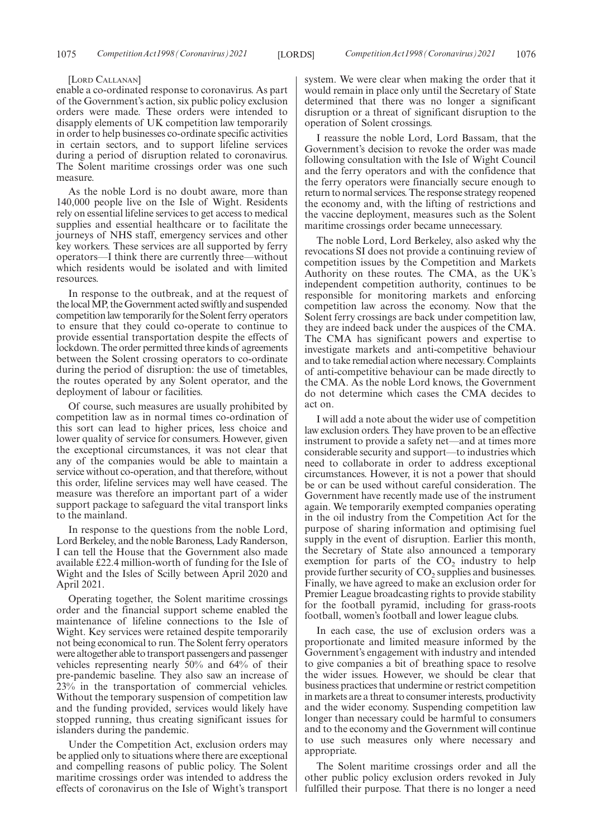#### [LORD CALLANAN]

enable a co-ordinated response to coronavirus. As part of the Government's action, six public policy exclusion orders were made. These orders were intended to disapply elements of UK competition law temporarily in order to help businesses co-ordinate specific activities in certain sectors, and to support lifeline services during a period of disruption related to coronavirus. The Solent maritime crossings order was one such measure.

As the noble Lord is no doubt aware, more than 140,000 people live on the Isle of Wight. Residents rely on essential lifeline services to get access to medical supplies and essential healthcare or to facilitate the journeys of NHS staff, emergency services and other key workers. These services are all supported by ferry operators—I think there are currently three—without which residents would be isolated and with limited resources.

In response to the outbreak, and at the request of the local MP, the Government acted swiftly and suspended competition law temporarily for the Solent ferry operators to ensure that they could co-operate to continue to provide essential transportation despite the effects of lockdown. The order permitted three kinds of agreements between the Solent crossing operators to co-ordinate during the period of disruption: the use of timetables, the routes operated by any Solent operator, and the deployment of labour or facilities.

Of course, such measures are usually prohibited by competition law as in normal times co-ordination of this sort can lead to higher prices, less choice and lower quality of service for consumers. However, given the exceptional circumstances, it was not clear that any of the companies would be able to maintain a service without co-operation, and that therefore, without this order, lifeline services may well have ceased. The measure was therefore an important part of a wider support package to safeguard the vital transport links to the mainland.

In response to the questions from the noble Lord, Lord Berkeley, and the noble Baroness, Lady Randerson, I can tell the House that the Government also made available £22.4 million-worth of funding for the Isle of Wight and the Isles of Scilly between April 2020 and April 2021.

Operating together, the Solent maritime crossings order and the financial support scheme enabled the maintenance of lifeline connections to the Isle of Wight. Key services were retained despite temporarily not being economical to run. The Solent ferry operators were altogether able to transport passengers and passenger vehicles representing nearly 50% and 64% of their pre-pandemic baseline. They also saw an increase of 23% in the transportation of commercial vehicles. Without the temporary suspension of competition law and the funding provided, services would likely have stopped running, thus creating significant issues for islanders during the pandemic.

Under the Competition Act, exclusion orders may be applied only to situations where there are exceptional and compelling reasons of public policy. The Solent maritime crossings order was intended to address the effects of coronavirus on the Isle of Wight's transport system. We were clear when making the order that it would remain in place only until the Secretary of State determined that there was no longer a significant disruption or a threat of significant disruption to the operation of Solent crossings.

I reassure the noble Lord, Lord Bassam, that the Government's decision to revoke the order was made following consultation with the Isle of Wight Council and the ferry operators and with the confidence that the ferry operators were financially secure enough to return to normal services. The response strategy reopened the economy and, with the lifting of restrictions and the vaccine deployment, measures such as the Solent maritime crossings order became unnecessary.

The noble Lord, Lord Berkeley, also asked why the revocations SI does not provide a continuing review of competition issues by the Competition and Markets Authority on these routes. The CMA, as the UK's independent competition authority, continues to be responsible for monitoring markets and enforcing competition law across the economy. Now that the Solent ferry crossings are back under competition law, they are indeed back under the auspices of the CMA. The CMA has significant powers and expertise to investigate markets and anti-competitive behaviour and to take remedial action where necessary. Complaints of anti-competitive behaviour can be made directly to the CMA. As the noble Lord knows, the Government do not determine which cases the CMA decides to act on.

I will add a note about the wider use of competition law exclusion orders. They have proven to be an effective instrument to provide a safety net—and at times more considerable security and support—to industries which need to collaborate in order to address exceptional circumstances. However, it is not a power that should be or can be used without careful consideration. The Government have recently made use of the instrument again. We temporarily exempted companies operating in the oil industry from the Competition Act for the purpose of sharing information and optimising fuel supply in the event of disruption. Earlier this month, the Secretary of State also announced a temporary exemption for parts of the  $CO<sub>2</sub>$  industry to help provide further security of  $CO_2$  supplies and businesses. Finally, we have agreed to make an exclusion order for Premier League broadcasting rights to provide stability for the football pyramid, including for grass-roots football, women's football and lower league clubs.

In each case, the use of exclusion orders was a proportionate and limited measure informed by the Government's engagement with industry and intended to give companies a bit of breathing space to resolve the wider issues. However, we should be clear that business practices that undermine or restrict competition in markets are a threat to consumer interests, productivity and the wider economy. Suspending competition law longer than necessary could be harmful to consumers and to the economy and the Government will continue to use such measures only where necessary and appropriate.

The Solent maritime crossings order and all the other public policy exclusion orders revoked in July fulfilled their purpose. That there is no longer a need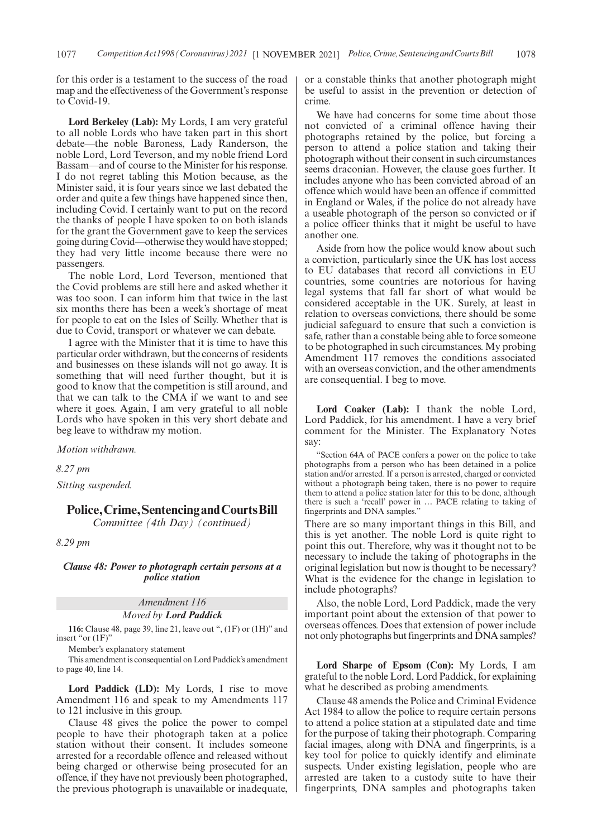for this order is a testament to the success of the road map and the effectiveness of the Government's response to Covid-19.

**Lord Berkeley (Lab):** My Lords, I am very grateful to all noble Lords who have taken part in this short debate—the noble Baroness, Lady Randerson, the noble Lord, Lord Teverson, and my noble friend Lord Bassam—and of course to the Minister for his response. I do not regret tabling this Motion because, as the Minister said, it is four years since we last debated the order and quite a few things have happened since then, including Covid. I certainly want to put on the record the thanks of people I have spoken to on both islands for the grant the Government gave to keep the services going during Covid—otherwise they would have stopped; they had very little income because there were no passengers.

The noble Lord, Lord Teverson, mentioned that the Covid problems are still here and asked whether it was too soon. I can inform him that twice in the last six months there has been a week's shortage of meat for people to eat on the Isles of Scilly. Whether that is due to Covid, transport or whatever we can debate.

I agree with the Minister that it is time to have this particular order withdrawn, but the concerns of residents and businesses on these islands will not go away. It is something that will need further thought, but it is good to know that the competition is still around, and that we can talk to the CMA if we want to and see where it goes. Again, I am very grateful to all noble Lords who have spoken in this very short debate and beg leave to withdraw my motion.

*Motion withdrawn.*

*8.27 pm*

*Sitting suspended.*

# **Police,Crime,SentencingandCourtsBill**

*Committee (4th Day) (continued)*

*8.29 pm*

# *Clause 48: Power to photograph certain persons at a police station*

*Amendment 116*

*Moved by Lord Paddick*

**116:** Clause 48, page 39, line 21, leave out ", (1F) or (1H)" and insert "or (1F)"

Member's explanatory statement

This amendment is consequential on Lord Paddick's amendment to page 40, line 14.

**Lord Paddick (LD):** My Lords, I rise to move Amendment 116 and speak to my Amendments 117 to 121 inclusive in this group.

Clause 48 gives the police the power to compel people to have their photograph taken at a police station without their consent. It includes someone arrested for a recordable offence and released without being charged or otherwise being prosecuted for an offence, if they have not previously been photographed, the previous photograph is unavailable or inadequate, or a constable thinks that another photograph might be useful to assist in the prevention or detection of crime.

We have had concerns for some time about those not convicted of a criminal offence having their photographs retained by the police, but forcing a person to attend a police station and taking their photograph without their consent in such circumstances seems draconian. However, the clause goes further. It includes anyone who has been convicted abroad of an offence which would have been an offence if committed in England or Wales, if the police do not already have a useable photograph of the person so convicted or if a police officer thinks that it might be useful to have another one.

Aside from how the police would know about such a conviction, particularly since the UK has lost access to EU databases that record all convictions in EU countries, some countries are notorious for having legal systems that fall far short of what would be considered acceptable in the UK. Surely, at least in relation to overseas convictions, there should be some judicial safeguard to ensure that such a conviction is safe, rather than a constable being able to force someone to be photographed in such circumstances. My probing Amendment 117 removes the conditions associated with an overseas conviction, and the other amendments are consequential. I beg to move.

**Lord Coaker (Lab):** I thank the noble Lord, Lord Paddick, for his amendment. I have a very brief comment for the Minister. The Explanatory Notes say:

"Section 64A of PACE confers a power on the police to take photographs from a person who has been detained in a police station and/or arrested. If a person is arrested, charged or convicted without a photograph being taken, there is no power to require them to attend a police station later for this to be done, although there is such a 'recall' power in … PACE relating to taking of fingerprints and DNA samples."

There are so many important things in this Bill, and this is yet another. The noble Lord is quite right to point this out. Therefore, why was it thought not to be necessary to include the taking of photographs in the original legislation but now is thought to be necessary? What is the evidence for the change in legislation to include photographs?

Also, the noble Lord, Lord Paddick, made the very important point about the extension of that power to overseas offences. Does that extension of power include not only photographs but fingerprints and DNA samples?

**Lord Sharpe of Epsom (Con):** My Lords, I am grateful to the noble Lord, Lord Paddick, for explaining what he described as probing amendments.

Clause 48 amends the Police and Criminal Evidence Act 1984 to allow the police to require certain persons to attend a police station at a stipulated date and time for the purpose of taking their photograph. Comparing facial images, along with DNA and fingerprints, is a key tool for police to quickly identify and eliminate suspects. Under existing legislation, people who are arrested are taken to a custody suite to have their fingerprints, DNA samples and photographs taken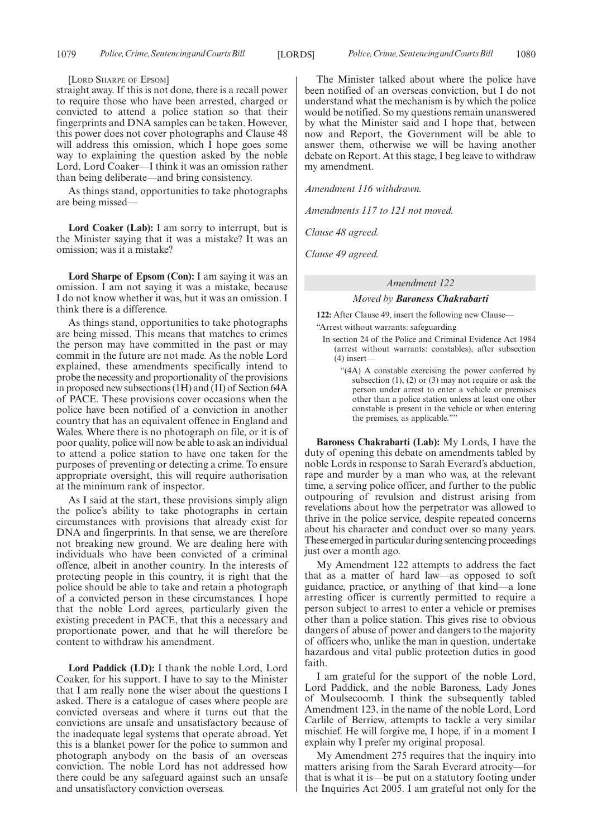[LORD SHARPE OF EPSOM]

straight away. If this is not done, there is a recall power to require those who have been arrested, charged or convicted to attend a police station so that their fingerprints and DNA samples can be taken. However, this power does not cover photographs and Clause 48 will address this omission, which I hope goes some way to explaining the question asked by the noble Lord, Lord Coaker—I think it was an omission rather than being deliberate—and bring consistency.

As things stand, opportunities to take photographs are being missed—

**Lord Coaker (Lab):** I am sorry to interrupt, but is the Minister saying that it was a mistake? It was an omission; was it a mistake?

**Lord Sharpe of Epsom (Con):** I am saying it was an omission. I am not saying it was a mistake, because I do not know whether it was, but it was an omission. I think there is a difference.

As things stand, opportunities to take photographs are being missed. This means that matches to crimes the person may have committed in the past or may commit in the future are not made. As the noble Lord explained, these amendments specifically intend to probe the necessity and proportionality of the provisions in proposed new subsections (1H) and (1I) of Section 64A of PACE. These provisions cover occasions when the police have been notified of a conviction in another country that has an equivalent offence in England and Wales. Where there is no photograph on file, or it is of poor quality, police will now be able to ask an individual to attend a police station to have one taken for the purposes of preventing or detecting a crime. To ensure appropriate oversight, this will require authorisation at the minimum rank of inspector.

As I said at the start, these provisions simply align the police's ability to take photographs in certain circumstances with provisions that already exist for DNA and fingerprints. In that sense, we are therefore not breaking new ground. We are dealing here with individuals who have been convicted of a criminal offence, albeit in another country. In the interests of protecting people in this country, it is right that the police should be able to take and retain a photograph of a convicted person in these circumstances. I hope that the noble Lord agrees, particularly given the existing precedent in PACE, that this a necessary and proportionate power, and that he will therefore be content to withdraw his amendment.

**Lord Paddick (LD):** I thank the noble Lord, Lord Coaker, for his support. I have to say to the Minister that I am really none the wiser about the questions I asked. There is a catalogue of cases where people are convicted overseas and where it turns out that the convictions are unsafe and unsatisfactory because of the inadequate legal systems that operate abroad. Yet this is a blanket power for the police to summon and photograph anybody on the basis of an overseas conviction. The noble Lord has not addressed how there could be any safeguard against such an unsafe and unsatisfactory conviction overseas.

The Minister talked about where the police have been notified of an overseas conviction, but I do not understand what the mechanism is by which the police would be notified. So my questions remain unanswered by what the Minister said and I hope that, between now and Report, the Government will be able to answer them, otherwise we will be having another debate on Report. At this stage, I beg leave to withdraw my amendment.

*Amendment 116 withdrawn.*

*Amendments 117 to 121 not moved.*

*Clause 48 agreed.*

*Clause 49 agreed.*

# *Amendment 122*

#### *Moved by Baroness Chakrabarti*

**122:** After Clause 49, insert the following new Clause— "Arrest without warrants: safeguarding

- In section 24 of the Police and Criminal Evidence Act 1984 (arrest without warrants: constables), after subsection (4) insert—
	- "(4A) A constable exercising the power conferred by subsection  $(1)$ ,  $(2)$  or  $(3)$  may not require or ask the person under arrest to enter a vehicle or premises other than a police station unless at least one other constable is present in the vehicle or when entering the premises, as applicable."

**Baroness Chakrabarti (Lab):** My Lords, I have the duty of opening this debate on amendments tabled by noble Lords in response to Sarah Everard's abduction, rape and murder by a man who was, at the relevant time, a serving police officer, and further to the public outpouring of revulsion and distrust arising from revelations about how the perpetrator was allowed to thrive in the police service, despite repeated concerns about his character and conduct over so many years. These emerged in particular during sentencing proceedings just over a month ago.

My Amendment 122 attempts to address the fact that as a matter of hard law—as opposed to soft guidance, practice, or anything of that kind—a lone arresting officer is currently permitted to require a person subject to arrest to enter a vehicle or premises other than a police station. This gives rise to obvious dangers of abuse of power and dangers to the majority of officers who, unlike the man in question, undertake hazardous and vital public protection duties in good faith.

I am grateful for the support of the noble Lord, Lord Paddick, and the noble Baroness, Lady Jones of Moulsecoomb. I think the subsequently tabled Amendment 123, in the name of the noble Lord, Lord Carlile of Berriew, attempts to tackle a very similar mischief. He will forgive me, I hope, if in a moment I explain why I prefer my original proposal.

My Amendment 275 requires that the inquiry into matters arising from the Sarah Everard atrocity—for that is what it is—be put on a statutory footing under the Inquiries Act 2005. I am grateful not only for the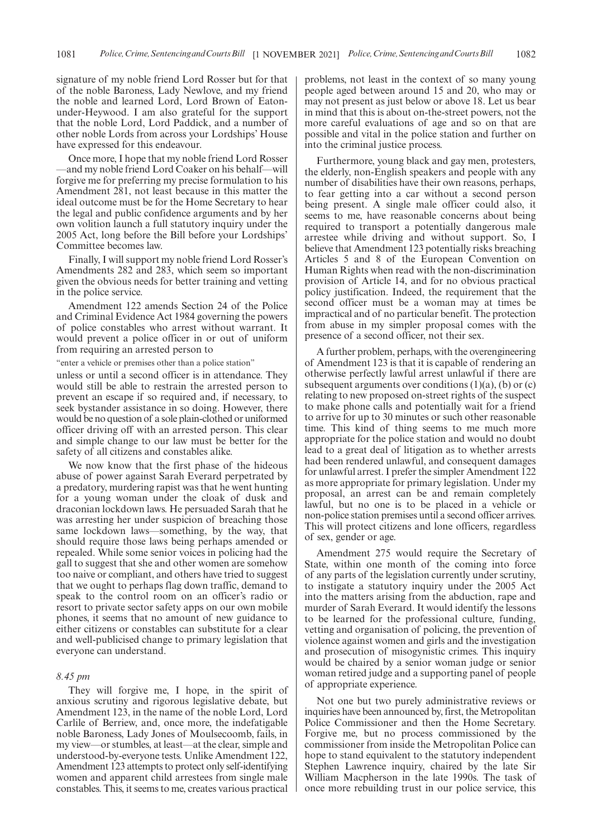signature of my noble friend Lord Rosser but for that of the noble Baroness, Lady Newlove, and my friend the noble and learned Lord, Lord Brown of Eatonunder-Heywood. I am also grateful for the support that the noble Lord, Lord Paddick, and a number of other noble Lords from across your Lordships' House have expressed for this endeavour.

Once more, I hope that my noble friend Lord Rosser —and my noble friend Lord Coaker on his behalf—will forgive me for preferring my precise formulation to his Amendment 281, not least because in this matter the ideal outcome must be for the Home Secretary to hear the legal and public confidence arguments and by her own volition launch a full statutory inquiry under the 2005 Act, long before the Bill before your Lordships' Committee becomes law.

Finally, I will support my noble friend Lord Rosser's Amendments 282 and 283, which seem so important given the obvious needs for better training and vetting in the police service.

Amendment 122 amends Section 24 of the Police and Criminal Evidence Act 1984 governing the powers of police constables who arrest without warrant. It would prevent a police officer in or out of uniform from requiring an arrested person to

"enter a vehicle or premises other than a police station"

unless or until a second officer is in attendance. They would still be able to restrain the arrested person to prevent an escape if so required and, if necessary, to seek bystander assistance in so doing. However, there would be no question of a sole plain-clothed or uniformed officer driving off with an arrested person. This clear and simple change to our law must be better for the safety of all citizens and constables alike.

We now know that the first phase of the hideous abuse of power against Sarah Everard perpetrated by a predatory, murdering rapist was that he went hunting for a young woman under the cloak of dusk and draconian lockdown laws. He persuaded Sarah that he was arresting her under suspicion of breaching those same lockdown laws—something, by the way, that should require those laws being perhaps amended or repealed. While some senior voices in policing had the gall to suggest that she and other women are somehow too naive or compliant, and others have tried to suggest that we ought to perhaps flag down traffic, demand to speak to the control room on an officer's radio or resort to private sector safety apps on our own mobile phones, it seems that no amount of new guidance to either citizens or constables can substitute for a clear and well-publicised change to primary legislation that everyone can understand.

## *8.45 pm*

They will forgive me, I hope, in the spirit of anxious scrutiny and rigorous legislative debate, but Amendment 123, in the name of the noble Lord, Lord Carlile of Berriew, and, once more, the indefatigable noble Baroness, Lady Jones of Moulsecoomb, fails, in my view—or stumbles, at least—at the clear, simple and understood-by-everyone tests. Unlike Amendment 122, Amendment 123 attempts to protect only self-identifying women and apparent child arrestees from single male constables. This, it seems to me, creates various practical

problems, not least in the context of so many young people aged between around 15 and 20, who may or may not present as just below or above 18. Let us bear in mind that this is about on-the-street powers, not the more careful evaluations of age and so on that are possible and vital in the police station and further on into the criminal justice process.

Furthermore, young black and gay men, protesters, the elderly, non-English speakers and people with any number of disabilities have their own reasons, perhaps, to fear getting into a car without a second person being present. A single male officer could also, it seems to me, have reasonable concerns about being required to transport a potentially dangerous male arrestee while driving and without support. So, I believe that Amendment 123 potentially risks breaching Articles 5 and 8 of the European Convention on Human Rights when read with the non-discrimination provision of Article 14, and for no obvious practical policy justification. Indeed, the requirement that the second officer must be a woman may at times be impractical and of no particular benefit. The protection from abuse in my simpler proposal comes with the presence of a second officer, not their sex.

A further problem, perhaps, with the overengineering of Amendment 123 is that it is capable of rendering an otherwise perfectly lawful arrest unlawful if there are subsequent arguments over conditions  $(1)(a)$ ,  $(b)$  or  $(c)$ relating to new proposed on-street rights of the suspect to make phone calls and potentially wait for a friend to arrive for up to 30 minutes or such other reasonable time. This kind of thing seems to me much more appropriate for the police station and would no doubt lead to a great deal of litigation as to whether arrests had been rendered unlawful, and consequent damages for unlawful arrest. I prefer the simpler Amendment 122 as more appropriate for primary legislation. Under my proposal, an arrest can be and remain completely lawful, but no one is to be placed in a vehicle or non-police station premises until a second officer arrives. This will protect citizens and lone officers, regardless of sex, gender or age.

Amendment 275 would require the Secretary of State, within one month of the coming into force of any parts of the legislation currently under scrutiny, to instigate a statutory inquiry under the 2005 Act into the matters arising from the abduction, rape and murder of Sarah Everard. It would identify the lessons to be learned for the professional culture, funding, vetting and organisation of policing, the prevention of violence against women and girls and the investigation and prosecution of misogynistic crimes. This inquiry would be chaired by a senior woman judge or senior woman retired judge and a supporting panel of people of appropriate experience.

Not one but two purely administrative reviews or inquiries have been announced by, first, the Metropolitan Police Commissioner and then the Home Secretary. Forgive me, but no process commissioned by the commissioner from inside the Metropolitan Police can hope to stand equivalent to the statutory independent Stephen Lawrence inquiry, chaired by the late Sir William Macpherson in the late 1990s. The task of once more rebuilding trust in our police service, this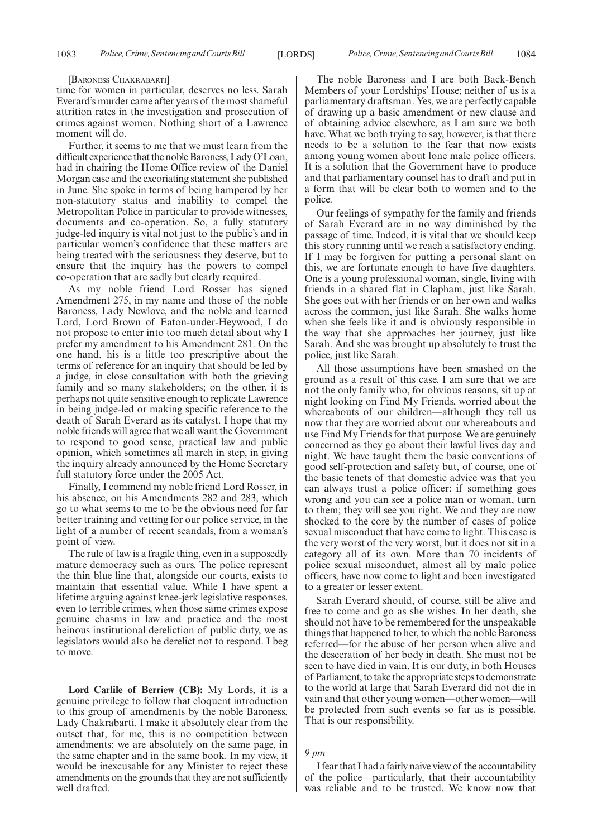#### [BARONESS CHAKRABARTI]

time for women in particular, deserves no less. Sarah Everard's murder came after years of the most shameful attrition rates in the investigation and prosecution of crimes against women. Nothing short of a Lawrence moment will do.

Further, it seems to me that we must learn from the difficult experience that the noble Baroness, Lady O'Loan, had in chairing the Home Office review of the Daniel Morgan case and the excoriating statement she published in June. She spoke in terms of being hampered by her non-statutory status and inability to compel the Metropolitan Police in particular to provide witnesses, documents and co-operation. So, a fully statutory judge-led inquiry is vital not just to the public's and in particular women's confidence that these matters are being treated with the seriousness they deserve, but to ensure that the inquiry has the powers to compel co-operation that are sadly but clearly required.

As my noble friend Lord Rosser has signed Amendment 275, in my name and those of the noble Baroness, Lady Newlove, and the noble and learned Lord, Lord Brown of Eaton-under-Heywood, I do not propose to enter into too much detail about why I prefer my amendment to his Amendment 281. On the one hand, his is a little too prescriptive about the terms of reference for an inquiry that should be led by a judge, in close consultation with both the grieving family and so many stakeholders; on the other, it is perhaps not quite sensitive enough to replicate Lawrence in being judge-led or making specific reference to the death of Sarah Everard as its catalyst. I hope that my noble friends will agree that we all want the Government to respond to good sense, practical law and public opinion, which sometimes all march in step, in giving the inquiry already announced by the Home Secretary full statutory force under the 2005 Act.

Finally, I commend my noble friend Lord Rosser, in his absence, on his Amendments 282 and 283, which go to what seems to me to be the obvious need for far better training and vetting for our police service, in the light of a number of recent scandals, from a woman's point of view.

The rule of law is a fragile thing, even in a supposedly mature democracy such as ours. The police represent the thin blue line that, alongside our courts, exists to maintain that essential value. While I have spent a lifetime arguing against knee-jerk legislative responses, even to terrible crimes, when those same crimes expose genuine chasms in law and practice and the most heinous institutional dereliction of public duty, we as legislators would also be derelict not to respond. I beg to move.

**Lord Carlile of Berriew (CB):** My Lords, it is a genuine privilege to follow that eloquent introduction to this group of amendments by the noble Baroness, Lady Chakrabarti. I make it absolutely clear from the outset that, for me, this is no competition between amendments: we are absolutely on the same page, in the same chapter and in the same book. In my view, it would be inexcusable for any Minister to reject these amendments on the grounds that they are not sufficiently well drafted.

The noble Baroness and I are both Back-Bench Members of your Lordships' House; neither of us is a parliamentary draftsman. Yes, we are perfectly capable of drawing up a basic amendment or new clause and of obtaining advice elsewhere, as I am sure we both have. What we both trying to say, however, is that there needs to be a solution to the fear that now exists among young women about lone male police officers. It is a solution that the Government have to produce and that parliamentary counsel has to draft and put in a form that will be clear both to women and to the police.

Our feelings of sympathy for the family and friends of Sarah Everard are in no way diminished by the passage of time. Indeed, it is vital that we should keep this story running until we reach a satisfactory ending. If I may be forgiven for putting a personal slant on this, we are fortunate enough to have five daughters. One is a young professional woman, single, living with friends in a shared flat in Clapham, just like Sarah. She goes out with her friends or on her own and walks across the common, just like Sarah. She walks home when she feels like it and is obviously responsible in the way that she approaches her journey, just like Sarah. And she was brought up absolutely to trust the police, just like Sarah.

All those assumptions have been smashed on the ground as a result of this case. I am sure that we are not the only family who, for obvious reasons, sit up at night looking on Find My Friends, worried about the whereabouts of our children—although they tell us now that they are worried about our whereabouts and use Find My Friends for that purpose. We are genuinely concerned as they go about their lawful lives day and night. We have taught them the basic conventions of good self-protection and safety but, of course, one of the basic tenets of that domestic advice was that you can always trust a police officer: if something goes wrong and you can see a police man or woman, turn to them; they will see you right. We and they are now shocked to the core by the number of cases of police sexual misconduct that have come to light. This case is the very worst of the very worst, but it does not sit in a category all of its own. More than 70 incidents of police sexual misconduct, almost all by male police officers, have now come to light and been investigated to a greater or lesser extent.

Sarah Everard should, of course, still be alive and free to come and go as she wishes. In her death, she should not have to be remembered for the unspeakable things that happened to her, to which the noble Baroness referred—for the abuse of her person when alive and the desecration of her body in death. She must not be seen to have died in vain. It is our duty, in both Houses of Parliament, to take the appropriate steps to demonstrate to the world at large that Sarah Everard did not die in vain and that other young women—other women—will be protected from such events so far as is possible. That is our responsibility.

## *9 pm*

I fear that I had a fairly naive view of the accountability of the police—particularly, that their accountability was reliable and to be trusted. We know now that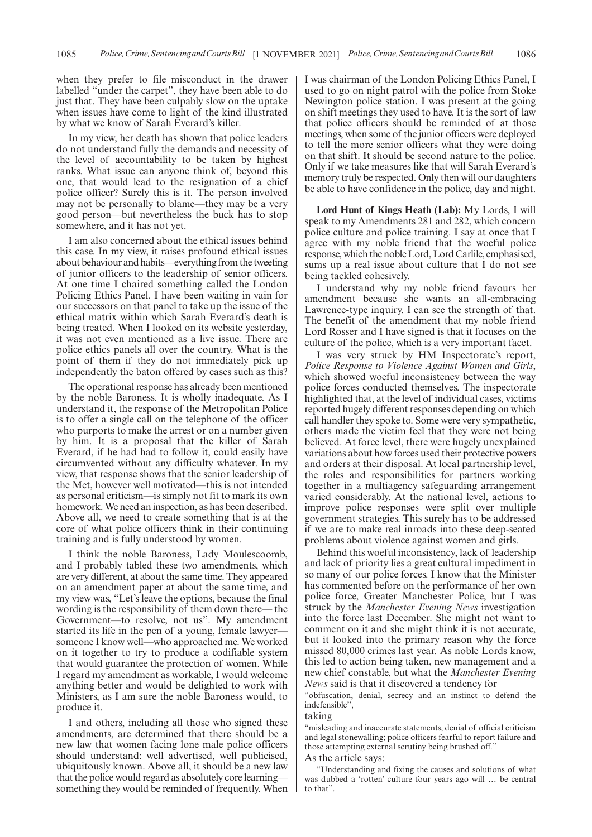when they prefer to file misconduct in the drawer labelled "under the carpet", they have been able to do just that. They have been culpably slow on the uptake when issues have come to light of the kind illustrated by what we know of Sarah Everard's killer.

In my view, her death has shown that police leaders do not understand fully the demands and necessity of the level of accountability to be taken by highest ranks. What issue can anyone think of, beyond this one, that would lead to the resignation of a chief police officer? Surely this is it. The person involved may not be personally to blame—they may be a very good person—but nevertheless the buck has to stop somewhere, and it has not yet.

I am also concerned about the ethical issues behind this case. In my view, it raises profound ethical issues about behaviour and habits—everything from the tweeting of junior officers to the leadership of senior officers. At one time I chaired something called the London Policing Ethics Panel. I have been waiting in vain for our successors on that panel to take up the issue of the ethical matrix within which Sarah Everard's death is being treated. When I looked on its website yesterday, it was not even mentioned as a live issue. There are police ethics panels all over the country. What is the point of them if they do not immediately pick up independently the baton offered by cases such as this?

The operational response has already been mentioned by the noble Baroness. It is wholly inadequate. As I understand it, the response of the Metropolitan Police is to offer a single call on the telephone of the officer who purports to make the arrest or on a number given by him. It is a proposal that the killer of Sarah Everard, if he had had to follow it, could easily have circumvented without any difficulty whatever. In my view, that response shows that the senior leadership of the Met, however well motivated—this is not intended as personal criticism—is simply not fit to mark its own homework. We need an inspection, as has been described. Above all, we need to create something that is at the core of what police officers think in their continuing training and is fully understood by women.

I think the noble Baroness, Lady Moulescoomb, and I probably tabled these two amendments, which are very different, at about the same time. They appeared on an amendment paper at about the same time, and my view was, "Let's leave the options, because the final wording is the responsibility of them down there— the Government—to resolve, not us". My amendment started its life in the pen of a young, female lawyer someone I know well—who approached me. We worked on it together to try to produce a codifiable system that would guarantee the protection of women. While I regard my amendment as workable, I would welcome anything better and would be delighted to work with Ministers, as I am sure the noble Baroness would, to produce it.

I and others, including all those who signed these amendments, are determined that there should be a new law that women facing lone male police officers should understand: well advertised, well publicised, ubiquitously known. Above all, it should be a new law that the police would regard as absolutely core learning something they would be reminded of frequently. When I was chairman of the London Policing Ethics Panel, I used to go on night patrol with the police from Stoke Newington police station. I was present at the going on shift meetings they used to have. It is the sort of law that police officers should be reminded of at those meetings, when some of the junior officers were deployed to tell the more senior officers what they were doing on that shift. It should be second nature to the police. Only if we take measures like that will Sarah Everard's memory truly be respected. Only then will our daughters be able to have confidence in the police, day and night.

**Lord Hunt of Kings Heath (Lab):** My Lords, I will speak to my Amendments 281 and 282, which concern police culture and police training. I say at once that I agree with my noble friend that the woeful police response, which the noble Lord, Lord Carlile, emphasised, sums up a real issue about culture that I do not see being tackled cohesively.

I understand why my noble friend favours her amendment because she wants an all-embracing Lawrence-type inquiry. I can see the strength of that. The benefit of the amendment that my noble friend Lord Rosser and I have signed is that it focuses on the culture of the police, which is a very important facet.

I was very struck by HM Inspectorate's report, *Police Response to Violence Against Women and Girls*, which showed woeful inconsistency between the way police forces conducted themselves. The inspectorate highlighted that, at the level of individual cases, victims reported hugely different responses depending on which call handler they spoke to. Some were very sympathetic, others made the victim feel that they were not being believed. At force level, there were hugely unexplained variations about how forces used their protective powers and orders at their disposal. At local partnership level, the roles and responsibilities for partners working together in a multiagency safeguarding arrangement varied considerably. At the national level, actions to improve police responses were split over multiple government strategies. This surely has to be addressed if we are to make real inroads into these deep-seated problems about violence against women and girls.

Behind this woeful inconsistency, lack of leadership and lack of priority lies a great cultural impediment in so many of our police forces. I know that the Minister has commented before on the performance of her own police force, Greater Manchester Police, but I was struck by the *Manchester Evening News* investigation into the force last December. She might not want to comment on it and she might think it is not accurate, but it looked into the primary reason why the force missed 80,000 crimes last year. As noble Lords know, this led to action being taken, new management and a new chief constable, but what the *Manchester Evening News* said is that it discovered a tendency for

"obfuscation, denial, secrecy and an instinct to defend the indefensible",

#### taking

"misleading and inaccurate statements, denial of official criticism and legal stonewalling; police officers fearful to report failure and those attempting external scrutiny being brushed off."

# As the article says:

"Understanding and fixing the causes and solutions of what was dubbed a 'rotten' culture four years ago will … be central to that".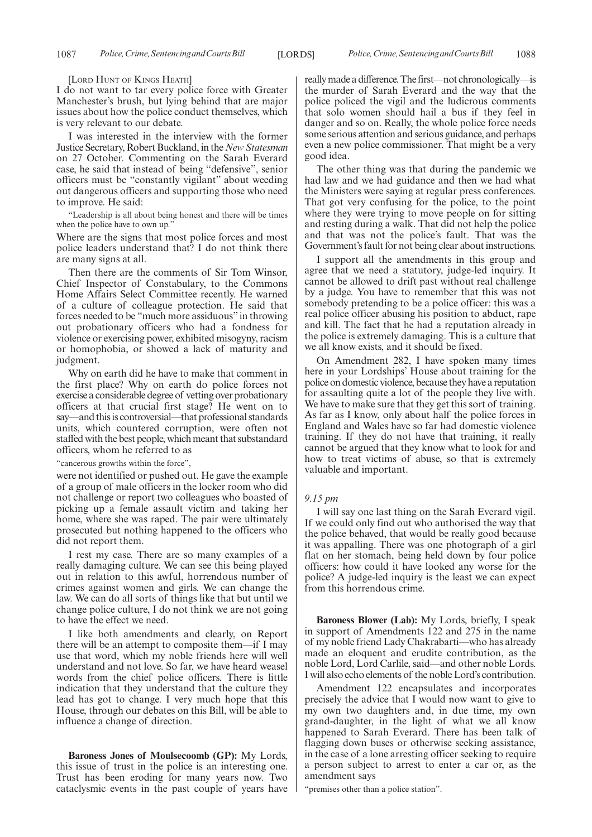#### [LORD HUNT OF KINGS HEATH]

I do not want to tar every police force with Greater Manchester's brush, but lying behind that are major issues about how the police conduct themselves, which is very relevant to our debate.

I was interested in the interview with the former Justice Secretary, Robert Buckland, in the*New Statesman* on 27 October. Commenting on the Sarah Everard case, he said that instead of being "defensive", senior officers must be "constantly vigilant" about weeding out dangerous officers and supporting those who need to improve. He said:

"Leadership is all about being honest and there will be times when the police have to own up."

Where are the signs that most police forces and most police leaders understand that? I do not think there are many signs at all.

Then there are the comments of Sir Tom Winsor, Chief Inspector of Constabulary, to the Commons Home Affairs Select Committee recently. He warned of a culture of colleague protection. He said that forces needed to be "much more assiduous" in throwing out probationary officers who had a fondness for violence or exercising power, exhibited misogyny, racism or homophobia, or showed a lack of maturity and judgment.

Why on earth did he have to make that comment in the first place? Why on earth do police forces not exercise a considerable degree of vetting over probationary officers at that crucial first stage? He went on to say—and this is controversial—that professional standards units, which countered corruption, were often not staffed with the best people, which meant that substandard officers, whom he referred to as

'cancerous growths within the force",

were not identified or pushed out. He gave the example of a group of male officers in the locker room who did not challenge or report two colleagues who boasted of picking up a female assault victim and taking her home, where she was raped. The pair were ultimately prosecuted but nothing happened to the officers who did not report them.

I rest my case. There are so many examples of a really damaging culture. We can see this being played out in relation to this awful, horrendous number of crimes against women and girls. We can change the law. We can do all sorts of things like that but until we change police culture, I do not think we are not going to have the effect we need.

I like both amendments and clearly, on Report there will be an attempt to composite them—if I may use that word, which my noble friends here will well understand and not love. So far, we have heard weasel words from the chief police officers. There is little indication that they understand that the culture they lead has got to change. I very much hope that this House, through our debates on this Bill, will be able to influence a change of direction.

**Baroness Jones of Moulsecoomb (GP):** My Lords, this issue of trust in the police is an interesting one. Trust has been eroding for many years now. Two cataclysmic events in the past couple of years have really made a difference. The first—not chronologically—is the murder of Sarah Everard and the way that the police policed the vigil and the ludicrous comments that solo women should hail a bus if they feel in danger and so on. Really, the whole police force needs some serious attention and serious guidance, and perhaps even a new police commissioner. That might be a very good idea.

The other thing was that during the pandemic we had law and we had guidance and then we had what the Ministers were saying at regular press conferences. That got very confusing for the police, to the point where they were trying to move people on for sitting and resting during a walk. That did not help the police and that was not the police's fault. That was the Government's fault for not being clear about instructions.

I support all the amendments in this group and agree that we need a statutory, judge-led inquiry. It cannot be allowed to drift past without real challenge by a judge. You have to remember that this was not somebody pretending to be a police officer: this was a real police officer abusing his position to abduct, rape and kill. The fact that he had a reputation already in the police is extremely damaging. This is a culture that we all know exists, and it should be fixed.

On Amendment 282, I have spoken many times here in your Lordships' House about training for the police on domestic violence, because they have a reputation for assaulting quite a lot of the people they live with. We have to make sure that they get this sort of training. As far as I know, only about half the police forces in England and Wales have so far had domestic violence training. If they do not have that training, it really cannot be argued that they know what to look for and how to treat victims of abuse, so that is extremely valuable and important.

#### *9.15 pm*

I will say one last thing on the Sarah Everard vigil. If we could only find out who authorised the way that the police behaved, that would be really good because it was appalling. There was one photograph of a girl flat on her stomach, being held down by four police officers: how could it have looked any worse for the police? A judge-led inquiry is the least we can expect from this horrendous crime.

**Baroness Blower (Lab):** My Lords, briefly, I speak in support of Amendments 122 and 275 in the name of my noble friend Lady Chakrabarti—who has already made an eloquent and erudite contribution, as the noble Lord, Lord Carlile, said—and other noble Lords. I will also echo elements of the noble Lord's contribution.

Amendment 122 encapsulates and incorporates precisely the advice that I would now want to give to my own two daughters and, in due time, my own grand-daughter, in the light of what we all know happened to Sarah Everard. There has been talk of flagging down buses or otherwise seeking assistance, in the case of a lone arresting officer seeking to require a person subject to arrest to enter a car or, as the amendment says

"premises other than a police station".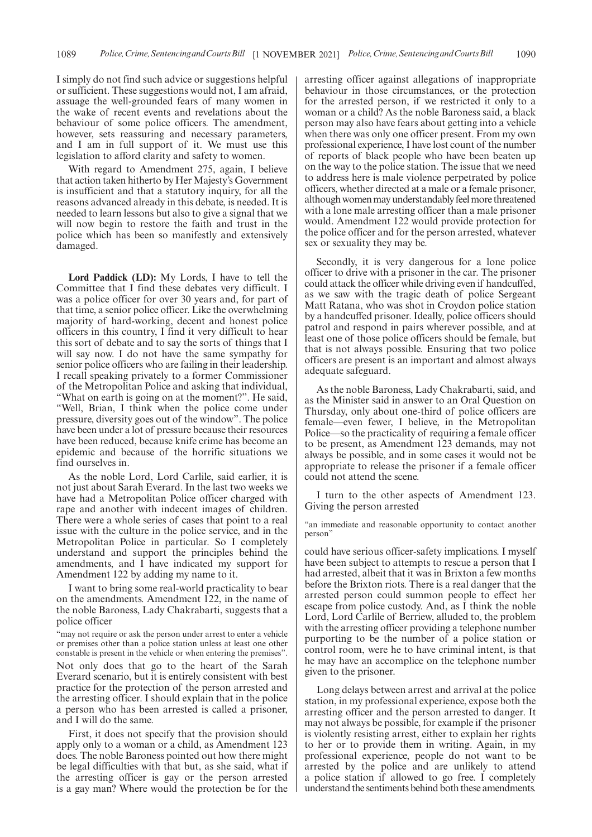I simply do not find such advice or suggestions helpful or sufficient. These suggestions would not, I am afraid, assuage the well-grounded fears of many women in the wake of recent events and revelations about the behaviour of some police officers. The amendment, however, sets reassuring and necessary parameters, and I am in full support of it. We must use this legislation to afford clarity and safety to women.

With regard to Amendment 275, again, I believe that action taken hitherto by Her Majesty's Government is insufficient and that a statutory inquiry, for all the reasons advanced already in this debate, is needed. It is needed to learn lessons but also to give a signal that we will now begin to restore the faith and trust in the police which has been so manifestly and extensively damaged.

**Lord Paddick (LD):** My Lords, I have to tell the Committee that I find these debates very difficult. I was a police officer for over 30 years and, for part of that time, a senior police officer. Like the overwhelming majority of hard-working, decent and honest police officers in this country, I find it very difficult to hear this sort of debate and to say the sorts of things that I will say now. I do not have the same sympathy for senior police officers who are failing in their leadership. I recall speaking privately to a former Commissioner of the Metropolitan Police and asking that individual, "What on earth is going on at the moment?". He said, "Well, Brian, I think when the police come under pressure, diversity goes out of the window". The police have been under a lot of pressure because their resources have been reduced, because knife crime has become an epidemic and because of the horrific situations we find ourselves in.

As the noble Lord, Lord Carlile, said earlier, it is not just about Sarah Everard. In the last two weeks we have had a Metropolitan Police officer charged with rape and another with indecent images of children. There were a whole series of cases that point to a real issue with the culture in the police service, and in the Metropolitan Police in particular. So I completely understand and support the principles behind the amendments, and I have indicated my support for Amendment 122 by adding my name to it.

I want to bring some real-world practicality to bear on the amendments. Amendment 122, in the name of the noble Baroness, Lady Chakrabarti, suggests that a police officer

"may not require or ask the person under arrest to enter a vehicle or premises other than a police station unless at least one other constable is present in the vehicle or when entering the premises".

Not only does that go to the heart of the Sarah Everard scenario, but it is entirely consistent with best practice for the protection of the person arrested and the arresting officer. I should explain that in the police a person who has been arrested is called a prisoner, and I will do the same.

First, it does not specify that the provision should apply only to a woman or a child, as Amendment 123 does. The noble Baroness pointed out how there might be legal difficulties with that but, as she said, what if the arresting officer is gay or the person arrested is a gay man? Where would the protection be for the arresting officer against allegations of inappropriate behaviour in those circumstances, or the protection for the arrested person, if we restricted it only to a woman or a child? As the noble Baroness said, a black person may also have fears about getting into a vehicle when there was only one officer present. From my own professional experience, I have lost count of the number of reports of black people who have been beaten up on the way to the police station. The issue that we need to address here is male violence perpetrated by police officers, whether directed at a male or a female prisoner, although women may understandably feel more threatened with a lone male arresting officer than a male prisoner would. Amendment 122 would provide protection for the police officer and for the person arrested, whatever sex or sexuality they may be.

Secondly, it is very dangerous for a lone police officer to drive with a prisoner in the car. The prisoner could attack the officer while driving even if handcuffed, as we saw with the tragic death of police Sergeant Matt Ratana, who was shot in Croydon police station by a handcuffed prisoner. Ideally, police officers should patrol and respond in pairs wherever possible, and at least one of those police officers should be female, but that is not always possible. Ensuring that two police officers are present is an important and almost always adequate safeguard.

As the noble Baroness, Lady Chakrabarti, said, and as the Minister said in answer to an Oral Question on Thursday, only about one-third of police officers are female—even fewer, I believe, in the Metropolitan Police—so the practicality of requiring a female officer to be present, as Amendment 123 demands, may not always be possible, and in some cases it would not be appropriate to release the prisoner if a female officer could not attend the scene.

I turn to the other aspects of Amendment 123. Giving the person arrested

"an immediate and reasonable opportunity to contact another person"

could have serious officer-safety implications. I myself have been subject to attempts to rescue a person that I had arrested, albeit that it was in Brixton a few months before the Brixton riots. There is a real danger that the arrested person could summon people to effect her escape from police custody. And, as I think the noble Lord, Lord Carlile of Berriew, alluded to, the problem with the arresting officer providing a telephone number purporting to be the number of a police station or control room, were he to have criminal intent, is that he may have an accomplice on the telephone number given to the prisoner.

Long delays between arrest and arrival at the police station, in my professional experience, expose both the arresting officer and the person arrested to danger. It may not always be possible, for example if the prisoner is violently resisting arrest, either to explain her rights to her or to provide them in writing. Again, in my professional experience, people do not want to be arrested by the police and are unlikely to attend a police station if allowed to go free. I completely understand the sentiments behind both these amendments.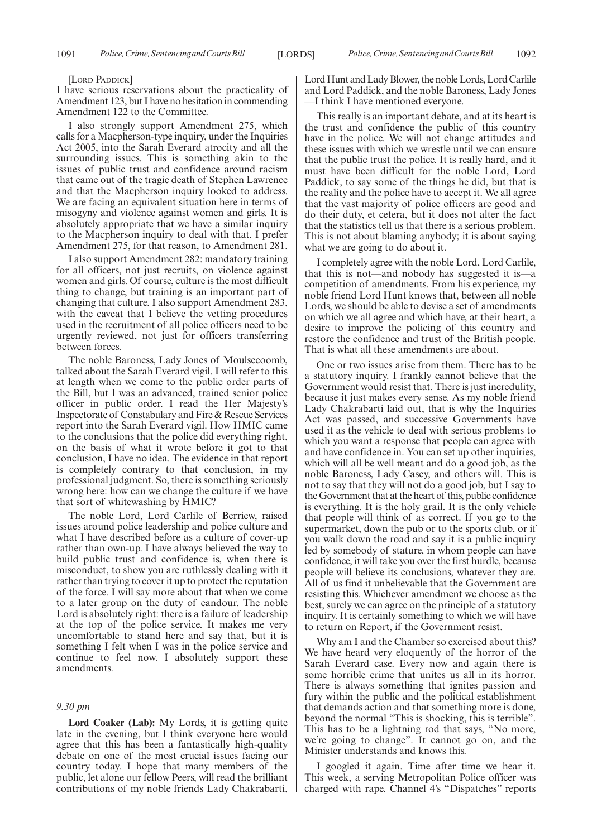#### [LORD PADDICK]

I have serious reservations about the practicality of Amendment 123, but I have no hesitation in commending Amendment 122 to the Committee.

I also strongly support Amendment 275, which calls for a Macpherson-type inquiry, under the Inquiries Act 2005, into the Sarah Everard atrocity and all the surrounding issues. This is something akin to the issues of public trust and confidence around racism that came out of the tragic death of Stephen Lawrence and that the Macpherson inquiry looked to address. We are facing an equivalent situation here in terms of misogyny and violence against women and girls. It is absolutely appropriate that we have a similar inquiry to the Macpherson inquiry to deal with that. I prefer Amendment 275, for that reason, to Amendment 281.

I also support Amendment 282: mandatory training for all officers, not just recruits, on violence against women and girls. Of course, culture is the most difficult thing to change, but training is an important part of changing that culture. I also support Amendment 283, with the caveat that I believe the vetting procedures used in the recruitment of all police officers need to be urgently reviewed, not just for officers transferring between forces.

The noble Baroness, Lady Jones of Moulsecoomb, talked about the Sarah Everard vigil. I will refer to this at length when we come to the public order parts of the Bill, but I was an advanced, trained senior police officer in public order. I read the Her Majesty's Inspectorate of Constabulary and Fire & Rescue Services report into the Sarah Everard vigil. How HMIC came to the conclusions that the police did everything right, on the basis of what it wrote before it got to that conclusion, I have no idea. The evidence in that report is completely contrary to that conclusion, in my professional judgment. So, there is something seriously wrong here: how can we change the culture if we have that sort of whitewashing by HMIC?

The noble Lord, Lord Carlile of Berriew, raised issues around police leadership and police culture and what I have described before as a culture of cover-up rather than own-up. I have always believed the way to build public trust and confidence is, when there is misconduct, to show you are ruthlessly dealing with it rather than trying to cover it up to protect the reputation of the force. I will say more about that when we come to a later group on the duty of candour. The noble Lord is absolutely right: there is a failure of leadership at the top of the police service. It makes me very uncomfortable to stand here and say that, but it is something I felt when I was in the police service and continue to feel now. I absolutely support these amendments.

#### *9.30 pm*

**Lord Coaker (Lab):** My Lords, it is getting quite late in the evening, but I think everyone here would agree that this has been a fantastically high-quality debate on one of the most crucial issues facing our country today. I hope that many members of the public, let alone our fellow Peers, will read the brilliant contributions of my noble friends Lady Chakrabarti, Lord Hunt and Lady Blower, the noble Lords, Lord Carlile and Lord Paddick, and the noble Baroness, Lady Jones —I think I have mentioned everyone.

This really is an important debate, and at its heart is the trust and confidence the public of this country have in the police. We will not change attitudes and these issues with which we wrestle until we can ensure that the public trust the police. It is really hard, and it must have been difficult for the noble Lord, Lord Paddick, to say some of the things he did, but that is the reality and the police have to accept it. We all agree that the vast majority of police officers are good and do their duty, et cetera, but it does not alter the fact that the statistics tell us that there is a serious problem. This is not about blaming anybody; it is about saying what we are going to do about it.

I completely agree with the noble Lord, Lord Carlile, that this is not—and nobody has suggested it is—a competition of amendments. From his experience, my noble friend Lord Hunt knows that, between all noble Lords, we should be able to devise a set of amendments on which we all agree and which have, at their heart, a desire to improve the policing of this country and restore the confidence and trust of the British people. That is what all these amendments are about.

One or two issues arise from them. There has to be a statutory inquiry. I frankly cannot believe that the Government would resist that. There is just incredulity, because it just makes every sense. As my noble friend Lady Chakrabarti laid out, that is why the Inquiries Act was passed, and successive Governments have used it as the vehicle to deal with serious problems to which you want a response that people can agree with and have confidence in. You can set up other inquiries, which will all be well meant and do a good job, as the noble Baroness, Lady Casey, and others will. This is not to say that they will not do a good job, but I say to the Government that at the heart of this, public confidence is everything. It is the holy grail. It is the only vehicle that people will think of as correct. If you go to the supermarket, down the pub or to the sports club, or if you walk down the road and say it is a public inquiry led by somebody of stature, in whom people can have confidence, it will take you over the first hurdle, because people will believe its conclusions, whatever they are. All of us find it unbelievable that the Government are resisting this. Whichever amendment we choose as the best, surely we can agree on the principle of a statutory inquiry. It is certainly something to which we will have to return on Report, if the Government resist.

Why am I and the Chamber so exercised about this? We have heard very eloquently of the horror of the Sarah Everard case. Every now and again there is some horrible crime that unites us all in its horror. There is always something that ignites passion and fury within the public and the political establishment that demands action and that something more is done, beyond the normal "This is shocking, this is terrible". This has to be a lightning rod that says, "No more, we're going to change". It cannot go on, and the Minister understands and knows this.

I googled it again. Time after time we hear it. This week, a serving Metropolitan Police officer was charged with rape. Channel 4's "Dispatches" reports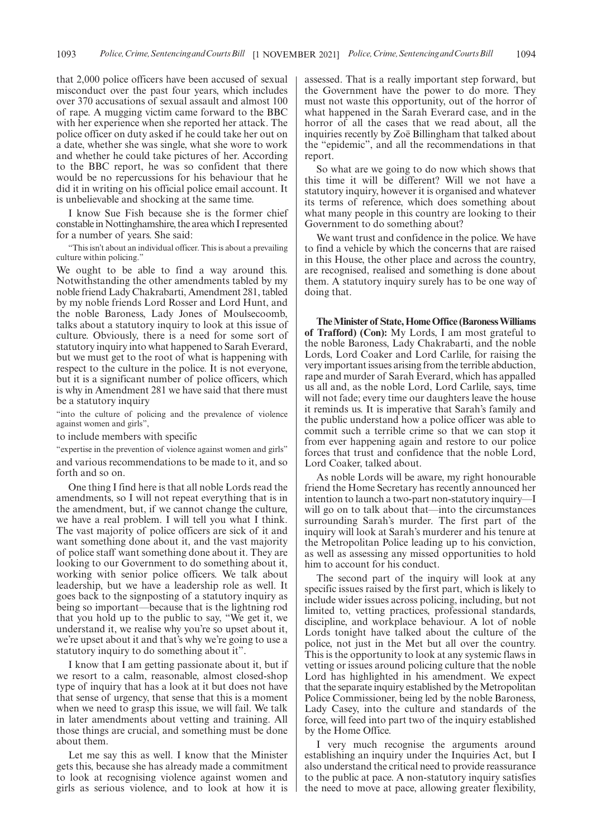that 2,000 police officers have been accused of sexual misconduct over the past four years, which includes over 370 accusations of sexual assault and almost 100 of rape. A mugging victim came forward to the BBC with her experience when she reported her attack. The police officer on duty asked if he could take her out on a date, whether she was single, what she wore to work and whether he could take pictures of her. According to the BBC report, he was so confident that there would be no repercussions for his behaviour that he did it in writing on his official police email account. It is unbelievable and shocking at the same time.

I know Sue Fish because she is the former chief constable in Nottinghamshire, the area which I represented for a number of years. She said:

"This isn't about an individual officer. This is about a prevailing culture within policing."

We ought to be able to find a way around this. Notwithstanding the other amendments tabled by my noble friend Lady Chakrabarti, Amendment 281, tabled by my noble friends Lord Rosser and Lord Hunt, and the noble Baroness, Lady Jones of Moulsecoomb, talks about a statutory inquiry to look at this issue of culture. Obviously, there is a need for some sort of statutory inquiry into what happened to Sarah Everard, but we must get to the root of what is happening with respect to the culture in the police. It is not everyone, but it is a significant number of police officers, which is why in Amendment 281 we have said that there must be a statutory inquiry

"into the culture of policing and the prevalence of violence against women and girls",

to include members with specific

"expertise in the prevention of violence against women and girls" and various recommendations to be made to it, and so forth and so on.

One thing I find here is that all noble Lords read the amendments, so I will not repeat everything that is in the amendment, but, if we cannot change the culture, we have a real problem. I will tell you what I think. The vast majority of police officers are sick of it and want something done about it, and the vast majority of police staff want something done about it. They are looking to our Government to do something about it, working with senior police officers. We talk about leadership, but we have a leadership role as well. It goes back to the signposting of a statutory inquiry as being so important—because that is the lightning rod that you hold up to the public to say, "We get it, we understand it, we realise why you're so upset about it, we're upset about it and that's why we're going to use a statutory inquiry to do something about it".

I know that I am getting passionate about it, but if we resort to a calm, reasonable, almost closed-shop type of inquiry that has a look at it but does not have that sense of urgency, that sense that this is a moment when we need to grasp this issue, we will fail. We talk in later amendments about vetting and training. All those things are crucial, and something must be done about them.

Let me say this as well. I know that the Minister gets this, because she has already made a commitment to look at recognising violence against women and girls as serious violence, and to look at how it is assessed. That is a really important step forward, but the Government have the power to do more. They must not waste this opportunity, out of the horror of what happened in the Sarah Everard case, and in the horror of all the cases that we read about, all the inquiries recently by Zoë Billingham that talked about the "epidemic", and all the recommendations in that report.

So what are we going to do now which shows that this time it will be different? Will we not have a statutory inquiry, however it is organised and whatever its terms of reference, which does something about what many people in this country are looking to their Government to do something about?

We want trust and confidence in the police. We have to find a vehicle by which the concerns that are raised in this House, the other place and across the country, are recognised, realised and something is done about them. A statutory inquiry surely has to be one way of doing that.

**The Minister of State, Home Office (Baroness Williams of Trafford) (Con):** My Lords, I am most grateful to the noble Baroness, Lady Chakrabarti, and the noble Lords, Lord Coaker and Lord Carlile, for raising the very important issues arising from the terrible abduction, rape and murder of Sarah Everard, which has appalled us all and, as the noble Lord, Lord Carlile, says, time will not fade; every time our daughters leave the house it reminds us. It is imperative that Sarah's family and the public understand how a police officer was able to commit such a terrible crime so that we can stop it from ever happening again and restore to our police forces that trust and confidence that the noble Lord, Lord Coaker, talked about.

As noble Lords will be aware, my right honourable friend the Home Secretary has recently announced her intention to launch a two-part non-statutory inquiry—I will go on to talk about that—into the circumstances surrounding Sarah's murder. The first part of the inquiry will look at Sarah's murderer and his tenure at the Metropolitan Police leading up to his conviction, as well as assessing any missed opportunities to hold him to account for his conduct.

The second part of the inquiry will look at any specific issues raised by the first part, which is likely to include wider issues across policing, including, but not limited to, vetting practices, professional standards, discipline, and workplace behaviour. A lot of noble Lords tonight have talked about the culture of the police, not just in the Met but all over the country. This is the opportunity to look at any systemic flaws in vetting or issues around policing culture that the noble Lord has highlighted in his amendment. We expect that the separate inquiry established by the Metropolitan Police Commissioner, being led by the noble Baroness, Lady Casey, into the culture and standards of the force, will feed into part two of the inquiry established by the Home Office.

I very much recognise the arguments around establishing an inquiry under the Inquiries Act, but I also understand the critical need to provide reassurance to the public at pace. A non-statutory inquiry satisfies the need to move at pace, allowing greater flexibility,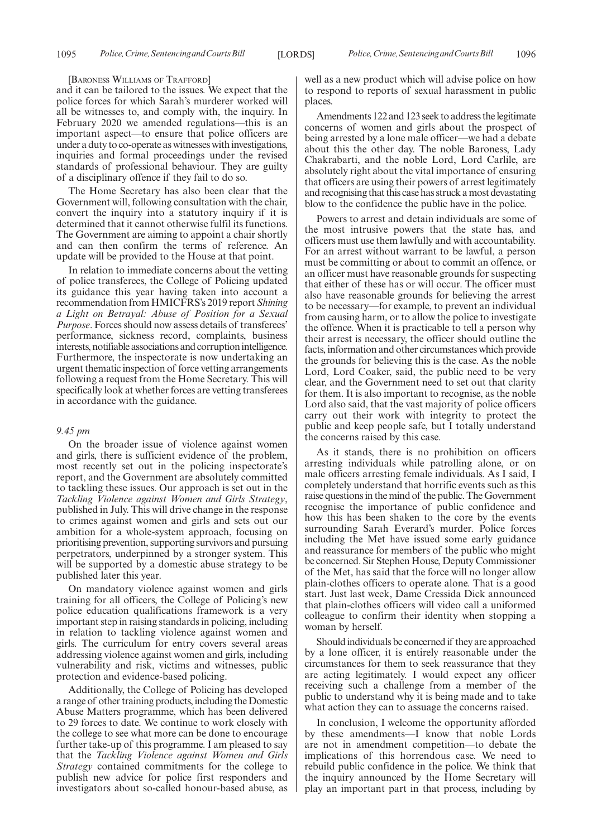[BARONESS WILLIAMS OF TRAFFORD]

and it can be tailored to the issues. We expect that the police forces for which Sarah's murderer worked will all be witnesses to, and comply with, the inquiry. In February 2020 we amended regulations—this is an important aspect—to ensure that police officers are under a duty to co-operate as witnesses with investigations, inquiries and formal proceedings under the revised standards of professional behaviour. They are guilty of a disciplinary offence if they fail to do so.

The Home Secretary has also been clear that the Government will, following consultation with the chair, convert the inquiry into a statutory inquiry if it is determined that it cannot otherwise fulfil its functions. The Government are aiming to appoint a chair shortly and can then confirm the terms of reference. An update will be provided to the House at that point.

In relation to immediate concerns about the vetting of police transferees, the College of Policing updated its guidance this year having taken into account a recommendation from HMICFRS's 2019 report *Shining a Light on Betrayal: Abuse of Position for a Sexual Purpose*. Forces should now assess details of transferees' performance, sickness record, complaints, business interests, notifiable associations and corruption intelligence. Furthermore, the inspectorate is now undertaking an urgent thematic inspection of force vetting arrangements following a request from the Home Secretary. This will specifically look at whether forces are vetting transferees in accordance with the guidance.

# *9.45 pm*

On the broader issue of violence against women and girls, there is sufficient evidence of the problem, most recently set out in the policing inspectorate's report, and the Government are absolutely committed to tackling these issues. Our approach is set out in the *Tackling Violence against Women and Girls Strategy*, published in July. This will drive change in the response to crimes against women and girls and sets out our ambition for a whole-system approach, focusing on prioritising prevention, supporting survivors and pursuing perpetrators, underpinned by a stronger system. This will be supported by a domestic abuse strategy to be published later this year.

On mandatory violence against women and girls training for all officers, the College of Policing's new police education qualifications framework is a very important step in raising standards in policing, including in relation to tackling violence against women and girls. The curriculum for entry covers several areas addressing violence against women and girls, including vulnerability and risk, victims and witnesses, public protection and evidence-based policing.

Additionally, the College of Policing has developed a range of other training products, including the Domestic Abuse Matters programme, which has been delivered to 29 forces to date. We continue to work closely with the college to see what more can be done to encourage further take-up of this programme. I am pleased to say that the *Tackling Violence against Women and Girls Strategy* contained commitments for the college to publish new advice for police first responders and investigators about so-called honour-based abuse, as well as a new product which will advise police on how to respond to reports of sexual harassment in public places.

Amendments 122 and 123 seek to address the legitimate concerns of women and girls about the prospect of being arrested by a lone male officer—we had a debate about this the other day. The noble Baroness, Lady Chakrabarti, and the noble Lord, Lord Carlile, are absolutely right about the vital importance of ensuring that officers are using their powers of arrest legitimately and recognising that this case has struck a most devastating blow to the confidence the public have in the police.

Powers to arrest and detain individuals are some of the most intrusive powers that the state has, and officers must use them lawfully and with accountability. For an arrest without warrant to be lawful, a person must be committing or about to commit an offence, or an officer must have reasonable grounds for suspecting that either of these has or will occur. The officer must also have reasonable grounds for believing the arrest to be necessary—for example, to prevent an individual from causing harm, or to allow the police to investigate the offence. When it is practicable to tell a person why their arrest is necessary, the officer should outline the facts, information and other circumstances which provide the grounds for believing this is the case. As the noble Lord, Lord Coaker, said, the public need to be very clear, and the Government need to set out that clarity for them. It is also important to recognise, as the noble Lord also said, that the vast majority of police officers carry out their work with integrity to protect the public and keep people safe, but I totally understand the concerns raised by this case.

As it stands, there is no prohibition on officers arresting individuals while patrolling alone, or on male officers arresting female individuals. As I said, I completely understand that horrific events such as this raise questions in the mind of the public. The Government recognise the importance of public confidence and how this has been shaken to the core by the events surrounding Sarah Everard's murder. Police forces including the Met have issued some early guidance and reassurance for members of the public who might be concerned. Sir Stephen House, Deputy Commissioner of the Met, has said that the force will no longer allow plain-clothes officers to operate alone. That is a good start. Just last week, Dame Cressida Dick announced that plain-clothes officers will video call a uniformed colleague to confirm their identity when stopping a woman by herself.

Should individuals be concerned if they are approached by a lone officer, it is entirely reasonable under the circumstances for them to seek reassurance that they are acting legitimately. I would expect any officer receiving such a challenge from a member of the public to understand why it is being made and to take what action they can to assuage the concerns raised.

In conclusion, I welcome the opportunity afforded by these amendments—I know that noble Lords are not in amendment competition—to debate the implications of this horrendous case. We need to rebuild public confidence in the police. We think that the inquiry announced by the Home Secretary will play an important part in that process, including by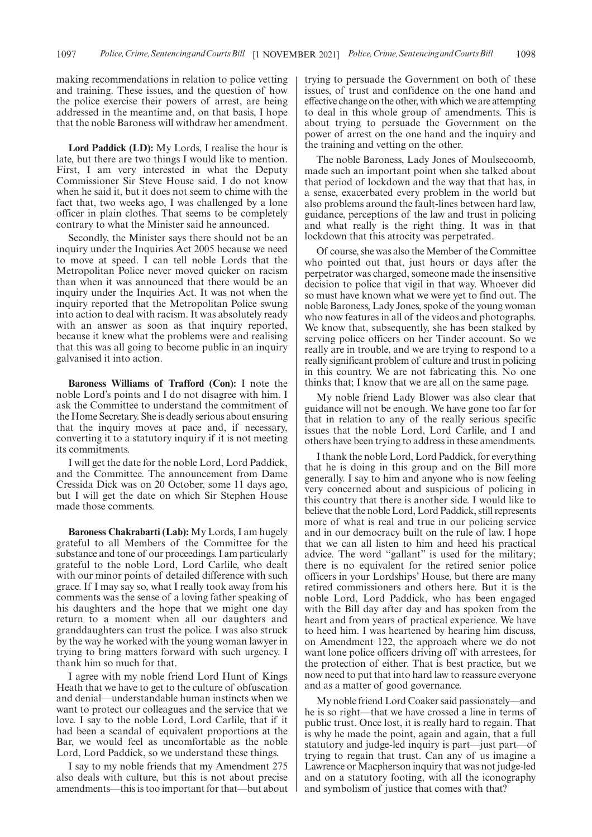making recommendations in relation to police vetting and training. These issues, and the question of how the police exercise their powers of arrest, are being addressed in the meantime and, on that basis, I hope that the noble Baroness will withdraw her amendment.

**Lord Paddick (LD):** My Lords, I realise the hour is late, but there are two things I would like to mention. First, I am very interested in what the Deputy Commissioner Sir Steve House said. I do not know when he said it, but it does not seem to chime with the fact that, two weeks ago, I was challenged by a lone officer in plain clothes. That seems to be completely contrary to what the Minister said he announced.

Secondly, the Minister says there should not be an inquiry under the Inquiries Act 2005 because we need to move at speed. I can tell noble Lords that the Metropolitan Police never moved quicker on racism than when it was announced that there would be an inquiry under the Inquiries Act. It was not when the inquiry reported that the Metropolitan Police swung into action to deal with racism. It was absolutely ready with an answer as soon as that inquiry reported, because it knew what the problems were and realising that this was all going to become public in an inquiry galvanised it into action.

**Baroness Williams of Trafford (Con):** I note the noble Lord's points and I do not disagree with him. I ask the Committee to understand the commitment of the Home Secretary. She is deadly serious about ensuring that the inquiry moves at pace and, if necessary, converting it to a statutory inquiry if it is not meeting its commitments.

I will get the date for the noble Lord, Lord Paddick, and the Committee. The announcement from Dame Cressida Dick was on 20 October, some 11 days ago, but I will get the date on which Sir Stephen House made those comments.

**Baroness Chakrabarti (Lab):** My Lords, I am hugely grateful to all Members of the Committee for the substance and tone of our proceedings. I am particularly grateful to the noble Lord, Lord Carlile, who dealt with our minor points of detailed difference with such grace. If I may say so, what I really took away from his comments was the sense of a loving father speaking of his daughters and the hope that we might one day return to a moment when all our daughters and granddaughters can trust the police. I was also struck by the way he worked with the young woman lawyer in trying to bring matters forward with such urgency. I thank him so much for that.

I agree with my noble friend Lord Hunt of Kings Heath that we have to get to the culture of obfuscation and denial—understandable human instincts when we want to protect our colleagues and the service that we love. I say to the noble Lord, Lord Carlile, that if it had been a scandal of equivalent proportions at the Bar, we would feel as uncomfortable as the noble Lord, Lord Paddick, so we understand these things.

I say to my noble friends that my Amendment 275 also deals with culture, but this is not about precise amendments—this is too important for that—but about trying to persuade the Government on both of these issues, of trust and confidence on the one hand and effective change on the other, with which we are attempting to deal in this whole group of amendments. This is about trying to persuade the Government on the power of arrest on the one hand and the inquiry and the training and vetting on the other.

The noble Baroness, Lady Jones of Moulsecoomb, made such an important point when she talked about that period of lockdown and the way that that has, in a sense, exacerbated every problem in the world but also problems around the fault-lines between hard law, guidance, perceptions of the law and trust in policing and what really is the right thing. It was in that lockdown that this atrocity was perpetrated.

Of course, she was also the Member of the Committee who pointed out that, just hours or days after the perpetrator was charged, someone made the insensitive decision to police that vigil in that way. Whoever did so must have known what we were yet to find out. The noble Baroness, Lady Jones, spoke of the young woman who now features in all of the videos and photographs. We know that, subsequently, she has been stalked by serving police officers on her Tinder account. So we really are in trouble, and we are trying to respond to a really significant problem of culture and trust in policing in this country. We are not fabricating this. No one thinks that; I know that we are all on the same page.

My noble friend Lady Blower was also clear that guidance will not be enough. We have gone too far for that in relation to any of the really serious specific issues that the noble Lord, Lord Carlile, and I and others have been trying to address in these amendments.

I thank the noble Lord, Lord Paddick, for everything that he is doing in this group and on the Bill more generally. I say to him and anyone who is now feeling very concerned about and suspicious of policing in this country that there is another side. I would like to believe that the noble Lord, Lord Paddick, still represents more of what is real and true in our policing service and in our democracy built on the rule of law. I hope that we can all listen to him and heed his practical advice. The word "gallant" is used for the military; there is no equivalent for the retired senior police officers in your Lordships' House, but there are many retired commissioners and others here. But it is the noble Lord, Lord Paddick, who has been engaged with the Bill day after day and has spoken from the heart and from years of practical experience. We have to heed him. I was heartened by hearing him discuss, on Amendment 122, the approach where we do not want lone police officers driving off with arrestees, for the protection of either. That is best practice, but we now need to put that into hard law to reassure everyone and as a matter of good governance.

My noble friend Lord Coaker said passionately—and he is so right—that we have crossed a line in terms of public trust. Once lost, it is really hard to regain. That is why he made the point, again and again, that a full statutory and judge-led inquiry is part—just part—of trying to regain that trust. Can any of us imagine a Lawrence or Macpherson inquiry that was not judge-led and on a statutory footing, with all the iconography and symbolism of justice that comes with that?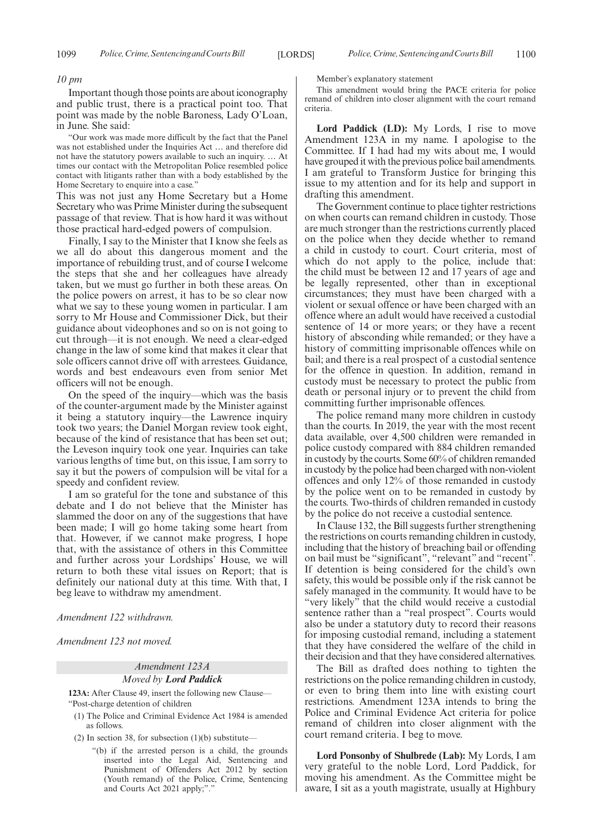#### *10 pm*

Important though those points are about iconography and public trust, there is a practical point too. That point was made by the noble Baroness, Lady O'Loan, in June. She said:

"Our work was made more difficult by the fact that the Panel was not established under the Inquiries Act … and therefore did not have the statutory powers available to such an inquiry. … At times our contact with the Metropolitan Police resembled police contact with litigants rather than with a body established by the Home Secretary to enquire into a case."

This was not just any Home Secretary but a Home Secretary who was Prime Minister during the subsequent passage of that review. That is how hard it was without those practical hard-edged powers of compulsion.

Finally, I say to the Minister that I know she feels as we all do about this dangerous moment and the importance of rebuilding trust, and of course I welcome the steps that she and her colleagues have already taken, but we must go further in both these areas. On the police powers on arrest, it has to be so clear now what we say to these young women in particular. I am sorry to Mr House and Commissioner Dick, but their guidance about videophones and so on is not going to cut through—it is not enough. We need a clear-edged change in the law of some kind that makes it clear that sole officers cannot drive off with arrestees. Guidance, words and best endeavours even from senior Met officers will not be enough.

On the speed of the inquiry—which was the basis of the counter-argument made by the Minister against it being a statutory inquiry—the Lawrence inquiry took two years; the Daniel Morgan review took eight, because of the kind of resistance that has been set out; the Leveson inquiry took one year. Inquiries can take various lengths of time but, on this issue, I am sorry to say it but the powers of compulsion will be vital for a speedy and confident review.

I am so grateful for the tone and substance of this debate and I do not believe that the Minister has slammed the door on any of the suggestions that have been made; I will go home taking some heart from that. However, if we cannot make progress, I hope that, with the assistance of others in this Committee and further across your Lordships' House, we will return to both these vital issues on Report; that is definitely our national duty at this time. With that, I beg leave to withdraw my amendment.

*Amendment 122 withdrawn.*

*Amendment 123 not moved.*

# *Amendment 123A Moved by Lord Paddick*

**123A:** After Clause 49, insert the following new Clause—

"Post-charge detention of children

- (1) The Police and Criminal Evidence Act 1984 is amended as follows.
- (2) In section 38, for subsection  $(1)(b)$  substitute—
	- "(b) if the arrested person is a child, the grounds inserted into the Legal Aid, Sentencing and Punishment of Offenders Act 2012 by section (Youth remand) of the Police, Crime, Sentencing and Courts Act 2021 apply;"."

Member's explanatory statement

This amendment would bring the PACE criteria for police remand of children into closer alignment with the court remand criteria.

**Lord Paddick (LD):** My Lords, I rise to move Amendment 123A in my name. I apologise to the Committee. If I had had my wits about me, I would have grouped it with the previous police bail amendments. I am grateful to Transform Justice for bringing this issue to my attention and for its help and support in drafting this amendment.

The Government continue to place tighter restrictions on when courts can remand children in custody. Those are much stronger than the restrictions currently placed on the police when they decide whether to remand a child in custody to court. Court criteria, most of which do not apply to the police, include that: the child must be between 12 and 17 years of age and be legally represented, other than in exceptional circumstances; they must have been charged with a violent or sexual offence or have been charged with an offence where an adult would have received a custodial sentence of 14 or more years; or they have a recent history of absconding while remanded; or they have a history of committing imprisonable offences while on bail; and there is a real prospect of a custodial sentence for the offence in question. In addition, remand in custody must be necessary to protect the public from death or personal injury or to prevent the child from committing further imprisonable offences.

The police remand many more children in custody than the courts. In 2019, the year with the most recent data available, over 4,500 children were remanded in police custody compared with 884 children remanded in custody by the courts. Some 60% of children remanded in custody by the police had been charged with non-violent offences and only 12% of those remanded in custody by the police went on to be remanded in custody by the courts. Two-thirds of children remanded in custody by the police do not receive a custodial sentence.

In Clause 132, the Bill suggests further strengthening the restrictions on courts remanding children in custody, including that the history of breaching bail or offending on bail must be "significant", "relevant" and "recent". If detention is being considered for the child's own safety, this would be possible only if the risk cannot be safely managed in the community. It would have to be "very likely" that the child would receive a custodial sentence rather than a "real prospect". Courts would also be under a statutory duty to record their reasons for imposing custodial remand, including a statement that they have considered the welfare of the child in their decision and that they have considered alternatives.

The Bill as drafted does nothing to tighten the restrictions on the police remanding children in custody, or even to bring them into line with existing court restrictions. Amendment 123A intends to bring the Police and Criminal Evidence Act criteria for police remand of children into closer alignment with the court remand criteria. I beg to move.

**Lord Ponsonby of Shulbrede (Lab):** My Lords, I am very grateful to the noble Lord, Lord Paddick, for moving his amendment. As the Committee might be aware, I sit as a youth magistrate, usually at Highbury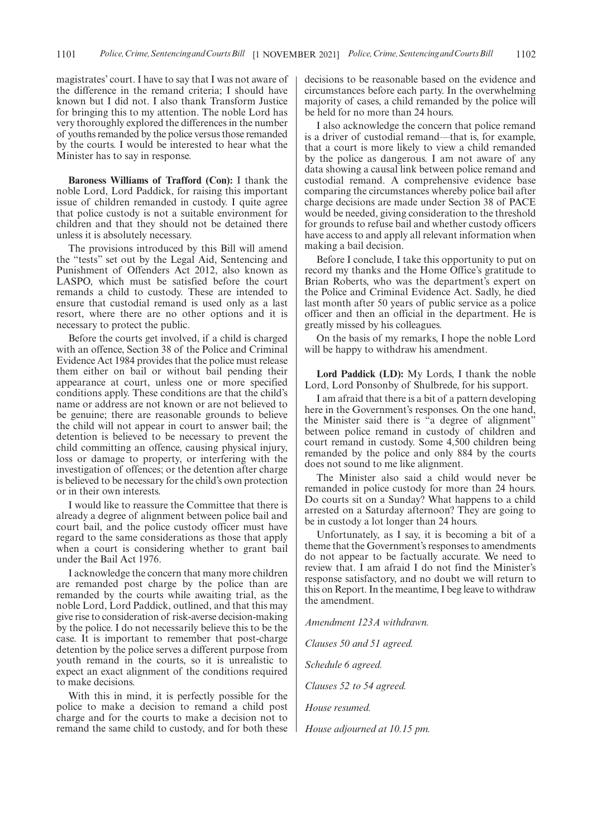magistrates' court. I have to say that I was not aware of the difference in the remand criteria; I should have known but I did not. I also thank Transform Justice for bringing this to my attention. The noble Lord has very thoroughly explored the differences in the number of youths remanded by the police versus those remanded by the courts. I would be interested to hear what the Minister has to say in response.

**Baroness Williams of Trafford (Con):** I thank the noble Lord, Lord Paddick, for raising this important issue of children remanded in custody. I quite agree that police custody is not a suitable environment for children and that they should not be detained there unless it is absolutely necessary.

The provisions introduced by this Bill will amend the "tests" set out by the Legal Aid, Sentencing and Punishment of Offenders Act 2012, also known as LASPO, which must be satisfied before the court remands a child to custody. These are intended to ensure that custodial remand is used only as a last resort, where there are no other options and it is necessary to protect the public.

Before the courts get involved, if a child is charged with an offence, Section 38 of the Police and Criminal Evidence Act 1984 provides that the police must release them either on bail or without bail pending their appearance at court, unless one or more specified conditions apply. These conditions are that the child's name or address are not known or are not believed to be genuine; there are reasonable grounds to believe the child will not appear in court to answer bail; the detention is believed to be necessary to prevent the child committing an offence, causing physical injury, loss or damage to property, or interfering with the investigation of offences; or the detention after charge is believed to be necessary for the child's own protection or in their own interests.

I would like to reassure the Committee that there is already a degree of alignment between police bail and court bail, and the police custody officer must have regard to the same considerations as those that apply when a court is considering whether to grant bail under the Bail Act 1976.

I acknowledge the concern that many more children are remanded post charge by the police than are remanded by the courts while awaiting trial, as the noble Lord, Lord Paddick, outlined, and that this may give rise to consideration of risk-averse decision-making by the police. I do not necessarily believe this to be the case. It is important to remember that post-charge detention by the police serves a different purpose from youth remand in the courts, so it is unrealistic to expect an exact alignment of the conditions required to make decisions.

With this in mind, it is perfectly possible for the police to make a decision to remand a child post charge and for the courts to make a decision not to remand the same child to custody, and for both these decisions to be reasonable based on the evidence and circumstances before each party. In the overwhelming majority of cases, a child remanded by the police will be held for no more than 24 hours.

I also acknowledge the concern that police remand is a driver of custodial remand—that is, for example, that a court is more likely to view a child remanded by the police as dangerous. I am not aware of any data showing a causal link between police remand and custodial remand. A comprehensive evidence base comparing the circumstances whereby police bail after charge decisions are made under Section 38 of PACE would be needed, giving consideration to the threshold for grounds to refuse bail and whether custody officers have access to and apply all relevant information when making a bail decision.

Before I conclude, I take this opportunity to put on record my thanks and the Home Office's gratitude to Brian Roberts, who was the department's expert on the Police and Criminal Evidence Act. Sadly, he died last month after 50 years of public service as a police officer and then an official in the department. He is greatly missed by his colleagues.

On the basis of my remarks, I hope the noble Lord will be happy to withdraw his amendment.

**Lord Paddick (LD):** My Lords, I thank the noble Lord, Lord Ponsonby of Shulbrede, for his support.

I am afraid that there is a bit of a pattern developing here in the Government's responses. On the one hand, the Minister said there is "a degree of alignment" between police remand in custody of children and court remand in custody. Some 4,500 children being remanded by the police and only 884 by the courts does not sound to me like alignment.

The Minister also said a child would never be remanded in police custody for more than 24 hours. Do courts sit on a Sunday? What happens to a child arrested on a Saturday afternoon? They are going to be in custody a lot longer than 24 hours.

Unfortunately, as I say, it is becoming a bit of a theme that the Government's responses to amendments do not appear to be factually accurate. We need to review that. I am afraid I do not find the Minister's response satisfactory, and no doubt we will return to this on Report. In the meantime, I beg leave to withdraw the amendment.

*Amendment 123A withdrawn.*

*Clauses 50 and 51 agreed.*

*Schedule 6 agreed.*

*Clauses 52 to 54 agreed.*

*House resumed.*

*House adjourned at 10.15 pm.*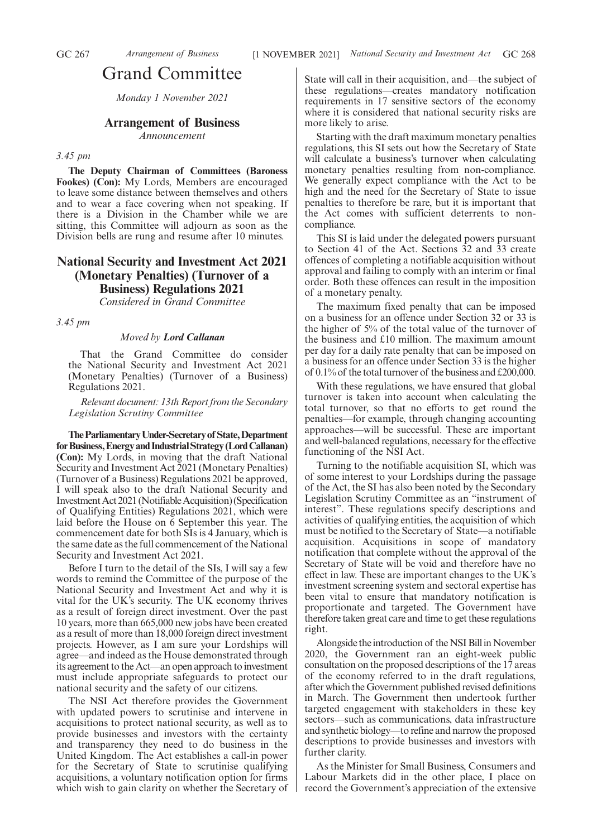# Grand Committee

*Monday 1 November 2021*

# **Arrangement of Business**

*Announcement*

#### *3.45 pm*

**The Deputy Chairman of Committees (Baroness Fookes) (Con):** My Lords, Members are encouraged to leave some distance between themselves and others and to wear a face covering when not speaking. If there is a Division in the Chamber while we are sitting, this Committee will adjourn as soon as the Division bells are rung and resume after 10 minutes.

# **National Security and Investment Act 2021 (Monetary Penalties) (Turnover of a Business) Regulations 2021**

*Considered in Grand Committee*

*3.45 pm*

# *Moved by Lord Callanan*

That the Grand Committee do consider the National Security and Investment Act 2021 (Monetary Penalties) (Turnover of a Business) Regulations 2021.

*Relevant document: 13th Report from the Secondary Legislation Scrutiny Committee*

**TheParliamentaryUnder-Secretaryof State,Department forBusiness,EnergyandIndustrialStrategy(LordCallanan) (Con):** My Lords, in moving that the draft National Security and Investment Act 2021 (Monetary Penalties) (Turnover of a Business) Regulations 2021 be approved, I will speak also to the draft National Security and InvestmentAct2021(NotifiableAcquisition)(Specification of Qualifying Entities) Regulations 2021, which were laid before the House on 6 September this year. The commencement date for both SIs is 4 January, which is the same date as the full commencement of the National Security and Investment Act 2021.

Before I turn to the detail of the SIs, I will say a few words to remind the Committee of the purpose of the National Security and Investment Act and why it is vital for the UK's security. The UK economy thrives as a result of foreign direct investment. Over the past 10 years, more than 665,000 new jobs have been created as a result of more than 18,000 foreign direct investment projects. However, as I am sure your Lordships will agree—and indeed as the House demonstrated through its agreement to the Act—an open approach to investment must include appropriate safeguards to protect our national security and the safety of our citizens.

The NSI Act therefore provides the Government with updated powers to scrutinise and intervene in acquisitions to protect national security, as well as to provide businesses and investors with the certainty and transparency they need to do business in the United Kingdom. The Act establishes a call-in power for the Secretary of State to scrutinise qualifying acquisitions, a voluntary notification option for firms which wish to gain clarity on whether the Secretary of State will call in their acquisition, and—the subject of these regulations—creates mandatory notification requirements in 17 sensitive sectors of the economy where it is considered that national security risks are more likely to arise.

Starting with the draft maximum monetary penalties regulations, this SI sets out how the Secretary of State will calculate a business's turnover when calculating monetary penalties resulting from non-compliance. We generally expect compliance with the Act to be high and the need for the Secretary of State to issue penalties to therefore be rare, but it is important that the Act comes with sufficient deterrents to noncompliance.

This SI is laid under the delegated powers pursuant to Section 41 of the Act. Sections 32 and 33 create offences of completing a notifiable acquisition without approval and failing to comply with an interim or final order. Both these offences can result in the imposition of a monetary penalty.

The maximum fixed penalty that can be imposed on a business for an offence under Section 32 or 33 is the higher of 5% of the total value of the turnover of the business and £10 million. The maximum amount per day for a daily rate penalty that can be imposed on a business for an offence under Section 33 is the higher of 0.1% of the total turnover of the business and £200,000.

With these regulations, we have ensured that global turnover is taken into account when calculating the total turnover, so that no efforts to get round the penalties—for example, through changing accounting approaches—will be successful. These are important and well-balanced regulations, necessary for the effective functioning of the NSI Act.

Turning to the notifiable acquisition SI, which was of some interest to your Lordships during the passage of the Act, the SI has also been noted by the Secondary Legislation Scrutiny Committee as an "instrument of interest". These regulations specify descriptions and activities of qualifying entities, the acquisition of which must be notified to the Secretary of State—a notifiable acquisition. Acquisitions in scope of mandatory notification that complete without the approval of the Secretary of State will be void and therefore have no effect in law. These are important changes to the UK's investment screening system and sectoral expertise has been vital to ensure that mandatory notification is proportionate and targeted. The Government have therefore taken great care and time to get these regulations right.

Alongside the introduction of the NSI Bill in November 2020, the Government ran an eight-week public consultation on the proposed descriptions of the 17 areas of the economy referred to in the draft regulations, after which the Government published revised definitions in March. The Government then undertook further targeted engagement with stakeholders in these key sectors—such as communications, data infrastructure and synthetic biology—to refine and narrow the proposed descriptions to provide businesses and investors with further clarity.

As the Minister for Small Business, Consumers and Labour Markets did in the other place, I place on record the Government's appreciation of the extensive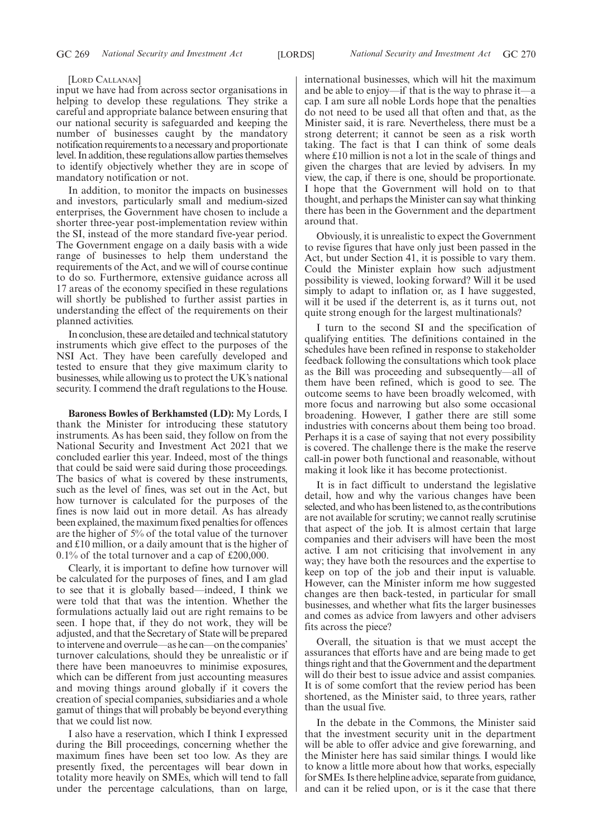#### [LORD CALLANAN]

input we have had from across sector organisations in helping to develop these regulations. They strike a careful and appropriate balance between ensuring that our national security is safeguarded and keeping the number of businesses caught by the mandatory notification requirements to a necessary and proportionate level. In addition, these regulations allow parties themselves to identify objectively whether they are in scope of mandatory notification or not.

In addition, to monitor the impacts on businesses and investors, particularly small and medium-sized enterprises, the Government have chosen to include a shorter three-year post-implementation review within the SI, instead of the more standard five-year period. The Government engage on a daily basis with a wide range of businesses to help them understand the requirements of the Act, and we will of course continue to do so. Furthermore, extensive guidance across all 17 areas of the economy specified in these regulations will shortly be published to further assist parties in understanding the effect of the requirements on their planned activities.

In conclusion, these are detailed and technical statutory instruments which give effect to the purposes of the NSI Act. They have been carefully developed and tested to ensure that they give maximum clarity to businesses, while allowing us to protect the UK's national security. I commend the draft regulations to the House.

**Baroness Bowles of Berkhamsted (LD):** My Lords, I thank the Minister for introducing these statutory instruments. As has been said, they follow on from the National Security and Investment Act 2021 that we concluded earlier this year. Indeed, most of the things that could be said were said during those proceedings. The basics of what is covered by these instruments, such as the level of fines, was set out in the Act, but how turnover is calculated for the purposes of the fines is now laid out in more detail. As has already been explained, the maximum fixed penalties for offences are the higher of 5% of the total value of the turnover and £10 million, or a daily amount that is the higher of 0.1% of the total turnover and a cap of £200,000.

Clearly, it is important to define how turnover will be calculated for the purposes of fines, and I am glad to see that it is globally based—indeed, I think we were told that that was the intention. Whether the formulations actually laid out are right remains to be seen. I hope that, if they do not work, they will be adjusted, and that the Secretary of State will be prepared to intervene and overrule—as he can—on the companies' turnover calculations, should they be unrealistic or if there have been manoeuvres to minimise exposures, which can be different from just accounting measures and moving things around globally if it covers the creation of special companies, subsidiaries and a whole gamut of things that will probably be beyond everything that we could list now.

I also have a reservation, which I think I expressed during the Bill proceedings, concerning whether the maximum fines have been set too low. As they are presently fixed, the percentages will bear down in totality more heavily on SMEs, which will tend to fall under the percentage calculations, than on large,

international businesses, which will hit the maximum and be able to enjoy—if that is the way to phrase it—a cap. I am sure all noble Lords hope that the penalties do not need to be used all that often and that, as the Minister said, it is rare. Nevertheless, there must be a strong deterrent; it cannot be seen as a risk worth taking. The fact is that I can think of some deals where £10 million is not a lot in the scale of things and given the charges that are levied by advisers. In my view, the cap, if there is one, should be proportionate. I hope that the Government will hold on to that thought, and perhaps the Minister can say what thinking there has been in the Government and the department around that.

Obviously, it is unrealistic to expect the Government to revise figures that have only just been passed in the Act, but under Section 41, it is possible to vary them. Could the Minister explain how such adjustment possibility is viewed, looking forward? Will it be used simply to adapt to inflation or, as I have suggested, will it be used if the deterrent is, as it turns out, not quite strong enough for the largest multinationals?

I turn to the second SI and the specification of qualifying entities. The definitions contained in the schedules have been refined in response to stakeholder feedback following the consultations which took place as the Bill was proceeding and subsequently—all of them have been refined, which is good to see. The outcome seems to have been broadly welcomed, with more focus and narrowing but also some occasional broadening. However, I gather there are still some industries with concerns about them being too broad. Perhaps it is a case of saying that not every possibility is covered. The challenge there is the make the reserve call-in power both functional and reasonable, without making it look like it has become protectionist.

It is in fact difficult to understand the legislative detail, how and why the various changes have been selected, and who has been listened to, as the contributions are not available for scrutiny; we cannot really scrutinise that aspect of the job. It is almost certain that large companies and their advisers will have been the most active. I am not criticising that involvement in any way; they have both the resources and the expertise to keep on top of the job and their input is valuable. However, can the Minister inform me how suggested changes are then back-tested, in particular for small businesses, and whether what fits the larger businesses and comes as advice from lawyers and other advisers fits across the piece?

Overall, the situation is that we must accept the assurances that efforts have and are being made to get things right and that the Government and the department will do their best to issue advice and assist companies. It is of some comfort that the review period has been shortened, as the Minister said, to three years, rather than the usual five.

In the debate in the Commons, the Minister said that the investment security unit in the department will be able to offer advice and give forewarning, and the Minister here has said similar things. I would like to know a little more about how that works, especially for SMEs. Is there helpline advice, separate from guidance, and can it be relied upon, or is it the case that there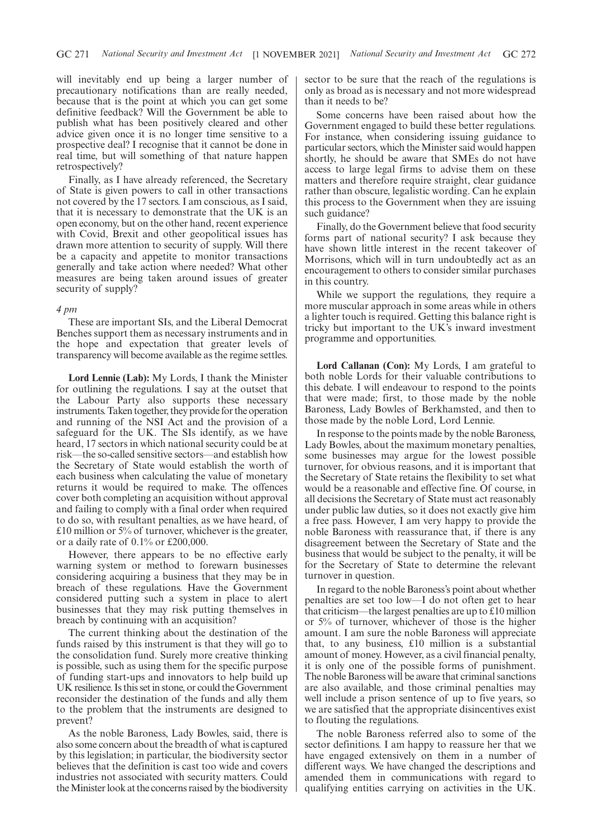will inevitably end up being a larger number of precautionary notifications than are really needed, because that is the point at which you can get some definitive feedback? Will the Government be able to publish what has been positively cleared and other advice given once it is no longer time sensitive to a prospective deal? I recognise that it cannot be done in real time, but will something of that nature happen retrospectively?

Finally, as I have already referenced, the Secretary of State is given powers to call in other transactions not covered by the 17 sectors. I am conscious, as I said, that it is necessary to demonstrate that the UK is an open economy, but on the other hand, recent experience with Covid, Brexit and other geopolitical issues has drawn more attention to security of supply. Will there be a capacity and appetite to monitor transactions generally and take action where needed? What other measures are being taken around issues of greater security of supply?

## *4 pm*

These are important SIs, and the Liberal Democrat Benches support them as necessary instruments and in the hope and expectation that greater levels of transparency will become available as the regime settles.

**Lord Lennie (Lab):** My Lords, I thank the Minister for outlining the regulations. I say at the outset that the Labour Party also supports these necessary instruments. Taken together, they provide for the operation and running of the NSI Act and the provision of a safeguard for the UK. The SIs identify, as we have heard, 17 sectors in which national security could be at risk—the so-called sensitive sectors—and establish how the Secretary of State would establish the worth of each business when calculating the value of monetary returns it would be required to make. The offences cover both completing an acquisition without approval and failing to comply with a final order when required to do so, with resultant penalties, as we have heard, of £10 million or  $5\%$  of turnover, whichever is the greater, or a daily rate of 0.1% or £200,000.

However, there appears to be no effective early warning system or method to forewarn businesses considering acquiring a business that they may be in breach of these regulations. Have the Government considered putting such a system in place to alert businesses that they may risk putting themselves in breach by continuing with an acquisition?

The current thinking about the destination of the funds raised by this instrument is that they will go to the consolidation fund. Surely more creative thinking is possible, such as using them for the specific purpose of funding start-ups and innovators to help build up UK resilience. Is this set in stone, or could the Government reconsider the destination of the funds and ally them to the problem that the instruments are designed to prevent?

As the noble Baroness, Lady Bowles, said, there is also some concern about the breadth of what is captured by this legislation; in particular, the biodiversity sector believes that the definition is cast too wide and covers industries not associated with security matters. Could the Minister look at the concerns raised by the biodiversity sector to be sure that the reach of the regulations is only as broad as is necessary and not more widespread than it needs to be?

Some concerns have been raised about how the Government engaged to build these better regulations. For instance, when considering issuing guidance to particular sectors, which the Minister said would happen shortly, he should be aware that SMEs do not have access to large legal firms to advise them on these matters and therefore require straight, clear guidance rather than obscure, legalistic wording. Can he explain this process to the Government when they are issuing such guidance?

Finally, do the Government believe that food security forms part of national security? I ask because they have shown little interest in the recent takeover of Morrisons, which will in turn undoubtedly act as an encouragement to others to consider similar purchases in this country.

While we support the regulations, they require a more muscular approach in some areas while in others a lighter touch is required. Getting this balance right is tricky but important to the UK's inward investment programme and opportunities.

**Lord Callanan (Con):** My Lords, I am grateful to both noble Lords for their valuable contributions to this debate. I will endeavour to respond to the points that were made; first, to those made by the noble Baroness, Lady Bowles of Berkhamsted, and then to those made by the noble Lord, Lord Lennie.

In response to the points made by the noble Baroness, Lady Bowles, about the maximum monetary penalties, some businesses may argue for the lowest possible turnover, for obvious reasons, and it is important that the Secretary of State retains the flexibility to set what would be a reasonable and effective fine. Of course, in all decisions the Secretary of State must act reasonably under public law duties, so it does not exactly give him a free pass. However, I am very happy to provide the noble Baroness with reassurance that, if there is any disagreement between the Secretary of State and the business that would be subject to the penalty, it will be for the Secretary of State to determine the relevant turnover in question.

In regard to the noble Baroness's point about whether penalties are set too low—I do not often get to hear that criticism—the largest penalties are up to £10 million or 5% of turnover, whichever of those is the higher amount. I am sure the noble Baroness will appreciate that, to any business, £10 million is a substantial amount of money. However, as a civil financial penalty, it is only one of the possible forms of punishment. The noble Baroness will be aware that criminal sanctions are also available, and those criminal penalties may well include a prison sentence of up to five years, so we are satisfied that the appropriate disincentives exist to flouting the regulations.

The noble Baroness referred also to some of the sector definitions. I am happy to reassure her that we have engaged extensively on them in a number of different ways. We have changed the descriptions and amended them in communications with regard to qualifying entities carrying on activities in the UK.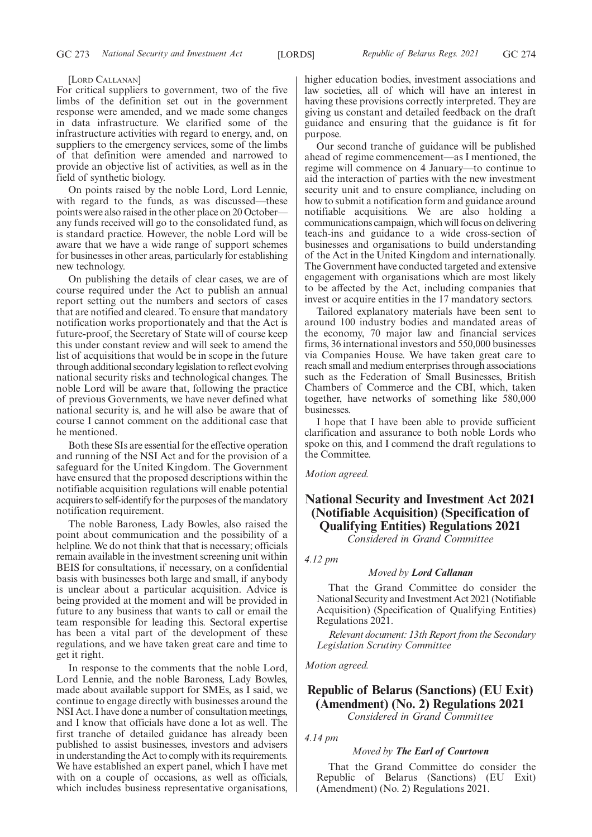#### [LORD CALLANAN]

For critical suppliers to government, two of the five limbs of the definition set out in the government response were amended, and we made some changes in data infrastructure. We clarified some of the infrastructure activities with regard to energy, and, on suppliers to the emergency services, some of the limbs of that definition were amended and narrowed to provide an objective list of activities, as well as in the field of synthetic biology.

On points raised by the noble Lord, Lord Lennie, with regard to the funds, as was discussed—these points were also raised in the other place on 20 October any funds received will go to the consolidated fund, as is standard practice. However, the noble Lord will be aware that we have a wide range of support schemes for businesses in other areas, particularly for establishing new technology.

On publishing the details of clear cases, we are of course required under the Act to publish an annual report setting out the numbers and sectors of cases that are notified and cleared. To ensure that mandatory notification works proportionately and that the Act is future-proof, the Secretary of State will of course keep this under constant review and will seek to amend the list of acquisitions that would be in scope in the future through additional secondary legislation to reflect evolving national security risks and technological changes. The noble Lord will be aware that, following the practice of previous Governments, we have never defined what national security is, and he will also be aware that of course I cannot comment on the additional case that he mentioned.

Both these SIs are essential for the effective operation and running of the NSI Act and for the provision of a safeguard for the United Kingdom. The Government have ensured that the proposed descriptions within the notifiable acquisition regulations will enable potential acquirers to self-identify for the purposes of the mandatory notification requirement.

The noble Baroness, Lady Bowles, also raised the point about communication and the possibility of a helpline. We do not think that that is necessary; officials remain available in the investment screening unit within BEIS for consultations, if necessary, on a confidential basis with businesses both large and small, if anybody is unclear about a particular acquisition. Advice is being provided at the moment and will be provided in future to any business that wants to call or email the team responsible for leading this. Sectoral expertise has been a vital part of the development of these regulations, and we have taken great care and time to get it right.

In response to the comments that the noble Lord, Lord Lennie, and the noble Baroness, Lady Bowles, made about available support for SMEs, as I said, we continue to engage directly with businesses around the NSI Act. I have done a number of consultation meetings, and I know that officials have done a lot as well. The first tranche of detailed guidance has already been published to assist businesses, investors and advisers in understanding the Act to comply with its requirements. We have established an expert panel, which I have met with on a couple of occasions, as well as officials, which includes business representative organisations, higher education bodies, investment associations and law societies, all of which will have an interest in having these provisions correctly interpreted. They are giving us constant and detailed feedback on the draft guidance and ensuring that the guidance is fit for purpose.

Our second tranche of guidance will be published ahead of regime commencement—as I mentioned, the regime will commence on 4 January—to continue to aid the interaction of parties with the new investment security unit and to ensure compliance, including on how to submit a notification form and guidance around notifiable acquisitions. We are also holding a communications campaign, which will focus on delivering teach-ins and guidance to a wide cross-section of businesses and organisations to build understanding of the Act in the United Kingdom and internationally. The Government have conducted targeted and extensive engagement with organisations which are most likely to be affected by the Act, including companies that invest or acquire entities in the 17 mandatory sectors.

Tailored explanatory materials have been sent to around 100 industry bodies and mandated areas of the economy, 70 major law and financial services firms, 36 international investors and 550,000 businesses via Companies House. We have taken great care to reach small and medium enterprises through associations such as the Federation of Small Businesses, British Chambers of Commerce and the CBI, which, taken together, have networks of something like 580,000 businesses.

I hope that I have been able to provide sufficient clarification and assurance to both noble Lords who spoke on this, and I commend the draft regulations to the Committee.

### *Motion agreed.*

# **National Security and Investment Act 2021 (Notifiable Acquisition) (Specification of Qualifying Entities) Regulations 2021**

*Considered in Grand Committee*

# *4.12 pm*

# *Moved by Lord Callanan*

That the Grand Committee do consider the National Security and Investment Act 2021 (Notifiable Acquisition) (Specification of Qualifying Entities) Regulations 2021.

*Relevant document: 13th Report from the Secondary Legislation Scrutiny Committee*

*Motion agreed.*

# **Republic of Belarus (Sanctions) (EU Exit) (Amendment) (No. 2) Regulations 2021**

*Considered in Grand Committee*

*4.14 pm*

# *Moved by The Earl of Courtown*

That the Grand Committee do consider the Republic of Belarus (Sanctions) (EU Exit) (Amendment) (No. 2) Regulations 2021.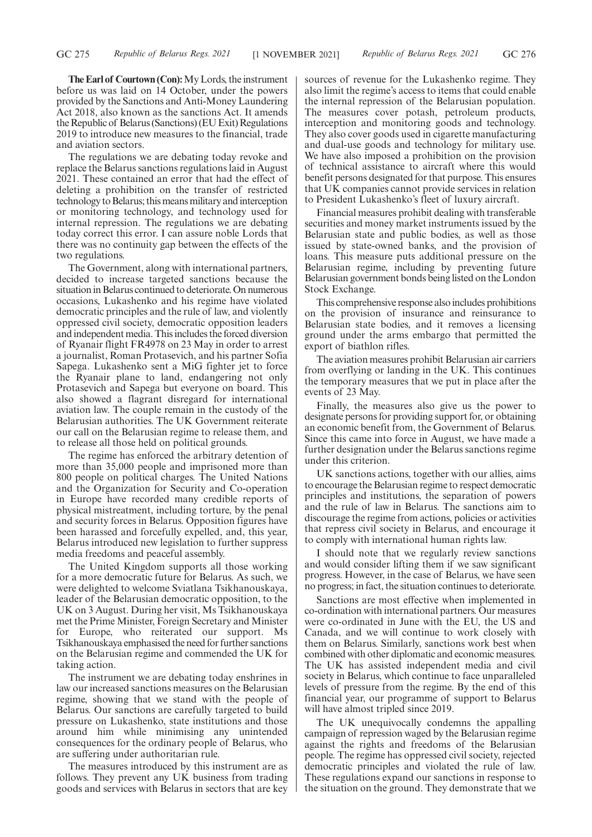**The Earl of Courtown (Con):**My Lords, the instrument before us was laid on 14 October, under the powers provided by the Sanctions and Anti-Money Laundering Act 2018, also known as the sanctions Act. It amends the Republic of Belarus (Sanctions) (EU Exit) Regulations 2019 to introduce new measures to the financial, trade and aviation sectors.

The regulations we are debating today revoke and replace the Belarus sanctions regulations laid in August 2021. These contained an error that had the effect of deleting a prohibition on the transfer of restricted technology to Belarus; this means military and interception or monitoring technology, and technology used for internal repression. The regulations we are debating today correct this error. I can assure noble Lords that there was no continuity gap between the effects of the two regulations.

The Government, along with international partners, decided to increase targeted sanctions because the situation in Belarus continued to deteriorate. On numerous occasions, Lukashenko and his regime have violated democratic principles and the rule of law, and violently oppressed civil society, democratic opposition leaders and independent media. This includes the forced diversion of Ryanair flight FR4978 on 23 May in order to arrest a journalist, Roman Protasevich, and his partner Sofia Sapega. Lukashenko sent a MiG fighter jet to force the Ryanair plane to land, endangering not only Protasevich and Sapega but everyone on board. This also showed a flagrant disregard for international aviation law. The couple remain in the custody of the Belarusian authorities. The UK Government reiterate our call on the Belarusian regime to release them, and to release all those held on political grounds.

The regime has enforced the arbitrary detention of more than 35,000 people and imprisoned more than 800 people on political charges. The United Nations and the Organization for Security and Co-operation in Europe have recorded many credible reports of physical mistreatment, including torture, by the penal and security forces in Belarus. Opposition figures have been harassed and forcefully expelled, and, this year, Belarus introduced new legislation to further suppress media freedoms and peaceful assembly.

The United Kingdom supports all those working for a more democratic future for Belarus. As such, we were delighted to welcome Sviatlana Tsikhanouskaya, leader of the Belarusian democratic opposition, to the UK on 3 August. During her visit, Ms Tsikhanouskaya met the Prime Minister, Foreign Secretary and Minister for Europe, who reiterated our support. Ms Tsikhanouskaya emphasised the need for further sanctions on the Belarusian regime and commended the UK for taking action.

The instrument we are debating today enshrines in law our increased sanctions measures on the Belarusian regime, showing that we stand with the people of Belarus. Our sanctions are carefully targeted to build pressure on Lukashenko, state institutions and those around him while minimising any unintended consequences for the ordinary people of Belarus, who are suffering under authoritarian rule.

The measures introduced by this instrument are as follows. They prevent any UK business from trading goods and services with Belarus in sectors that are key sources of revenue for the Lukashenko regime. They also limit the regime's access to items that could enable the internal repression of the Belarusian population. The measures cover potash, petroleum products, interception and monitoring goods and technology. They also cover goods used in cigarette manufacturing and dual-use goods and technology for military use. We have also imposed a prohibition on the provision of technical assistance to aircraft where this would benefit persons designated for that purpose. This ensures that UK companies cannot provide services in relation to President Lukashenko's fleet of luxury aircraft.

Financial measures prohibit dealing with transferable securities and money market instruments issued by the Belarusian state and public bodies, as well as those issued by state-owned banks, and the provision of loans. This measure puts additional pressure on the Belarusian regime, including by preventing future Belarusian government bonds being listed on the London Stock Exchange.

This comprehensive response also includes prohibitions on the provision of insurance and reinsurance to Belarusian state bodies, and it removes a licensing ground under the arms embargo that permitted the export of biathlon rifles.

The aviation measures prohibit Belarusian air carriers from overflying or landing in the UK. This continues the temporary measures that we put in place after the events of 23 May.

Finally, the measures also give us the power to designate persons for providing support for, or obtaining an economic benefit from, the Government of Belarus. Since this came into force in August, we have made a further designation under the Belarus sanctions regime under this criterion.

UK sanctions actions, together with our allies, aims to encourage the Belarusian regime to respect democratic principles and institutions, the separation of powers and the rule of law in Belarus. The sanctions aim to discourage the regime from actions, policies or activities that repress civil society in Belarus, and encourage it to comply with international human rights law.

I should note that we regularly review sanctions and would consider lifting them if we saw significant progress. However, in the case of Belarus, we have seen no progress; in fact, the situation continues to deteriorate.

Sanctions are most effective when implemented in co-ordination with international partners. Our measures were co-ordinated in June with the EU, the US and Canada, and we will continue to work closely with them on Belarus. Similarly, sanctions work best when combined with other diplomatic and economic measures. The UK has assisted independent media and civil society in Belarus, which continue to face unparalleled levels of pressure from the regime. By the end of this financial year, our programme of support to Belarus will have almost tripled since 2019.

The UK unequivocally condemns the appalling campaign of repression waged by the Belarusian regime against the rights and freedoms of the Belarusian people. The regime has oppressed civil society, rejected democratic principles and violated the rule of law. These regulations expand our sanctions in response to the situation on the ground. They demonstrate that we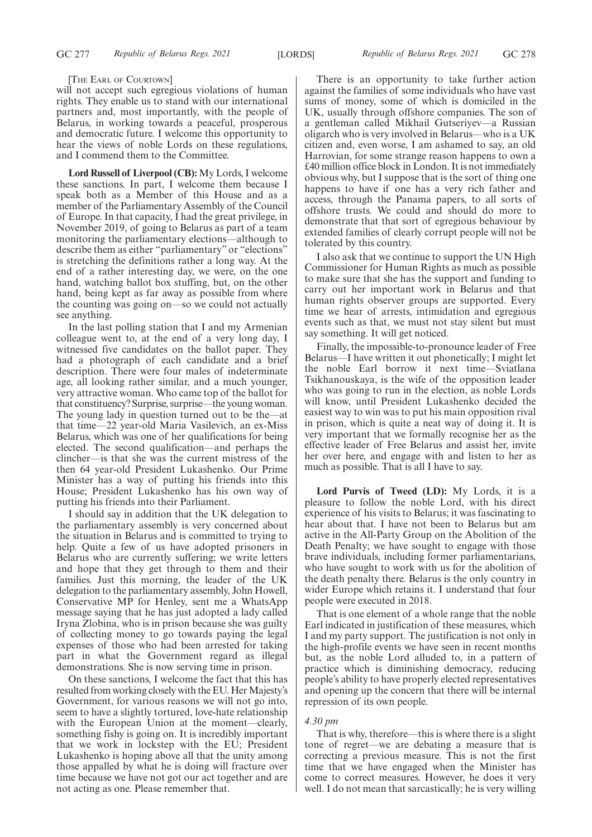#### [THE EARL OF COURTOWN]

will not accept such egregious violations of human rights. They enable us to stand with our international partners and, most importantly, with the people of Belarus, in working towards a peaceful, prosperous and democratic future. I welcome this opportunity to hear the views of noble Lords on these regulations, and I commend them to the Committee.

**Lord Russell of Liverpool (CB):** My Lords, I welcome these sanctions. In part, I welcome them because I speak both as a Member of this House and as a member of the Parliamentary Assembly of the Council of Europe. In that capacity, I had the great privilege, in November 2019, of going to Belarus as part of a team monitoring the parliamentary elections—although to describe them as either "parliamentary" or "elections" is stretching the definitions rather a long way. At the end of a rather interesting day, we were, on the one hand, watching ballot box stuffing, but, on the other hand, being kept as far away as possible from where the counting was going on—so we could not actually see anything.

In the last polling station that I and my Armenian colleague went to, at the end of a very long day, I witnessed five candidates on the ballot paper. They had a photograph of each candidate and a brief description. There were four males of indeterminate age, all looking rather similar, and a much younger, very attractive woman. Who came top of the ballot for that constituency? Surprise, surprise—the young woman. The young lady in question turned out to be the—at that time—22 year-old Maria Vasilevich, an ex-Miss Belarus, which was one of her qualifications for being elected. The second qualification—and perhaps the clincher—is that she was the current mistress of the then 64 year-old President Lukashenko. Our Prime Minister has a way of putting his friends into this House; President Lukashenko has his own way of putting his friends into their Parliament.

I should say in addition that the UK delegation to the parliamentary assembly is very concerned about the situation in Belarus and is committed to trying to help. Quite a few of us have adopted prisoners in Belarus who are currently suffering; we write letters and hope that they get through to them and their families. Just this morning, the leader of the UK delegation to the parliamentary assembly, John Howell, Conservative MP for Henley, sent me a WhatsApp message saying that he has just adopted a lady called Iryna Zlobina, who is in prison because she was guilty of collecting money to go towards paying the legal expenses of those who had been arrested for taking part in what the Government regard as illegal demonstrations. She is now serving time in prison.

On these sanctions, I welcome the fact that this has resulted from working closely with the EU. Her Majesty's Government, for various reasons we will not go into, seem to have a slightly tortured, love-hate relationship with the European Union at the moment—clearly, something fishy is going on. It is incredibly important that we work in lockstep with the EU; President Lukashenko is hoping above all that the unity among those appalled by what he is doing will fracture over time because we have not got our act together and are not acting as one. Please remember that.

There is an opportunity to take further action against the families of some individuals who have vast sums of money, some of which is domiciled in the UK, usually through offshore companies. The son of a gentleman called Mikhail Gutseriyev—a Russian oligarch who is very involved in Belarus—who is a UK citizen and, even worse, I am ashamed to say, an old Harrovian, for some strange reason happens to own a £40 million office block in London. It is not immediately obvious why, but I suppose that is the sort of thing one happens to have if one has a very rich father and access, through the Panama papers, to all sorts of offshore trusts. We could and should do more to demonstrate that that sort of egregious behaviour by extended families of clearly corrupt people will not be tolerated by this country.

I also ask that we continue to support the UN High Commissioner for Human Rights as much as possible to make sure that she has the support and funding to carry out her important work in Belarus and that human rights observer groups are supported. Every time we hear of arrests, intimidation and egregious events such as that, we must not stay silent but must say something. It will get noticed.

Finally, the impossible-to-pronounce leader of Free Belarus—I have written it out phonetically; I might let the noble Earl borrow it next time—Sviatlana Tsikhanouskaya, is the wife of the opposition leader who was going to run in the election, as noble Lords will know, until President Lukashenko decided the easiest way to win was to put his main opposition rival in prison, which is quite a neat way of doing it. It is very important that we formally recognise her as the effective leader of Free Belarus and assist her, invite her over here, and engage with and listen to her as much as possible. That is all I have to say.

**Lord Purvis of Tweed (LD):** My Lords, it is a pleasure to follow the noble Lord, with his direct experience of his visits to Belarus; it was fascinating to hear about that. I have not been to Belarus but am active in the All-Party Group on the Abolition of the Death Penalty; we have sought to engage with those brave individuals, including former parliamentarians, who have sought to work with us for the abolition of the death penalty there. Belarus is the only country in wider Europe which retains it. I understand that four people were executed in 2018.

That is one element of a whole range that the noble Earl indicated in justification of these measures, which I and my party support. The justification is not only in the high-profile events we have seen in recent months but, as the noble Lord alluded to, in a pattern of practice which is diminishing democracy, reducing people's ability to have properly elected representatives and opening up the concern that there will be internal repression of its own people.

# *4.30 pm*

That is why, therefore—this is where there is a slight tone of regret—we are debating a measure that is correcting a previous measure. This is not the first time that we have engaged when the Minister has come to correct measures. However, he does it very well. I do not mean that sarcastically; he is very willing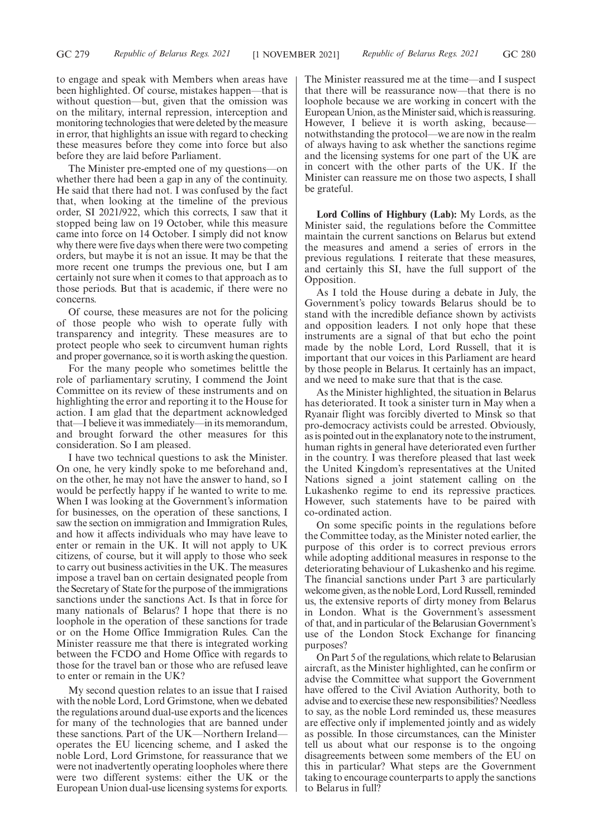to engage and speak with Members when areas have been highlighted. Of course, mistakes happen—that is without question—but, given that the omission was on the military, internal repression, interception and monitoring technologies that were deleted by the measure in error, that highlights an issue with regard to checking these measures before they come into force but also before they are laid before Parliament.

The Minister pre-empted one of my questions—on whether there had been a gap in any of the continuity. He said that there had not. I was confused by the fact that, when looking at the timeline of the previous order, SI 2021/922, which this corrects, I saw that it stopped being law on 19 October, while this measure came into force on 14 October. I simply did not know why there were five days when there were two competing orders, but maybe it is not an issue. It may be that the more recent one trumps the previous one, but I am certainly not sure when it comes to that approach as to those periods. But that is academic, if there were no concerns.

Of course, these measures are not for the policing of those people who wish to operate fully with transparency and integrity. These measures are to protect people who seek to circumvent human rights and proper governance, so it is worth asking the question.

For the many people who sometimes belittle the role of parliamentary scrutiny, I commend the Joint Committee on its review of these instruments and on highlighting the error and reporting it to the House for action. I am glad that the department acknowledged that—I believe it was immediately—in its memorandum, and brought forward the other measures for this consideration. So I am pleased.

I have two technical questions to ask the Minister. On one, he very kindly spoke to me beforehand and, on the other, he may not have the answer to hand, so I would be perfectly happy if he wanted to write to me. When I was looking at the Government's information for businesses, on the operation of these sanctions, I saw the section on immigration and Immigration Rules, and how it affects individuals who may have leave to enter or remain in the UK. It will not apply to UK citizens, of course, but it will apply to those who seek to carry out business activities in the UK. The measures impose a travel ban on certain designated people from the Secretary of State for the purpose of the immigrations sanctions under the sanctions Act. Is that in force for many nationals of Belarus? I hope that there is no loophole in the operation of these sanctions for trade or on the Home Office Immigration Rules. Can the Minister reassure me that there is integrated working between the FCDO and Home Office with regards to those for the travel ban or those who are refused leave to enter or remain in the UK?

My second question relates to an issue that I raised with the noble Lord, Lord Grimstone, when we debated the regulations around dual-use exports and the licences for many of the technologies that are banned under these sanctions. Part of the UK—Northern Ireland operates the EU licencing scheme, and I asked the noble Lord, Lord Grimstone, for reassurance that we were not inadvertently operating loopholes where there were two different systems: either the UK or the European Union dual-use licensing systems for exports.

The Minister reassured me at the time—and I suspect that there will be reassurance now—that there is no loophole because we are working in concert with the European Union, as the Minister said, which is reassuring. However, I believe it is worth asking, because notwithstanding the protocol—we are now in the realm of always having to ask whether the sanctions regime and the licensing systems for one part of the UK are in concert with the other parts of the UK. If the Minister can reassure me on those two aspects, I shall be grateful.

**Lord Collins of Highbury (Lab):** My Lords, as the Minister said, the regulations before the Committee maintain the current sanctions on Belarus but extend the measures and amend a series of errors in the previous regulations. I reiterate that these measures, and certainly this SI, have the full support of the Opposition.

As I told the House during a debate in July, the Government's policy towards Belarus should be to stand with the incredible defiance shown by activists and opposition leaders. I not only hope that these instruments are a signal of that but echo the point made by the noble Lord, Lord Russell, that it is important that our voices in this Parliament are heard by those people in Belarus. It certainly has an impact, and we need to make sure that that is the case.

As the Minister highlighted, the situation in Belarus has deteriorated. It took a sinister turn in May when a Ryanair flight was forcibly diverted to Minsk so that pro-democracy activists could be arrested. Obviously, as is pointed out in the explanatory note to the instrument, human rights in general have deteriorated even further in the country. I was therefore pleased that last week the United Kingdom's representatives at the United Nations signed a joint statement calling on the Lukashenko regime to end its repressive practices. However, such statements have to be paired with co-ordinated action.

On some specific points in the regulations before the Committee today, as the Minister noted earlier, the purpose of this order is to correct previous errors while adopting additional measures in response to the deteriorating behaviour of Lukashenko and his regime. The financial sanctions under Part 3 are particularly welcome given, as the noble Lord, Lord Russell, reminded us, the extensive reports of dirty money from Belarus in London. What is the Government's assessment of that, and in particular of the Belarusian Government's use of the London Stock Exchange for financing purposes?

On Part 5 of the regulations, which relate to Belarusian aircraft, as the Minister highlighted, can he confirm or advise the Committee what support the Government have offered to the Civil Aviation Authority, both to advise and to exercise these new responsibilities? Needless to say, as the noble Lord reminded us, these measures are effective only if implemented jointly and as widely as possible. In those circumstances, can the Minister tell us about what our response is to the ongoing disagreements between some members of the EU on this in particular? What steps are the Government taking to encourage counterparts to apply the sanctions to Belarus in full?